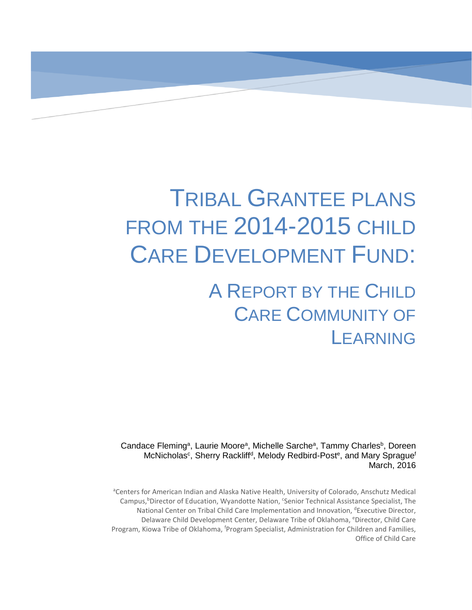# TRIBAL GRANTEE PLANS FROM THE 2014-2015 CHILD CARE DEVELOPMENT FUND: A REPORT BY THE CHILD

CARE COMMUNITY OF **LEARNING** 

Candace Fleming<sup>a</sup>, Laurie Moore<sup>a</sup>, Michelle Sarche<sup>a</sup>, Tammy Charles<sup>b</sup>, Doreen McNicholas<sup>c</sup>, Sherry Rackliff<sup>d</sup>, Melody Redbird-Post<sup>e</sup>, and Mary Sprague<sup>f</sup> March, 2016

<sup>a</sup>Centers for American Indian and Alaska Native Health, University of Colorado, Anschutz Medical Campus,<sup>b</sup>Director of Education, Wyandotte Nation, *Canior Technical Assistance Specialist*, The National Center on Tribal Child Care Implementation and Innovation, dExecutive Director, Delaware Child Development Center, Delaware Tribe of Oklahoma, eDirector, Child Care Program, Kiowa Tribe of Oklahoma, <sup>f</sup>Program Specialist, Administration for Children and Families, Office of Child Care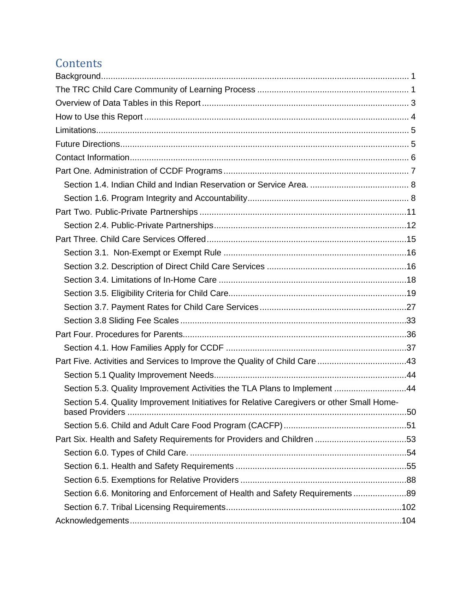# **Contents**

| Part Five. Activities and Services to Improve the Quality of Child Care 43                |  |
|-------------------------------------------------------------------------------------------|--|
|                                                                                           |  |
| Section 5.3. Quality Improvement Activities the TLA Plans to Implement 44                 |  |
| Section 5.4. Quality Improvement Initiatives for Relative Caregivers or other Small Home- |  |
|                                                                                           |  |
|                                                                                           |  |
|                                                                                           |  |
|                                                                                           |  |
|                                                                                           |  |
|                                                                                           |  |
| Section 6.6. Monitoring and Enforcement of Health and Safety Requirements 89              |  |
|                                                                                           |  |
|                                                                                           |  |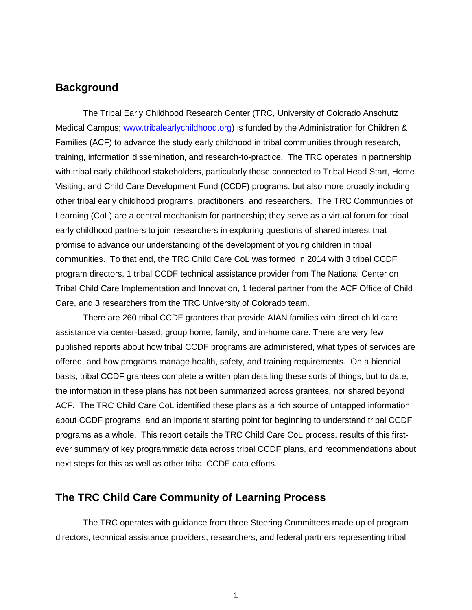# <span id="page-2-0"></span>**Background**

The Tribal Early Childhood Research Center (TRC, University of Colorado Anschutz Medical Campus; [www.tribalearlychildhood.org\)](http://www.tribalearlychildhood.org/) is funded by the Administration for Children & Families (ACF) to advance the study early childhood in tribal communities through research, training, information dissemination, and research-to-practice. The TRC operates in partnership with tribal early childhood stakeholders, particularly those connected to Tribal Head Start, Home Visiting, and Child Care Development Fund (CCDF) programs, but also more broadly including other tribal early childhood programs, practitioners, and researchers. The TRC Communities of Learning (CoL) are a central mechanism for partnership; they serve as a virtual forum for tribal early childhood partners to join researchers in exploring questions of shared interest that promise to advance our understanding of the development of young children in tribal communities. To that end, the TRC Child Care CoL was formed in 2014 with 3 tribal CCDF program directors, 1 tribal CCDF technical assistance provider from The National Center on Tribal Child Care Implementation and Innovation, 1 federal partner from the ACF Office of Child Care, and 3 researchers from the TRC University of Colorado team.

There are 260 tribal CCDF grantees that provide AIAN families with direct child care assistance via center-based, group home, family, and in-home care. There are very few published reports about how tribal CCDF programs are administered, what types of services are offered, and how programs manage health, safety, and training requirements. On a biennial basis, tribal CCDF grantees complete a written plan detailing these sorts of things, but to date, the information in these plans has not been summarized across grantees, nor shared beyond ACF. The TRC Child Care CoL identified these plans as a rich source of untapped information about CCDF programs, and an important starting point for beginning to understand tribal CCDF programs as a whole. This report details the TRC Child Care CoL process, results of this firstever summary of key programmatic data across tribal CCDF plans, and recommendations about next steps for this as well as other tribal CCDF data efforts.

# <span id="page-2-1"></span>**The TRC Child Care Community of Learning Process**

The TRC operates with guidance from three Steering Committees made up of program directors, technical assistance providers, researchers, and federal partners representing tribal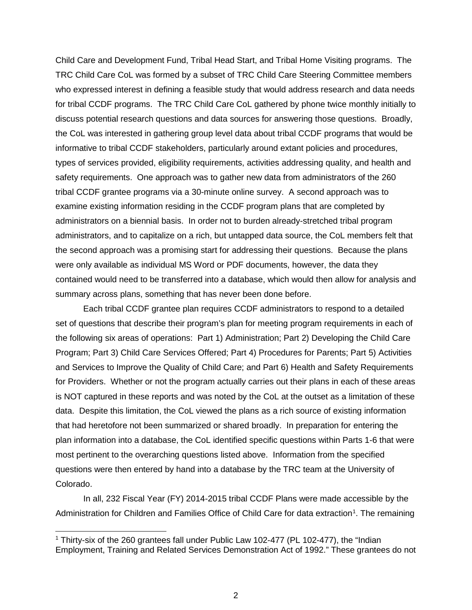Child Care and Development Fund, Tribal Head Start, and Tribal Home Visiting programs. The TRC Child Care CoL was formed by a subset of TRC Child Care Steering Committee members who expressed interest in defining a feasible study that would address research and data needs for tribal CCDF programs. The TRC Child Care CoL gathered by phone twice monthly initially to discuss potential research questions and data sources for answering those questions. Broadly, the CoL was interested in gathering group level data about tribal CCDF programs that would be informative to tribal CCDF stakeholders, particularly around extant policies and procedures, types of services provided, eligibility requirements, activities addressing quality, and health and safety requirements. One approach was to gather new data from administrators of the 260 tribal CCDF grantee programs via a 30-minute online survey. A second approach was to examine existing information residing in the CCDF program plans that are completed by administrators on a biennial basis. In order not to burden already-stretched tribal program administrators, and to capitalize on a rich, but untapped data source, the CoL members felt that the second approach was a promising start for addressing their questions. Because the plans were only available as individual MS Word or PDF documents, however, the data they contained would need to be transferred into a database, which would then allow for analysis and summary across plans, something that has never been done before.

Each tribal CCDF grantee plan requires CCDF administrators to respond to a detailed set of questions that describe their program's plan for meeting program requirements in each of the following six areas of operations: Part 1) Administration; Part 2) Developing the Child Care Program; Part 3) Child Care Services Offered; Part 4) Procedures for Parents; Part 5) Activities and Services to Improve the Quality of Child Care; and Part 6) Health and Safety Requirements for Providers. Whether or not the program actually carries out their plans in each of these areas is NOT captured in these reports and was noted by the CoL at the outset as a limitation of these data. Despite this limitation, the CoL viewed the plans as a rich source of existing information that had heretofore not been summarized or shared broadly. In preparation for entering the plan information into a database, the CoL identified specific questions within Parts 1-6 that were most pertinent to the overarching questions listed above. Information from the specified questions were then entered by hand into a database by the TRC team at the University of Colorado.

In all, 232 Fiscal Year (FY) 2014-2015 tribal CCDF Plans were made accessible by the Administration for Children and Families Office of Child Care for data extraction<sup>[1](#page-3-0)</sup>. The remaining

<span id="page-3-0"></span><sup>&</sup>lt;sup>1</sup> Thirty-six of the 260 grantees fall under Public Law 102-477 (PL 102-477), the "Indian Employment, Training and Related Services Demonstration Act of 1992." These grantees do not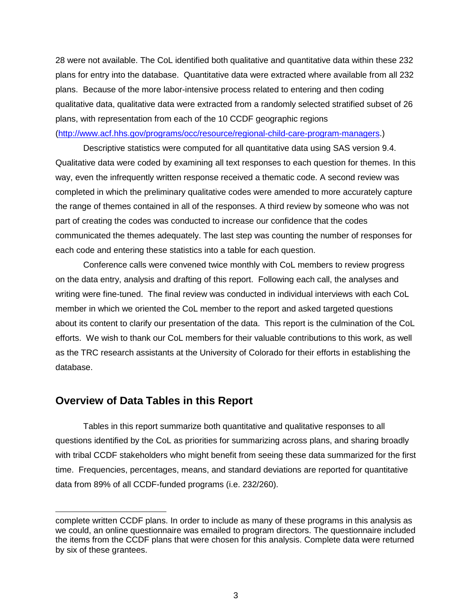28 were not available. The CoL identified both qualitative and quantitative data within these 232 plans for entry into the database. Quantitative data were extracted where available from all 232 plans. Because of the more labor-intensive process related to entering and then coding qualitative data, qualitative data were extracted from a randomly selected stratified subset of 26 plans, with representation from each of the 10 CCDF geographic regions [\(http://www.acf.hhs.gov/programs/occ/resource/regional-child-care-program-managers.](http://www.acf.hhs.gov/programs/occ/resource/regional-child-care-program-managers))

Descriptive statistics were computed for all quantitative data using SAS version 9.4. Qualitative data were coded by examining all text responses to each question for themes. In this way, even the infrequently written response received a thematic code. A second review was completed in which the preliminary qualitative codes were amended to more accurately capture the range of themes contained in all of the responses. A third review by someone who was not part of creating the codes was conducted to increase our confidence that the codes communicated the themes adequately. The last step was counting the number of responses for each code and entering these statistics into a table for each question.

Conference calls were convened twice monthly with CoL members to review progress on the data entry, analysis and drafting of this report. Following each call, the analyses and writing were fine-tuned. The final review was conducted in individual interviews with each CoL member in which we oriented the CoL member to the report and asked targeted questions about its content to clarify our presentation of the data. This report is the culmination of the CoL efforts. We wish to thank our CoL members for their valuable contributions to this work, as well as the TRC research assistants at the University of Colorado for their efforts in establishing the database.

#### <span id="page-4-0"></span>**Overview of Data Tables in this Report**

 $\overline{a}$ 

Tables in this report summarize both quantitative and qualitative responses to all questions identified by the CoL as priorities for summarizing across plans, and sharing broadly with tribal CCDF stakeholders who might benefit from seeing these data summarized for the first time. Frequencies, percentages, means, and standard deviations are reported for quantitative data from 89% of all CCDF-funded programs (i.e. 232/260).

complete written CCDF plans. In order to include as many of these programs in this analysis as we could, an online questionnaire was emailed to program directors. The questionnaire included the items from the CCDF plans that were chosen for this analysis. Complete data were returned by six of these grantees.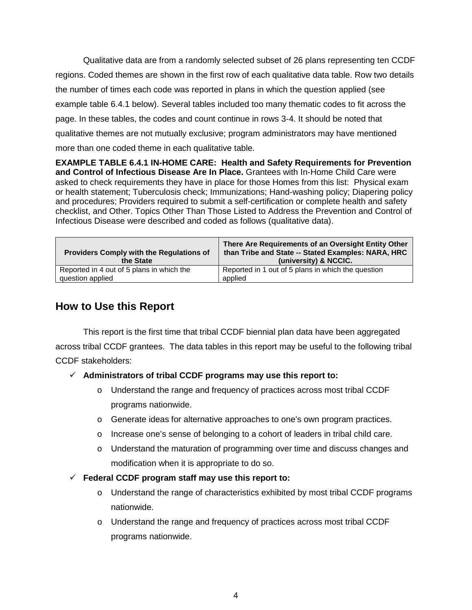Qualitative data are from a randomly selected subset of 26 plans representing ten CCDF regions. Coded themes are shown in the first row of each qualitative data table. Row two details the number of times each code was reported in plans in which the question applied (see example table 6.4.1 below). Several tables included too many thematic codes to fit across the page. In these tables, the codes and count continue in rows 3-4. It should be noted that qualitative themes are not mutually exclusive; program administrators may have mentioned more than one coded theme in each qualitative table.

**EXAMPLE TABLE 6.4.1 IN-HOME CARE: Health and Safety Requirements for Prevention and Control of Infectious Disease Are In Place.** Grantees with In-Home Child Care were asked to check requirements they have in place for those Homes from this list: Physical exam or health statement; Tuberculosis check; Immunizations; Hand-washing policy; Diapering policy and procedures; Providers required to submit a self-certification or complete health and safety checklist, and Other. Topics Other Than Those Listed to Address the Prevention and Control of Infectious Disease were described and coded as follows (qualitative data).

| <b>Providers Comply with the Regulations of</b><br>the State | There Are Requirements of an Oversight Entity Other<br>than Tribe and State -- Stated Examples: NARA, HRC<br>(university) & NCCIC. |
|--------------------------------------------------------------|------------------------------------------------------------------------------------------------------------------------------------|
| Reported in 4 out of 5 plans in which the                    | Reported in 1 out of 5 plans in which the question                                                                                 |
| question applied                                             | applied                                                                                                                            |

# <span id="page-5-0"></span>**How to Use this Report**

This report is the first time that tribal CCDF biennial plan data have been aggregated across tribal CCDF grantees. The data tables in this report may be useful to the following tribal CCDF stakeholders:

#### **Administrators of tribal CCDF programs may use this report to:**

- o Understand the range and frequency of practices across most tribal CCDF programs nationwide.
- o Generate ideas for alternative approaches to one's own program practices.
- o Increase one's sense of belonging to a cohort of leaders in tribal child care.
- o Understand the maturation of programming over time and discuss changes and modification when it is appropriate to do so.
- **Federal CCDF program staff may use this report to:**
	- $\circ$  Understand the range of characteristics exhibited by most tribal CCDF programs nationwide.
	- o Understand the range and frequency of practices across most tribal CCDF programs nationwide.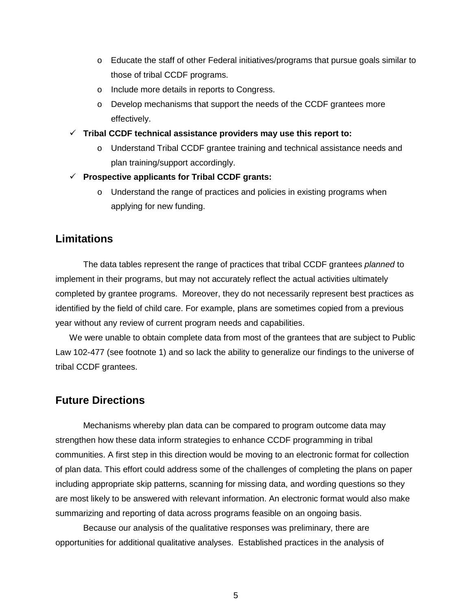- $\circ$  Educate the staff of other Federal initiatives/programs that pursue goals similar to those of tribal CCDF programs.
- o Include more details in reports to Congress.
- $\circ$  Develop mechanisms that support the needs of the CCDF grantees more effectively.
- **Tribal CCDF technical assistance providers may use this report to:**
	- o Understand Tribal CCDF grantee training and technical assistance needs and plan training/support accordingly.
- **Prospective applicants for Tribal CCDF grants:** 
	- o Understand the range of practices and policies in existing programs when applying for new funding.

# <span id="page-6-0"></span>**Limitations**

The data tables represent the range of practices that tribal CCDF grantees *planned* to implement in their programs, but may not accurately reflect the actual activities ultimately completed by grantee programs. Moreover, they do not necessarily represent best practices as identified by the field of child care. For example, plans are sometimes copied from a previous year without any review of current program needs and capabilities.

We were unable to obtain complete data from most of the grantees that are subject to Public Law 102-477 (see footnote 1) and so lack the ability to generalize our findings to the universe of tribal CCDF grantees.

# <span id="page-6-1"></span>**Future Directions**

Mechanisms whereby plan data can be compared to program outcome data may strengthen how these data inform strategies to enhance CCDF programming in tribal communities. A first step in this direction would be moving to an electronic format for collection of plan data. This effort could address some of the challenges of completing the plans on paper including appropriate skip patterns, scanning for missing data, and wording questions so they are most likely to be answered with relevant information. An electronic format would also make summarizing and reporting of data across programs feasible on an ongoing basis.

Because our analysis of the qualitative responses was preliminary, there are opportunities for additional qualitative analyses. Established practices in the analysis of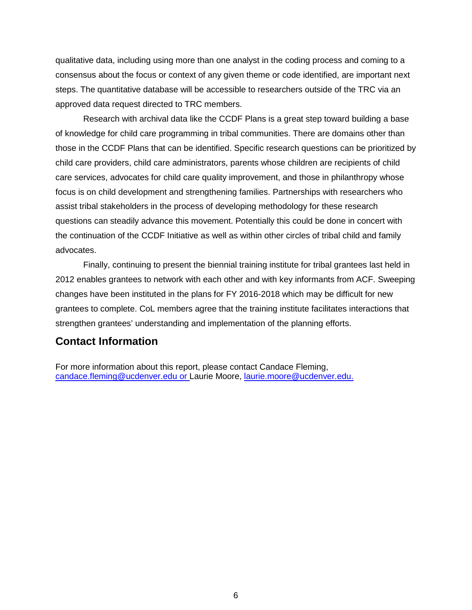qualitative data, including using more than one analyst in the coding process and coming to a consensus about the focus or context of any given theme or code identified, are important next steps. The quantitative database will be accessible to researchers outside of the TRC via an approved data request directed to TRC members.

Research with archival data like the CCDF Plans is a great step toward building a base of knowledge for child care programming in tribal communities. There are domains other than those in the CCDF Plans that can be identified. Specific research questions can be prioritized by child care providers, child care administrators, parents whose children are recipients of child care services, advocates for child care quality improvement, and those in philanthropy whose focus is on child development and strengthening families. Partnerships with researchers who assist tribal stakeholders in the process of developing methodology for these research questions can steadily advance this movement. Potentially this could be done in concert with the continuation of the CCDF Initiative as well as within other circles of tribal child and family advocates.

Finally, continuing to present the biennial training institute for tribal grantees last held in 2012 enables grantees to network with each other and with key informants from ACF. Sweeping changes have been instituted in the plans for FY 2016-2018 which may be difficult for new grantees to complete. CoL members agree that the training institute facilitates interactions that strengthen grantees' understanding and implementation of the planning efforts.

# <span id="page-7-0"></span>**Contact Information**

For more information about this report, please contact Candace Fleming, [candace.fleming@ucdenver.edu](mailto:candace.fleming@ucdenver.edu) or Laurie Moore, [laurie.moore@ucdenver.edu.](mailto:laurie.moore@ucdenver.edu)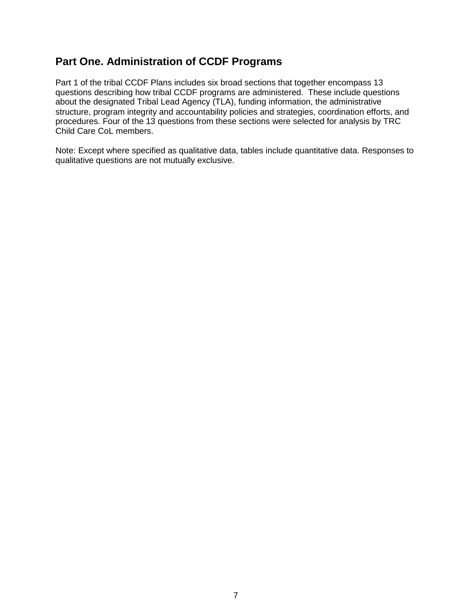# <span id="page-8-0"></span>**Part One. Administration of CCDF Programs**

Part 1 of the tribal CCDF Plans includes six broad sections that together encompass 13 questions describing how tribal CCDF programs are administered. These include questions about the designated Tribal Lead Agency (TLA), funding information, the administrative structure, program integrity and accountability policies and strategies, coordination efforts, and procedures. Four of the 13 questions from these sections were selected for analysis by TRC Child Care CoL members.

Note: Except where specified as qualitative data, tables include quantitative data. Responses to qualitative questions are not mutually exclusive.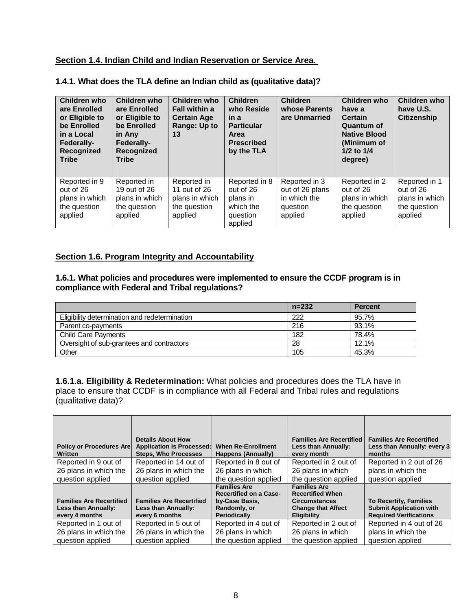#### <span id="page-9-0"></span>**Section 1.4. Indian Child and Indian Reservation or Service Area.**

|  |  |  | 1.4.1. What does the TLA define an Indian child as (qualitative data)? |
|--|--|--|------------------------------------------------------------------------|
|--|--|--|------------------------------------------------------------------------|

| Children who<br>are Enrolled<br>or Eligible to<br>be Enrolled<br>in a Local<br><b>Federally-</b><br>Recognized<br><b>Tribe</b> | Children who<br>are Enrolled<br>or Eligible to<br>be Enrolled<br>in Any<br><b>Federally-</b><br>Recognized<br><b>Tribe</b> | Children who<br><b>Fall within a</b><br><b>Certain Age</b><br>Range: Up to<br>13 | <b>Children</b><br>who Reside<br>in a<br><b>Particular</b><br><b>Area</b><br><b>Prescribed</b><br>by the TLA | <b>Children</b><br>whose Parents<br>are Unmarried                       | Children who<br>have a<br><b>Certain</b><br>Quantum of<br><b>Native Blood</b><br>(Minimum of<br>1/2 to 1/4<br>degree) | Children who<br>have U.S.<br><b>Citizenship</b>                         |
|--------------------------------------------------------------------------------------------------------------------------------|----------------------------------------------------------------------------------------------------------------------------|----------------------------------------------------------------------------------|--------------------------------------------------------------------------------------------------------------|-------------------------------------------------------------------------|-----------------------------------------------------------------------------------------------------------------------|-------------------------------------------------------------------------|
| Reported in 9<br>out of 26<br>plans in which<br>the question<br>applied                                                        | Reported in<br>19 out of 26<br>plans in which<br>the question<br>applied                                                   | Reported in<br>11 out of 26<br>plans in which<br>the question<br>applied         | Reported in 8<br>out of 26<br>plans in<br>which the<br>question<br>applied                                   | Reported in 3<br>out of 26 plans<br>in which the<br>question<br>applied | Reported in 2<br>out of 26<br>plans in which<br>the question<br>applied                                               | Reported in 1<br>out of 26<br>plans in which<br>the question<br>applied |

#### <span id="page-9-1"></span>**Section 1.6. Program Integrity and Accountability**

#### **1.6.1. What policies and procedures were implemented to ensure the CCDF program is in compliance with Federal and Tribal regulations?**

|                                               | $n = 232$ | <b>Percent</b> |
|-----------------------------------------------|-----------|----------------|
| Eligibility determination and redetermination | 222       | 95.7%          |
| Parent co-payments                            | 216       | 93.1%          |
| <b>Child Care Payments</b>                    | 182       | 78.4%          |
| Oversight of sub-grantees and contractors     | 28        | 12.1%          |
| Other                                         | 105       | 45.3%          |

**1.6.1.a. Eligibility & Redetermination:** What policies and procedures does the TLA have in place to ensure that CCDF is in compliance with all Federal and Tribal rules and regulations (qualitative data)?

| <b>Policy or Procedures Arel</b>                                         | <b>Details About How</b><br><b>Application Is Processed:</b>             | <b>When Re-Enrollment</b>                            | <b>Families Are Recertified</b><br>Less than Annually:                  | <b>Families Are Recertified</b><br>Less than Annually: every 3                                   |
|--------------------------------------------------------------------------|--------------------------------------------------------------------------|------------------------------------------------------|-------------------------------------------------------------------------|--------------------------------------------------------------------------------------------------|
| Written                                                                  | <b>Steps, Who Processes</b>                                              | Happens (Annually)                                   | every month                                                             | months                                                                                           |
| Reported in 9 out of                                                     | Reported in 14 out of                                                    | Reported in 8 out of                                 | Reported in 2 out of                                                    | Reported in 2 out of 26                                                                          |
| 26 plans in which the                                                    | 26 plans in which the                                                    | 26 plans in which                                    | 26 plans in which                                                       | plans in which the                                                                               |
| question applied                                                         | question applied                                                         | the question applied                                 | the question applied                                                    | question applied                                                                                 |
|                                                                          |                                                                          | <b>Families Are</b><br><b>Recertified on a Case-</b> | <b>Families Are</b><br><b>Recertified When</b>                          |                                                                                                  |
| <b>Families Are Recertified</b><br>Less than Annually:<br>every 4 months | <b>Families Are Recertified</b><br>Less than Annually:<br>every 6 months | by-Case Basis,<br>Randomly, or<br>Periodically       | <b>Circumstances</b><br><b>Change that Affect</b><br><b>Eligibility</b> | <b>To Recertify, Families</b><br><b>Submit Application with</b><br><b>Required Verifications</b> |
| Reported in 1 out of                                                     | Reported in 5 out of                                                     | Reported in 4 out of                                 | Reported in 2 out of                                                    | Reported in 4 out of 26                                                                          |
| 26 plans in which the                                                    | 26 plans in which the                                                    | 26 plans in which                                    | 26 plans in which                                                       | plans in which the                                                                               |
| question applied                                                         | question applied                                                         | the question applied                                 | the question applied                                                    | question applied                                                                                 |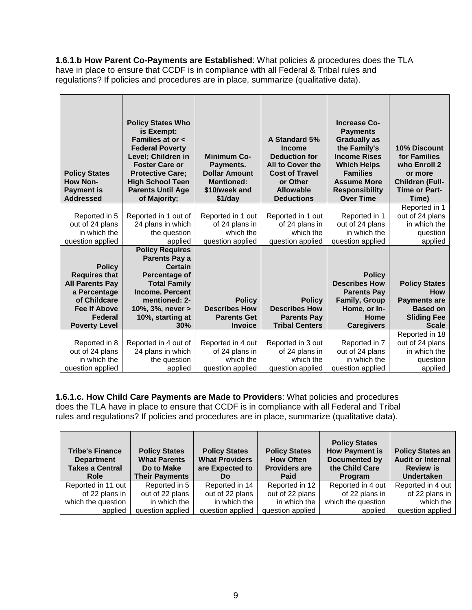**1.6.1.b How Parent Co-Payments are Established**: What policies & procedures does the TLA have in place to ensure that CCDF is in compliance with all Federal & Tribal rules and regulations? If policies and procedures are in place, summarize (qualitative data).

| <b>Policy States</b><br><b>How Non-</b><br><b>Payment is</b><br><b>Addressed</b>                                       | <b>Policy States Who</b><br>is Exempt:<br>Families at or <<br><b>Federal Poverty</b><br>Level; Children in<br><b>Foster Care or</b><br><b>Protective Care;</b><br><b>High School Teen</b><br><b>Parents Until Age</b><br>of Majority; | <b>Minimum Co-</b><br>Payments.<br><b>Dollar Amount</b><br><b>Mentioned:</b><br>\$10/week and<br>\$1/day | A Standard 5%<br><b>Income</b><br><b>Deduction for</b><br>All to Cover the<br><b>Cost of Travel</b><br>or Other<br><b>Allowable</b><br><b>Deductions</b> | <b>Increase Co-</b><br><b>Payments</b><br><b>Gradually as</b><br>the Family's<br><b>Income Rises</b><br><b>Which Helps</b><br><b>Families</b><br><b>Assume More</b><br><b>Responsibility</b><br><b>Over Time</b> | 10% Discount<br>for Families<br>who Enroll 2<br>or more<br><b>Children (Full-</b><br><b>Time or Part-</b><br>Time) |
|------------------------------------------------------------------------------------------------------------------------|---------------------------------------------------------------------------------------------------------------------------------------------------------------------------------------------------------------------------------------|----------------------------------------------------------------------------------------------------------|----------------------------------------------------------------------------------------------------------------------------------------------------------|------------------------------------------------------------------------------------------------------------------------------------------------------------------------------------------------------------------|--------------------------------------------------------------------------------------------------------------------|
|                                                                                                                        |                                                                                                                                                                                                                                       |                                                                                                          |                                                                                                                                                          |                                                                                                                                                                                                                  | Reported in 1                                                                                                      |
| Reported in 5                                                                                                          | Reported in 1 out of                                                                                                                                                                                                                  | Reported in 1 out                                                                                        | Reported in 1 out                                                                                                                                        | Reported in 1                                                                                                                                                                                                    | out of 24 plans                                                                                                    |
| out of 24 plans                                                                                                        | 24 plans in which                                                                                                                                                                                                                     | of 24 plans in                                                                                           | of 24 plans in                                                                                                                                           | out of 24 plans                                                                                                                                                                                                  | in which the                                                                                                       |
| in which the                                                                                                           | the question                                                                                                                                                                                                                          | which the                                                                                                | which the                                                                                                                                                | in which the                                                                                                                                                                                                     | question                                                                                                           |
| question applied                                                                                                       | applied                                                                                                                                                                                                                               | question applied                                                                                         | question applied                                                                                                                                         | question applied                                                                                                                                                                                                 | applied                                                                                                            |
| <b>Policy</b><br><b>Requires that</b><br><b>All Parents Pay</b><br>a Percentage<br>of Childcare<br><b>Fee If Above</b> | <b>Policy Requires</b><br><b>Parents Pay a</b><br><b>Certain</b><br>Percentage of<br><b>Total Family</b><br><b>Income. Percent</b><br>mentioned: 2-<br>10%, 3%, never >                                                               | <b>Policy</b><br><b>Describes How</b>                                                                    | <b>Policy</b><br><b>Describes How</b>                                                                                                                    | <b>Policy</b><br><b>Describes How</b><br><b>Parents Pay</b><br><b>Family, Group</b><br>Home, or In-                                                                                                              | <b>Policy States</b><br><b>How</b><br><b>Payments are</b><br><b>Based on</b>                                       |
| Federal                                                                                                                | 10%, starting at                                                                                                                                                                                                                      | <b>Parents Get</b>                                                                                       | <b>Parents Pay</b>                                                                                                                                       | Home                                                                                                                                                                                                             | <b>Sliding Fee</b>                                                                                                 |
| <b>Poverty Level</b>                                                                                                   | 30%                                                                                                                                                                                                                                   | <b>Invoice</b>                                                                                           | <b>Tribal Centers</b>                                                                                                                                    | <b>Caregivers</b>                                                                                                                                                                                                | <b>Scale</b>                                                                                                       |
|                                                                                                                        |                                                                                                                                                                                                                                       |                                                                                                          |                                                                                                                                                          |                                                                                                                                                                                                                  | Reported in 18                                                                                                     |
| Reported in 8                                                                                                          | Reported in 4 out of                                                                                                                                                                                                                  | Reported in 4 out                                                                                        | Reported in 3 out                                                                                                                                        | Reported in 7                                                                                                                                                                                                    | out of 24 plans                                                                                                    |
| out of 24 plans                                                                                                        | 24 plans in which                                                                                                                                                                                                                     | of 24 plans in                                                                                           | of 24 plans in                                                                                                                                           | out of 24 plans                                                                                                                                                                                                  | in which the                                                                                                       |
| in which the                                                                                                           | the question                                                                                                                                                                                                                          | which the                                                                                                | which the                                                                                                                                                | in which the                                                                                                                                                                                                     | question                                                                                                           |
| question applied                                                                                                       | applied                                                                                                                                                                                                                               | question applied                                                                                         | question applied                                                                                                                                         | question applied                                                                                                                                                                                                 | applied                                                                                                            |

**1.6.1.c. How Child Care Payments are Made to Providers**: What policies and procedures does the TLA have in place to ensure that CCDF is in compliance with all Federal and Tribal rules and regulations? If policies and procedures are in place, summarize (qualitative data).

| <b>Tribe's Finance</b><br><b>Department</b><br><b>Takes a Central</b><br>Role | <b>Policy States</b><br><b>What Parents</b><br>Do to Make<br><b>Their Payments</b> | <b>Policy States</b><br><b>What Providers</b><br>are Expected to<br>Do | <b>Policy States</b><br><b>How Often</b><br><b>Providers are</b><br>Paid | <b>Policy States</b><br><b>How Payment is</b><br><b>Documented by</b><br>the Child Care<br>Program | <b>Policy States an</b><br><b>Audit or Internal</b><br><b>Review is</b><br><b>Undertaken</b> |
|-------------------------------------------------------------------------------|------------------------------------------------------------------------------------|------------------------------------------------------------------------|--------------------------------------------------------------------------|----------------------------------------------------------------------------------------------------|----------------------------------------------------------------------------------------------|
| Reported in 11 out                                                            | Reported in 5                                                                      | Reported in 14                                                         | Reported in 12                                                           | Reported in 4 out                                                                                  | Reported in 4 out                                                                            |
| of 22 plans in                                                                | out of 22 plans                                                                    | out of 22 plans                                                        | out of 22 plans                                                          | of 22 plans in                                                                                     | of 22 plans in                                                                               |
| which the question                                                            | in which the                                                                       | in which the                                                           | in which the                                                             | which the question                                                                                 | which the                                                                                    |
| applied                                                                       | question applied                                                                   | question applied                                                       | question applied                                                         | applied                                                                                            | question applied                                                                             |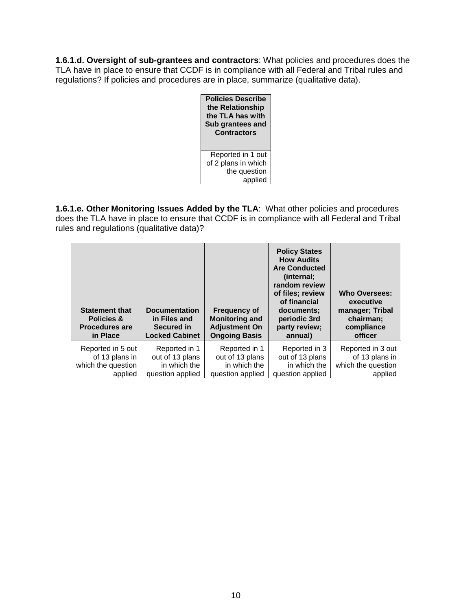**1.6.1.d. Oversight of sub-grantees and contractors**: What policies and procedures does the TLA have in place to ensure that CCDF is in compliance with all Federal and Tribal rules and regulations? If policies and procedures are in place, summarize (qualitative data).



**1.6.1.e. Other Monitoring Issues Added by the TLA**: What other policies and procedures does the TLA have in place to ensure that CCDF is in compliance with all Federal and Tribal rules and regulations (qualitative data)?

| <b>Statement that</b><br><b>Policies &amp;</b><br><b>Procedures are</b><br>in Place | <b>Documentation</b><br>in Files and<br>Secured in<br><b>Locked Cabinet</b> | <b>Frequency of</b><br><b>Monitoring and</b><br><b>Adjustment On</b><br><b>Ongoing Basis</b> | <b>Policy States</b><br><b>How Audits</b><br><b>Are Conducted</b><br>(internal;<br>random review<br>of files; review<br>of financial<br>documents:<br>periodic 3rd<br>party review;<br>annual) | <b>Who Oversees:</b><br>executive<br>manager; Tribal<br>chairman:<br>compliance<br>officer |
|-------------------------------------------------------------------------------------|-----------------------------------------------------------------------------|----------------------------------------------------------------------------------------------|------------------------------------------------------------------------------------------------------------------------------------------------------------------------------------------------|--------------------------------------------------------------------------------------------|
| Reported in 5 out                                                                   | Reported in 1                                                               | Reported in 1                                                                                | Reported in 3                                                                                                                                                                                  | Reported in 3 out                                                                          |
| of 13 plans in                                                                      | out of 13 plans                                                             | out of 13 plans                                                                              | out of 13 plans                                                                                                                                                                                | of 13 plans in                                                                             |
| which the question                                                                  | in which the                                                                | in which the                                                                                 | in which the                                                                                                                                                                                   | which the question                                                                         |
| applied                                                                             | question applied                                                            | question applied                                                                             | question applied                                                                                                                                                                               | applied                                                                                    |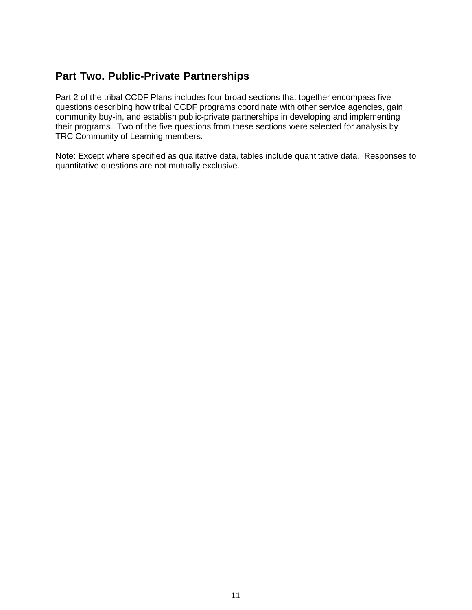# <span id="page-12-0"></span>**Part Two. Public-Private Partnerships**

Part 2 of the tribal CCDF Plans includes four broad sections that together encompass five questions describing how tribal CCDF programs coordinate with other service agencies, gain community buy-in, and establish public-private partnerships in developing and implementing their programs. Two of the five questions from these sections were selected for analysis by TRC Community of Learning members.

Note: Except where specified as qualitative data, tables include quantitative data. Responses to quantitative questions are not mutually exclusive.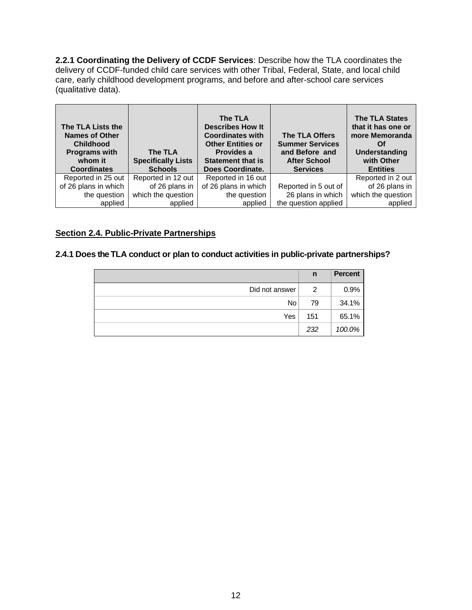**2.2.1 Coordinating the Delivery of CCDF Services**: Describe how the TLA coordinates the delivery of CCDF-funded child care services with other Tribal, Federal, State, and local child care, early childhood development programs, and before and after-school care services (qualitative data).

| The TLA Lists the<br><b>Names of Other</b><br><b>Childhood</b><br><b>Programs with</b><br>whom it<br><b>Coordinates</b> | The TLA<br><b>Specifically Lists</b><br><b>Schools</b> | The TLA<br><b>Describes How It</b><br><b>Coordinates with</b><br><b>Other Entities or</b><br>Provides a<br><b>Statement that is</b><br>Does Coordinate. | The TLA Offers<br><b>Summer Services</b><br>and Before and<br><b>After School</b><br><b>Services</b> | <b>The TLA States</b><br>that it has one or<br>more Memoranda<br>Οf<br><b>Understanding</b><br>with Other<br><b>Entities</b> |
|-------------------------------------------------------------------------------------------------------------------------|--------------------------------------------------------|---------------------------------------------------------------------------------------------------------------------------------------------------------|------------------------------------------------------------------------------------------------------|------------------------------------------------------------------------------------------------------------------------------|
| Reported in 25 out                                                                                                      | Reported in 12 out                                     | Reported in 16 out                                                                                                                                      |                                                                                                      | Reported in 2 out                                                                                                            |
| of 26 plans in which                                                                                                    | of 26 plans in                                         | of 26 plans in which                                                                                                                                    | Reported in 5 out of                                                                                 | of 26 plans in                                                                                                               |
| the question                                                                                                            | which the question                                     | the question                                                                                                                                            | 26 plans in which                                                                                    | which the question                                                                                                           |
| applied                                                                                                                 | applied                                                | applied                                                                                                                                                 | the question applied                                                                                 | applied                                                                                                                      |

#### <span id="page-13-0"></span>**Section 2.4. Public-Private Partnerships**

#### **2.4.1 Does the TLA conduct or plan to conduct activities in public-private partnerships?**

|                | n   | <b>Percent</b> |
|----------------|-----|----------------|
| Did not answer | 2   | 0.9%           |
| <b>No</b>      | 79  | 34.1%          |
| Yes            | 151 | 65.1%          |
|                | 232 | 100.0%         |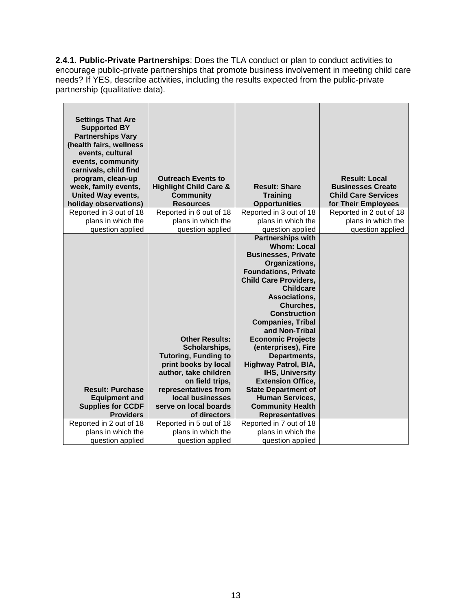**2.4.1. Public-Private Partnerships**: Does the TLA conduct or plan to conduct activities to encourage public-private partnerships that promote business involvement in meeting child care needs? If YES, describe activities, including the results expected from the public-private partnership (qualitative data).

| <b>Settings That Are</b><br><b>Supported BY</b><br><b>Partnerships Vary</b><br>(health fairs, wellness<br>events, cultural<br>events, community<br>carnivals, child find<br>program, clean-up<br>week, family events,<br><b>United Way events,</b><br>holiday observations) | <b>Outreach Events to</b><br><b>Highlight Child Care &amp;</b><br><b>Community</b><br><b>Resources</b>                                                                                                                         | <b>Result: Share</b><br><b>Training</b><br><b>Opportunities</b>                                                                                                                                                                                                                                                                                                                                                                                                                                                                                    | <b>Result: Local</b><br><b>Businesses Create</b><br><b>Child Care Services</b><br>for Their Employees |
|-----------------------------------------------------------------------------------------------------------------------------------------------------------------------------------------------------------------------------------------------------------------------------|--------------------------------------------------------------------------------------------------------------------------------------------------------------------------------------------------------------------------------|----------------------------------------------------------------------------------------------------------------------------------------------------------------------------------------------------------------------------------------------------------------------------------------------------------------------------------------------------------------------------------------------------------------------------------------------------------------------------------------------------------------------------------------------------|-------------------------------------------------------------------------------------------------------|
| Reported in 3 out of 18                                                                                                                                                                                                                                                     | Reported in 6 out of 18                                                                                                                                                                                                        | Reported in 3 out of 18                                                                                                                                                                                                                                                                                                                                                                                                                                                                                                                            | Reported in 2 out of 18                                                                               |
| plans in which the                                                                                                                                                                                                                                                          | plans in which the                                                                                                                                                                                                             | plans in which the                                                                                                                                                                                                                                                                                                                                                                                                                                                                                                                                 | plans in which the                                                                                    |
| question applied                                                                                                                                                                                                                                                            | question applied                                                                                                                                                                                                               | question applied                                                                                                                                                                                                                                                                                                                                                                                                                                                                                                                                   | question applied                                                                                      |
| <b>Result: Purchase</b><br><b>Equipment and</b><br><b>Supplies for CCDF</b><br><b>Providers</b>                                                                                                                                                                             | <b>Other Results:</b><br>Scholarships,<br><b>Tutoring, Funding to</b><br>print books by local<br>author, take children<br>on field trips,<br>representatives from<br>local businesses<br>serve on local boards<br>of directors | <b>Partnerships with</b><br><b>Whom: Local</b><br><b>Businesses, Private</b><br>Organizations,<br><b>Foundations, Private</b><br><b>Child Care Providers,</b><br><b>Childcare</b><br>Associations,<br>Churches,<br><b>Construction</b><br><b>Companies, Tribal</b><br>and Non-Tribal<br><b>Economic Projects</b><br>(enterprises), Fire<br>Departments,<br>Highway Patrol, BIA,<br><b>IHS, University</b><br><b>Extension Office,</b><br><b>State Department of</b><br><b>Human Services,</b><br><b>Community Health</b><br><b>Representatives</b> |                                                                                                       |
| Reported in 2 out of 18                                                                                                                                                                                                                                                     | Reported in 5 out of 18                                                                                                                                                                                                        | Reported in 7 out of 18                                                                                                                                                                                                                                                                                                                                                                                                                                                                                                                            |                                                                                                       |
| plans in which the                                                                                                                                                                                                                                                          | plans in which the                                                                                                                                                                                                             | plans in which the                                                                                                                                                                                                                                                                                                                                                                                                                                                                                                                                 |                                                                                                       |
| question applied                                                                                                                                                                                                                                                            | question applied                                                                                                                                                                                                               | question applied                                                                                                                                                                                                                                                                                                                                                                                                                                                                                                                                   |                                                                                                       |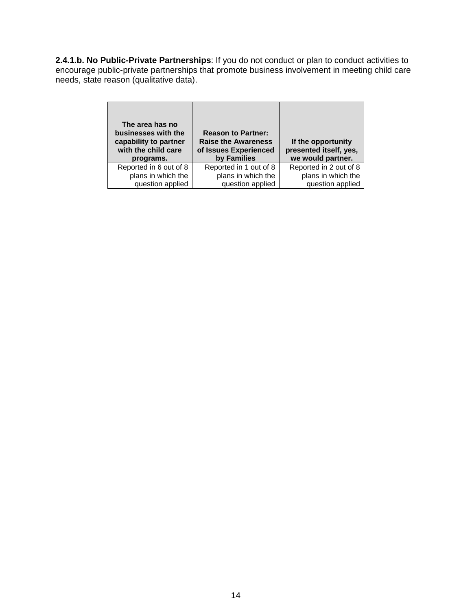**2.4.1.b. No Public-Private Partnerships**: If you do not conduct or plan to conduct activities to encourage public-private partnerships that promote business involvement in meeting child care needs, state reason (qualitative data).

| The area has no<br>businesses with the<br>capability to partner<br>with the child care<br>programs. | <b>Reason to Partner:</b><br><b>Raise the Awareness</b><br>of Issues Experienced<br>by Families | If the opportunity<br>presented itself, yes,<br>we would partner. |
|-----------------------------------------------------------------------------------------------------|-------------------------------------------------------------------------------------------------|-------------------------------------------------------------------|
| Reported in 6 out of 8                                                                              | Reported in 1 out of 8                                                                          | Reported in 2 out of 8                                            |
| plans in which the                                                                                  | plans in which the                                                                              | plans in which the                                                |
| question applied                                                                                    | question applied                                                                                | question applied                                                  |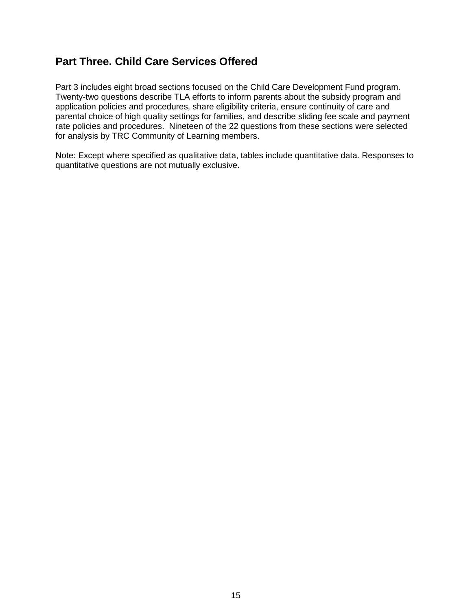# <span id="page-16-0"></span>**Part Three. Child Care Services Offered**

Part 3 includes eight broad sections focused on the Child Care Development Fund program. Twenty-two questions describe TLA efforts to inform parents about the subsidy program and application policies and procedures, share eligibility criteria, ensure continuity of care and parental choice of high quality settings for families, and describe sliding fee scale and payment rate policies and procedures. Nineteen of the 22 questions from these sections were selected for analysis by TRC Community of Learning members.

Note: Except where specified as qualitative data, tables include quantitative data. Responses to quantitative questions are not mutually exclusive.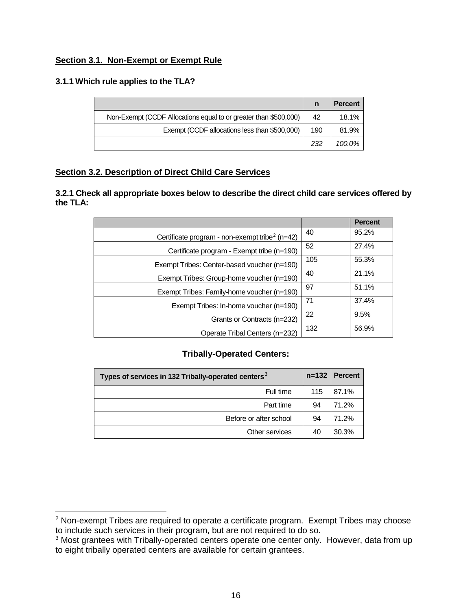#### <span id="page-17-0"></span>**Section 3.1. Non-Exempt or Exempt Rule**

#### **3.1.1 Which rule applies to the TLA?**

|                                                                  |     | <b>Percent</b> |
|------------------------------------------------------------------|-----|----------------|
| Non-Exempt (CCDF Allocations equal to or greater than \$500,000) | 42  | 18.1%          |
| Exempt (CCDF allocations less than \$500,000)                    | 190 | 81.9%          |
|                                                                  | 232 | 100.0%         |

#### <span id="page-17-1"></span>**Section 3.2. Description of Direct Child Care Services**

**3.2.1 Check all appropriate boxes below to describe the direct child care services offered by the TLA:** 

|                                                            |     | <b>Percent</b> |
|------------------------------------------------------------|-----|----------------|
| Certificate program - non-exempt tribe <sup>2</sup> (n=42) | 40  | 95.2%          |
| Certificate program - Exempt tribe (n=190)                 | 52  | 27.4%          |
| Exempt Tribes: Center-based voucher (n=190)                | 105 | 55.3%          |
| Exempt Tribes: Group-home voucher (n=190)                  | 40  | 21.1%          |
| Exempt Tribes: Family-home voucher (n=190)                 | 97  | 51.1%          |
| Exempt Tribes: In-home voucher (n=190)                     | 71  | 37.4%          |
| Grants or Contracts (n=232)                                | 22  | 9.5%           |
| Operate Tribal Centers (n=232)                             | 132 | 56.9%          |

#### **Tribally-Operated Centers:**

| Types of services in 132 Tribally-operated centers <sup>3</sup> | $n = 132$ | <b>Percent</b> |
|-----------------------------------------------------------------|-----------|----------------|
| Full time                                                       | 115       | 87.1%          |
| Part time                                                       | 94        | 71.2%          |
| Before or after school                                          | 94        | 71.2%          |
| Other services                                                  | 40        | 30.3%          |

<span id="page-17-2"></span><sup>&</sup>lt;sup>2</sup> Non-exempt Tribes are required to operate a certificate program. Exempt Tribes may choose to include such services in their program, but are not required to do so.

<span id="page-17-3"></span><sup>&</sup>lt;sup>3</sup> Most grantees with Tribally-operated centers operate one center only. However, data from up to eight tribally operated centers are available for certain grantees.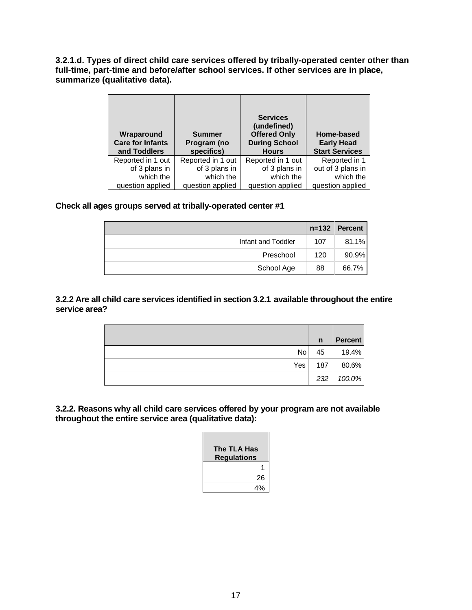**3.2.1.d. Types of direct child care services offered by tribally-operated center other than full-time, part-time and before/after school services. If other services are in place, summarize (qualitative data).**

| Wraparound<br><b>Care for Infants</b><br>and Toddlers | <b>Summer</b><br>Program (no<br>specifics) | <b>Services</b><br>(undefined)<br><b>Offered Only</b><br><b>During School</b><br><b>Hours</b> | Home-based<br><b>Early Head</b><br><b>Start Services</b> |
|-------------------------------------------------------|--------------------------------------------|-----------------------------------------------------------------------------------------------|----------------------------------------------------------|
| Reported in 1 out                                     | Reported in 1 out                          | Reported in 1 out                                                                             | Reported in 1                                            |
| of 3 plans in                                         | of 3 plans in                              | of 3 plans in                                                                                 | out of 3 plans in                                        |
| which the                                             | which the                                  | which the                                                                                     | which the                                                |
| question applied                                      | question applied                           | question applied                                                                              | question applied                                         |

#### **Check all ages groups served at tribally-operated center #1**

|                    | $n = 132$ | <b>Percent</b> |
|--------------------|-----------|----------------|
| Infant and Toddler | 107       | $81.1\%$       |
| Preschool          | 120       | 90.9%          |
| School Age         | 88        | 66.7%          |

#### **3.2.2 Are all child care services identified in section 3.2.1 available throughout the entire service area?**

|                 | $\mathsf{n}$ | <b>Percent</b> |
|-----------------|--------------|----------------|
| No <sub>1</sub> | 45           | 19.4%          |
| Yes             | 187          | 80.6%          |
|                 |              | 232 100.0%     |

**3.2.2. Reasons why all child care services offered by your program are not available throughout the entire service area (qualitative data):**

| The TLA Has<br><b>Regulations</b> |
|-----------------------------------|
|                                   |
| 26                                |
| 4%                                |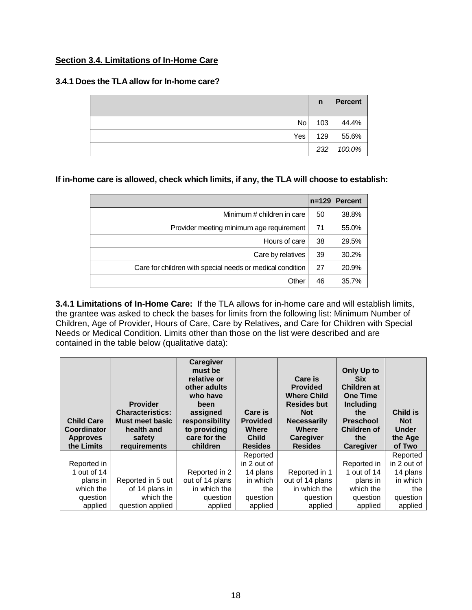#### <span id="page-19-0"></span>**Section 3.4. Limitations of In-Home Care**

#### **3.4.1 Does the TLA allow for In-home care?**

|                 | $\mathsf{n}$ | <b>Percent</b> |
|-----------------|--------------|----------------|
| No <sub>1</sub> | 103          | 44.4%          |
| Yes l           | 129          | 55.6%          |
|                 | 232          | 100.0%         |

#### **If in-home care is allowed, check which limits, if any, the TLA will choose to establish:**

|                                                           | $n = 129$ | <b>Percent</b> |
|-----------------------------------------------------------|-----------|----------------|
| Minimum # children in care                                | 50        | 38.8%          |
| Provider meeting minimum age requirement                  | 71        | 55.0%          |
| Hours of care                                             | 38        | 29.5%          |
| Care by relatives                                         | 39        | 30.2%          |
| Care for children with special needs or medical condition | 27        | 20.9%          |
| Other                                                     | 46        | 35.7%          |

**3.4.1 Limitations of In-Home Care:** If the TLA allows for in-home care and will establish limits, the grantee was asked to check the bases for limits from the following list: Minimum Number of Children, Age of Provider, Hours of Care, Care by Relatives, and Care for Children with Special Needs or Medical Condition. Limits other than those on the list were described and are contained in the table below (qualitative data):

| <b>Child Care</b><br><b>Coordinator</b><br><b>Approves</b><br>the Limits | <b>Provider</b><br><b>Characteristics:</b><br>Must meet basic<br>health and<br>safety<br>requirements | <b>Caregiver</b><br>must be<br>relative or<br>other adults<br>who have<br>been<br>assigned<br>responsibility<br>to providing<br>care for the<br>children | Care is<br><b>Provided</b><br>Where<br><b>Child</b><br><b>Resides</b> | Care is<br><b>Provided</b><br><b>Where Child</b><br><b>Resides but</b><br><b>Not</b><br><b>Necessarily</b><br>Where<br><b>Caregiver</b><br><b>Resides</b> | Only Up to<br><b>Six</b><br><b>Children at</b><br><b>One Time</b><br><b>Including</b><br>the<br><b>Preschool</b><br><b>Children of</b><br>the<br><b>Caregiver</b> | Child is<br><b>Not</b><br><b>Under</b><br>the Age<br>of Two |
|--------------------------------------------------------------------------|-------------------------------------------------------------------------------------------------------|----------------------------------------------------------------------------------------------------------------------------------------------------------|-----------------------------------------------------------------------|-----------------------------------------------------------------------------------------------------------------------------------------------------------|-------------------------------------------------------------------------------------------------------------------------------------------------------------------|-------------------------------------------------------------|
|                                                                          |                                                                                                       |                                                                                                                                                          |                                                                       |                                                                                                                                                           |                                                                                                                                                                   |                                                             |
|                                                                          |                                                                                                       |                                                                                                                                                          | Reported                                                              |                                                                                                                                                           |                                                                                                                                                                   | Reported                                                    |
| Reported in                                                              |                                                                                                       |                                                                                                                                                          | in 2 out of                                                           |                                                                                                                                                           | Reported in                                                                                                                                                       | in 2 out of                                                 |
| 1 out of 14                                                              |                                                                                                       | Reported in 2                                                                                                                                            | 14 plans                                                              | Reported in 1                                                                                                                                             | 1 out of 14                                                                                                                                                       | 14 plans                                                    |
| plans in                                                                 | Reported in 5 out                                                                                     | out of 14 plans                                                                                                                                          | in which                                                              | out of 14 plans                                                                                                                                           | plans in                                                                                                                                                          | in which                                                    |
| which the                                                                | of 14 plans in                                                                                        | in which the                                                                                                                                             | the                                                                   | in which the                                                                                                                                              | which the                                                                                                                                                         | the                                                         |
| question<br>applied                                                      | which the                                                                                             | question                                                                                                                                                 | question<br>applied                                                   | question<br>applied                                                                                                                                       | question<br>applied                                                                                                                                               | question                                                    |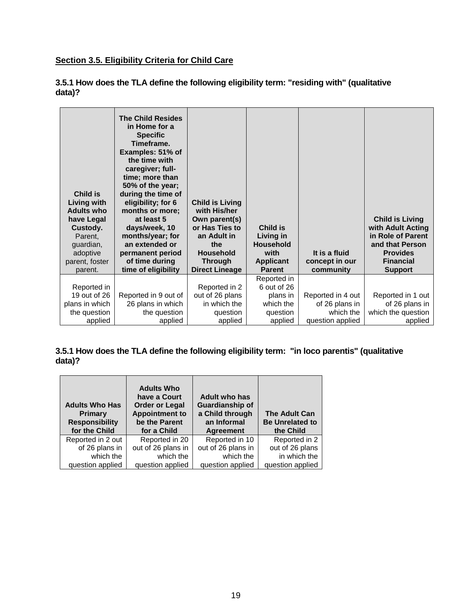#### <span id="page-20-0"></span>**Section 3.5. Eligibility Criteria for Child Care**

| Child is<br>Living with<br><b>Adults who</b><br>have Legal<br>Custody.<br>Parent,<br>guardian,<br>adoptive<br>parent, foster<br>parent. | <b>The Child Resides</b><br>in Home for a<br><b>Specific</b><br>Timeframe.<br>Examples: 51% of<br>the time with<br>caregiver; full-<br>time; more than<br>50% of the year;<br>during the time of<br>eligibility; for 6<br>months or more;<br>at least 5<br>days/week, 10<br>months/year; for<br>an extended or<br>permanent period<br>of time during<br>time of eligibility | <b>Child is Living</b><br>with His/her<br>Own parent(s)<br>or Has Ties to<br>an Adult in<br>the<br><b>Household</b><br><b>Through</b><br><b>Direct Lineage</b> | <b>Child is</b><br>Living in<br><b>Household</b><br>with<br><b>Applicant</b><br><b>Parent</b> | It is a fluid<br>concept in our<br>community | <b>Child is Living</b><br>with Adult Acting<br>in Role of Parent<br>and that Person<br><b>Provides</b><br><b>Financial</b><br><b>Support</b> |
|-----------------------------------------------------------------------------------------------------------------------------------------|-----------------------------------------------------------------------------------------------------------------------------------------------------------------------------------------------------------------------------------------------------------------------------------------------------------------------------------------------------------------------------|----------------------------------------------------------------------------------------------------------------------------------------------------------------|-----------------------------------------------------------------------------------------------|----------------------------------------------|----------------------------------------------------------------------------------------------------------------------------------------------|
|                                                                                                                                         |                                                                                                                                                                                                                                                                                                                                                                             |                                                                                                                                                                | Reported in                                                                                   |                                              |                                                                                                                                              |
| Reported in                                                                                                                             |                                                                                                                                                                                                                                                                                                                                                                             | Reported in 2                                                                                                                                                  | 6 out of 26                                                                                   |                                              |                                                                                                                                              |
| 19 out of 26                                                                                                                            | Reported in 9 out of                                                                                                                                                                                                                                                                                                                                                        | out of 26 plans                                                                                                                                                | plans in                                                                                      | Reported in 4 out                            | Reported in 1 out                                                                                                                            |
| plans in which                                                                                                                          | 26 plans in which                                                                                                                                                                                                                                                                                                                                                           | in which the                                                                                                                                                   | which the                                                                                     | of 26 plans in                               | of 26 plans in                                                                                                                               |
| the question                                                                                                                            | the question                                                                                                                                                                                                                                                                                                                                                                | question                                                                                                                                                       | question                                                                                      | which the                                    | which the question                                                                                                                           |
| applied                                                                                                                                 | applied                                                                                                                                                                                                                                                                                                                                                                     | applied                                                                                                                                                        | applied                                                                                       | question applied                             | applied                                                                                                                                      |

**3.5.1 How does the TLA define the following eligibility term: "residing with" (qualitative data)?** 

#### **3.5.1 How does the TLA define the following eligibility term: "in loco parentis" (qualitative data)?**

| <b>Adults Who Has</b><br><b>Primary</b><br><b>Responsibility</b><br>for the Child | <b>Adults Who</b><br>have a Court<br><b>Order or Legal</b><br><b>Appointment to</b><br>be the Parent<br>for a Child | <b>Adult who has</b><br><b>Guardianship of</b><br>a Child through<br>an Informal<br><b>Agreement</b> | The Adult Can<br><b>Be Unrelated to</b><br>the Child |
|-----------------------------------------------------------------------------------|---------------------------------------------------------------------------------------------------------------------|------------------------------------------------------------------------------------------------------|------------------------------------------------------|
| Reported in 2 out                                                                 | Reported in 20                                                                                                      | Reported in 10                                                                                       | Reported in 2                                        |
| of 26 plans in                                                                    | out of 26 plans in                                                                                                  | out of 26 plans in                                                                                   | out of 26 plans                                      |
| which the                                                                         | which the                                                                                                           | which the                                                                                            | in which the                                         |
| question applied                                                                  | question applied                                                                                                    | question applied                                                                                     | question applied                                     |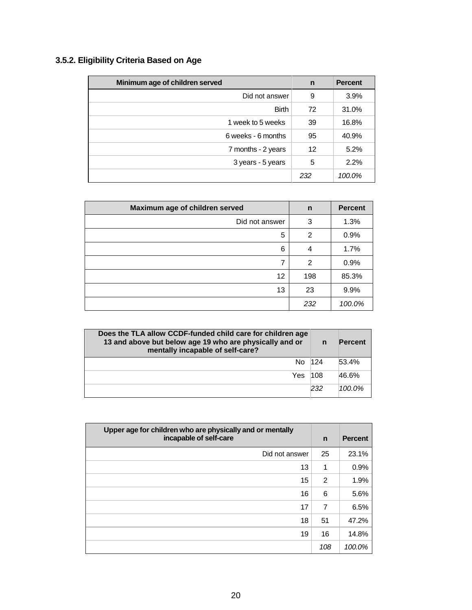| 3.5.2. Eligibility Criteria Based on Age |  |  |
|------------------------------------------|--|--|
|                                          |  |  |

| Minimum age of children served | n   | <b>Percent</b> |
|--------------------------------|-----|----------------|
| Did not answer                 | 9   | 3.9%           |
| <b>Birth</b>                   | 72  | 31.0%          |
| 1 week to 5 weeks              | 39  | 16.8%          |
| 6 weeks - 6 months             | 95  | 40.9%          |
| 7 months - 2 years             | 12  | 5.2%           |
| 3 years - 5 years              | 5   | 2.2%           |
|                                | 232 | 100.0%         |

| Maximum age of children served | n              | <b>Percent</b> |
|--------------------------------|----------------|----------------|
| Did not answer                 | 3              | 1.3%           |
| 5                              | $\overline{2}$ | 0.9%           |
| 6                              | 4              | 1.7%           |
| 7                              | $\overline{2}$ | 0.9%           |
| 12                             | 198            | 85.3%          |
| 13                             | 23             | 9.9%           |
|                                | 232            | 100.0%         |

| Does the TLA allow CCDF-funded child care for children age<br>13 and above but below age 19 who are physically and or<br>mentally incapable of self-care? | $\mathbf n$ | <b>Percent</b> |
|-----------------------------------------------------------------------------------------------------------------------------------------------------------|-------------|----------------|
| No 124                                                                                                                                                    |             | 53.4%          |
| Yes.                                                                                                                                                      | 108         | 46.6%          |
|                                                                                                                                                           | 232         | $100.0\%$      |

| Upper age for children who are physically and or mentally<br>incapable of self-care |                | <b>Percent</b> |
|-------------------------------------------------------------------------------------|----------------|----------------|
| Did not answer                                                                      | 25             | 23.1%          |
| 13                                                                                  | 1              | 0.9%           |
| 15                                                                                  | 2              | 1.9%           |
| 16                                                                                  | 6              | 5.6%           |
| 17                                                                                  | $\overline{7}$ | 6.5%           |
| 18                                                                                  | 51             | 47.2%          |
| 19                                                                                  | 16             | 14.8%          |
|                                                                                     | 108            | 100.0%         |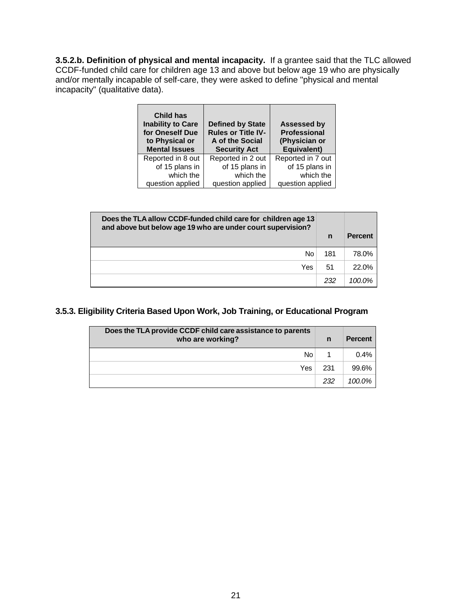**3.5.2.b. Definition of physical and mental incapacity.** If a grantee said that the TLC allowed CCDF-funded child care for children age 13 and above but below age 19 who are physically and/or mentally incapable of self-care, they were asked to define "physical and mental incapacity" (qualitative data).

| <b>Child has</b><br><b>Inability to Care</b><br>for Oneself Due<br>to Physical or<br><b>Mental Issues</b> | <b>Defined by State</b><br><b>Rules or Title IV-</b><br>A of the Social<br><b>Security Act</b> | <b>Assessed by</b><br><b>Professional</b><br>(Physician or<br>Equivalent) |
|-----------------------------------------------------------------------------------------------------------|------------------------------------------------------------------------------------------------|---------------------------------------------------------------------------|
| Reported in 8 out                                                                                         | Reported in 2 out                                                                              | Reported in 7 out                                                         |
| of 15 plans in                                                                                            | of 15 plans in                                                                                 | of 15 plans in                                                            |
| which the                                                                                                 | which the                                                                                      | which the                                                                 |
| question applied                                                                                          | question applied                                                                               | question applied                                                          |

| Does the TLA allow CCDF-funded child care for children age 13<br>and above but below age 19 who are under court supervision? | n   | <b>Percent</b> |
|------------------------------------------------------------------------------------------------------------------------------|-----|----------------|
| No                                                                                                                           | 181 | 78.0%          |
| Yes                                                                                                                          | 51  | 22.0%          |
|                                                                                                                              | 232 | 100.0%         |

#### **3.5.3. Eligibility Criteria Based Upon Work, Job Training, or Educational Program**

| Does the TLA provide CCDF child care assistance to parents<br>who are working? |     | <b>Percent</b> |
|--------------------------------------------------------------------------------|-----|----------------|
| No                                                                             |     | 0.4%           |
| Yes                                                                            | 231 | 99.6%          |
|                                                                                | 232 | 100.0%         |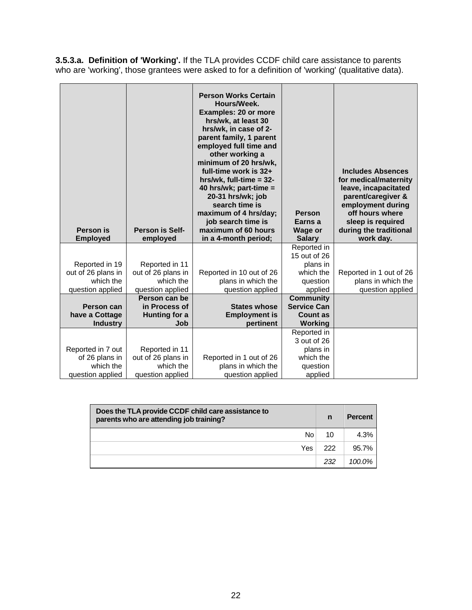**3.5.3.a. Definition of 'Working'.** If the TLA provides CCDF child care assistance to parents who are 'working', those grantees were asked to for a definition of 'working' (qualitative data).

| Person is<br><b>Employed</b> | <b>Person is Self-</b><br>employed | <b>Person Works Certain</b><br>Hours/Week.<br><b>Examples: 20 or more</b><br>hrs/wk, at least 30<br>hrs/wk, in case of 2-<br>parent family, 1 parent<br>employed full time and<br>other working a<br>minimum of 20 hrs/wk,<br>full-time work is 32+<br>hrs/wk, full-time $= 32$ -<br>40 hrs/wk; part-time =<br>20-31 hrs/wk; job<br>search time is<br>maximum of 4 hrs/day;<br>job search time is<br>maximum of 60 hours<br>in a 4-month period; | <b>Person</b><br>Earns a<br><b>Wage or</b><br><b>Salary</b> | <b>Includes Absences</b><br>for medical/maternity<br>leave, incapacitated<br>parent/caregiver &<br>employment during<br>off hours where<br>sleep is required<br>during the traditional<br>work day. |
|------------------------------|------------------------------------|--------------------------------------------------------------------------------------------------------------------------------------------------------------------------------------------------------------------------------------------------------------------------------------------------------------------------------------------------------------------------------------------------------------------------------------------------|-------------------------------------------------------------|-----------------------------------------------------------------------------------------------------------------------------------------------------------------------------------------------------|
|                              |                                    |                                                                                                                                                                                                                                                                                                                                                                                                                                                  | Reported in<br>15 out of 26                                 |                                                                                                                                                                                                     |
| Reported in 19               | Reported in 11                     |                                                                                                                                                                                                                                                                                                                                                                                                                                                  | plans in                                                    |                                                                                                                                                                                                     |
| out of 26 plans in           | out of 26 plans in                 | Reported in 10 out of 26                                                                                                                                                                                                                                                                                                                                                                                                                         | which the                                                   | Reported in 1 out of 26                                                                                                                                                                             |
| which the                    | which the                          | plans in which the                                                                                                                                                                                                                                                                                                                                                                                                                               | question                                                    | plans in which the                                                                                                                                                                                  |
| question applied             | question applied                   | question applied                                                                                                                                                                                                                                                                                                                                                                                                                                 | applied                                                     | question applied                                                                                                                                                                                    |
|                              | Person can be                      |                                                                                                                                                                                                                                                                                                                                                                                                                                                  | <b>Community</b>                                            |                                                                                                                                                                                                     |
| <b>Person can</b>            | in Process of                      | <b>States whose</b>                                                                                                                                                                                                                                                                                                                                                                                                                              | <b>Service Can</b>                                          |                                                                                                                                                                                                     |
| have a Cottage               | Hunting for a<br>Job               | <b>Employment is</b><br>pertinent                                                                                                                                                                                                                                                                                                                                                                                                                | <b>Count as</b>                                             |                                                                                                                                                                                                     |
| <b>Industry</b>              |                                    |                                                                                                                                                                                                                                                                                                                                                                                                                                                  | Working                                                     |                                                                                                                                                                                                     |
|                              |                                    |                                                                                                                                                                                                                                                                                                                                                                                                                                                  | Reported in<br>3 out of 26                                  |                                                                                                                                                                                                     |
| Reported in 7 out            | Reported in 11                     |                                                                                                                                                                                                                                                                                                                                                                                                                                                  | plans in                                                    |                                                                                                                                                                                                     |
| of 26 plans in               | out of 26 plans in                 | Reported in 1 out of 26                                                                                                                                                                                                                                                                                                                                                                                                                          | which the                                                   |                                                                                                                                                                                                     |
| which the                    | which the                          | plans in which the                                                                                                                                                                                                                                                                                                                                                                                                                               | question                                                    |                                                                                                                                                                                                     |
| question applied             | question applied                   | question applied                                                                                                                                                                                                                                                                                                                                                                                                                                 | applied                                                     |                                                                                                                                                                                                     |

| Does the TLA provide CCDF child care assistance to<br>parents who are attending job training? |     | <b>Percent</b> |
|-----------------------------------------------------------------------------------------------|-----|----------------|
| No                                                                                            | 10  | 4.3%           |
| Yes                                                                                           | 222 | 95.7%          |
|                                                                                               | 232 | 100.0%         |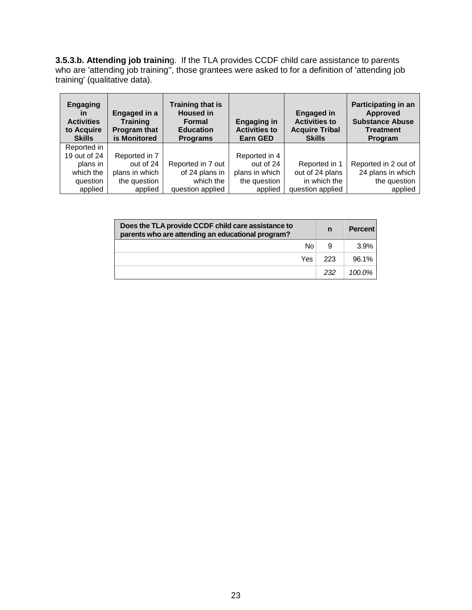**3.5.3.b. Attending job trainin**g. If the TLA provides CCDF child care assistance to parents who are 'attending job training'', those grantees were asked to for a definition of 'attending job training' (qualitative data).

| <b>Engaging</b><br>in<br><b>Activities</b><br>to Acquire<br><b>Skills</b> | Engaged in a<br><b>Training</b><br><b>Program that</b><br>is Monitored | <b>Training that is</b><br><b>Housed in</b><br><b>Formal</b><br><b>Education</b><br><b>Programs</b> | <b>Engaging in</b><br><b>Activities to</b><br><b>Earn GED</b> | <b>Engaged in</b><br><b>Activities to</b><br><b>Acquire Tribal</b><br><b>Skills</b> | Participating in an<br><b>Approved</b><br><b>Substance Abuse</b><br><b>Treatment</b><br>Program |
|---------------------------------------------------------------------------|------------------------------------------------------------------------|-----------------------------------------------------------------------------------------------------|---------------------------------------------------------------|-------------------------------------------------------------------------------------|-------------------------------------------------------------------------------------------------|
| Reported in                                                               |                                                                        |                                                                                                     |                                                               |                                                                                     |                                                                                                 |
| 19 out of 24                                                              | Reported in 7                                                          |                                                                                                     | Reported in 4                                                 |                                                                                     |                                                                                                 |
| plans in                                                                  | out of 24                                                              | Reported in 7 out                                                                                   | out of 24                                                     | Reported in 1                                                                       | Reported in 2 out of                                                                            |
| which the                                                                 | plans in which                                                         | of 24 plans in                                                                                      | plans in which                                                | out of 24 plans                                                                     | 24 plans in which                                                                               |
| question                                                                  | the question                                                           | which the                                                                                           | the question                                                  | in which the                                                                        | the question                                                                                    |
| applied                                                                   | applied                                                                | question applied                                                                                    | applied                                                       | question applied                                                                    | applied                                                                                         |

| Does the TLA provide CCDF child care assistance to<br>parents who are attending an educational program? | n   | <b>Percent</b> |
|---------------------------------------------------------------------------------------------------------|-----|----------------|
| No.                                                                                                     | 9   | 3.9%           |
| Yes.                                                                                                    | 223 | 96.1%          |
|                                                                                                         | 232 | $100.0\%$      |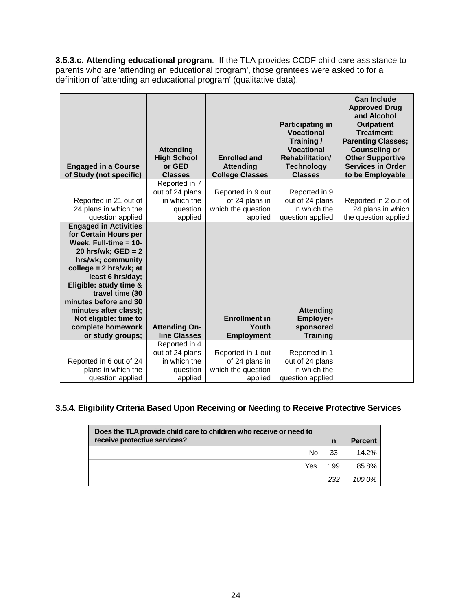**3.5.3.c. Attending educational program**. If the TLA provides CCDF child care assistance to parents who are 'attending an educational program', those grantees were asked to for a definition of 'attending an educational program' (qualitative data).

| <b>Engaged in a Course</b>                                                                                                                                                                                                                                                                                                                      | <b>Attending</b><br><b>High School</b><br>or GED                        | <b>Enrolled and</b><br><b>Attending</b>                              | <b>Participating in</b><br><b>Vocational</b><br>Training/<br><b>Vocational</b><br><b>Rehabilitation/</b><br><b>Technology</b> | <b>Can Include</b><br><b>Approved Drug</b><br>and Alcohol<br><b>Outpatient</b><br>Treatment:<br><b>Parenting Classes;</b><br><b>Counseling or</b><br><b>Other Supportive</b><br><b>Services in Order</b> |
|-------------------------------------------------------------------------------------------------------------------------------------------------------------------------------------------------------------------------------------------------------------------------------------------------------------------------------------------------|-------------------------------------------------------------------------|----------------------------------------------------------------------|-------------------------------------------------------------------------------------------------------------------------------|----------------------------------------------------------------------------------------------------------------------------------------------------------------------------------------------------------|
| of Study (not specific)                                                                                                                                                                                                                                                                                                                         | <b>Classes</b>                                                          | <b>College Classes</b>                                               | <b>Classes</b>                                                                                                                | to be Employable                                                                                                                                                                                         |
| Reported in 21 out of<br>24 plans in which the<br>question applied                                                                                                                                                                                                                                                                              | Reported in 7<br>out of 24 plans<br>in which the<br>question<br>applied | Reported in 9 out<br>of 24 plans in<br>which the question<br>applied | Reported in 9<br>out of 24 plans<br>in which the<br>question applied                                                          | Reported in 2 out of<br>24 plans in which<br>the question applied                                                                                                                                        |
| <b>Engaged in Activities</b><br>for Certain Hours per<br>Week. Full-time $= 10$ -<br>20 hrs/wk; $GED = 2$<br>hrs/wk; community<br>college = $2$ hrs/wk; at<br>least 6 hrs/day;<br>Eligible: study time &<br>travel time (30<br>minutes before and 30<br>minutes after class);<br>Not eligible: time to<br>complete homework<br>or study groups; | <b>Attending On-</b><br>line Classes                                    | <b>Enrollment in</b><br>Youth<br><b>Employment</b>                   | <b>Attending</b><br><b>Employer-</b><br>sponsored<br><b>Training</b>                                                          |                                                                                                                                                                                                          |
|                                                                                                                                                                                                                                                                                                                                                 | Reported in 4<br>out of 24 plans                                        | Reported in 1 out                                                    | Reported in 1                                                                                                                 |                                                                                                                                                                                                          |
| Reported in 6 out of 24                                                                                                                                                                                                                                                                                                                         | in which the                                                            | of 24 plans in                                                       | out of 24 plans                                                                                                               |                                                                                                                                                                                                          |
| plans in which the                                                                                                                                                                                                                                                                                                                              | question                                                                | which the question                                                   | in which the                                                                                                                  |                                                                                                                                                                                                          |
| question applied                                                                                                                                                                                                                                                                                                                                | applied                                                                 | applied                                                              | question applied                                                                                                              |                                                                                                                                                                                                          |

# **3.5.4. Eligibility Criteria Based Upon Receiving or Needing to Receive Protective Services**

| Does the TLA provide child care to children who receive or need to<br>receive protective services? | $\mathsf{n}$ | <b>Percent</b> |
|----------------------------------------------------------------------------------------------------|--------------|----------------|
| No.                                                                                                | 33           | 14.2%          |
| Yes                                                                                                | 199          | 85.8%          |
|                                                                                                    | 232          | 100.0%         |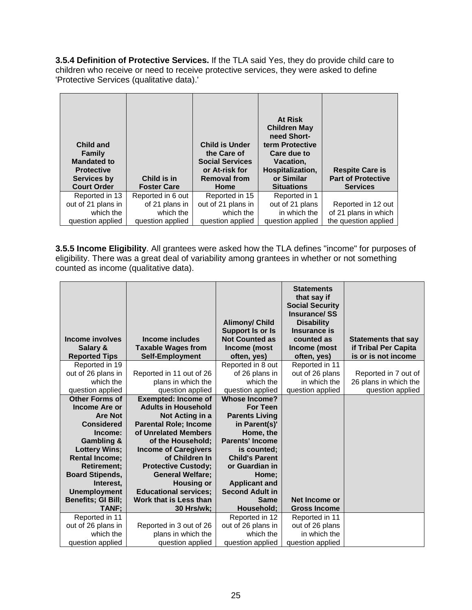**3.5.4 Definition of Protective Services.** If the TLA said Yes, they do provide child care to children who receive or need to receive protective services, they were asked to define 'Protective Services (qualitative data).'

| <b>Child and</b><br>Family<br><b>Mandated to</b><br><b>Protective</b><br>Services by<br><b>Court Order</b> | Child is in<br><b>Foster Care</b> | <b>Child is Under</b><br>the Care of<br><b>Social Services</b><br>or At-risk for<br><b>Removal from</b><br>Home | At Risk<br><b>Children May</b><br>need Short-<br>term Protective<br>Care due to<br>Vacation.<br>Hospitalization,<br>or Similar<br><b>Situations</b> | <b>Respite Care is</b><br><b>Part of Protective</b><br><b>Services</b> |
|------------------------------------------------------------------------------------------------------------|-----------------------------------|-----------------------------------------------------------------------------------------------------------------|-----------------------------------------------------------------------------------------------------------------------------------------------------|------------------------------------------------------------------------|
| Reported in 13                                                                                             | Reported in 6 out                 | Reported in 15                                                                                                  | Reported in 1                                                                                                                                       |                                                                        |
| out of 21 plans in                                                                                         | of 21 plans in                    | out of 21 plans in                                                                                              | out of 21 plans                                                                                                                                     | Reported in 12 out                                                     |
| which the                                                                                                  | which the                         | which the                                                                                                       | in which the                                                                                                                                        | of 21 plans in which                                                   |
| question applied                                                                                           | question applied                  | question applied                                                                                                | question applied                                                                                                                                    | the question applied                                                   |

**3.5.5 Income Eligibility**. All grantees were asked how the TLA defines "income" for purposes of eligibility. There was a great deal of variability among grantees in whether or not something counted as income (qualitative data).

| Income involves<br>Salary &<br><b>Reported Tips</b> | Income includes<br><b>Taxable Wages from</b><br><b>Self-Employment</b> | <b>Alimony/ Child</b><br>Support Is or Is<br><b>Not Counted as</b><br>Income (most<br>often, yes) | <b>Statements</b><br>that say if<br><b>Social Security</b><br><b>Insurance/SS</b><br><b>Disability</b><br>Insurance is<br>counted as<br>Income (most<br>often, yes) | <b>Statements that say</b><br>if Tribal Per Capita<br>is or is not income |
|-----------------------------------------------------|------------------------------------------------------------------------|---------------------------------------------------------------------------------------------------|---------------------------------------------------------------------------------------------------------------------------------------------------------------------|---------------------------------------------------------------------------|
| Reported in 19                                      |                                                                        | Reported in 8 out                                                                                 | Reported in 11                                                                                                                                                      |                                                                           |
| out of 26 plans in                                  | Reported in 11 out of 26                                               | of 26 plans in                                                                                    | out of 26 plans                                                                                                                                                     | Reported in 7 out of                                                      |
| which the                                           | plans in which the                                                     | which the                                                                                         | in which the                                                                                                                                                        | 26 plans in which the                                                     |
| question applied                                    | question applied                                                       | question applied                                                                                  | question applied                                                                                                                                                    | question applied                                                          |
| <b>Other Forms of</b>                               | <b>Exempted: Income of</b>                                             | <b>Whose Income?</b>                                                                              |                                                                                                                                                                     |                                                                           |
| <b>Income Are or</b>                                | <b>Adults in Household</b>                                             | <b>For Teen</b>                                                                                   |                                                                                                                                                                     |                                                                           |
| <b>Are Not</b>                                      | Not Acting in a                                                        | <b>Parents Living</b>                                                                             |                                                                                                                                                                     |                                                                           |
| <b>Considered</b>                                   | <b>Parental Role; Income</b>                                           | in Parent(s)'                                                                                     |                                                                                                                                                                     |                                                                           |
| Income:                                             | of Unrelated Members                                                   | Home, the                                                                                         |                                                                                                                                                                     |                                                                           |
| <b>Gambling &amp;</b>                               | of the Household;                                                      | <b>Parents' Income</b>                                                                            |                                                                                                                                                                     |                                                                           |
| <b>Lottery Wins;</b>                                | <b>Income of Caregivers</b>                                            | is counted;                                                                                       |                                                                                                                                                                     |                                                                           |
| <b>Rental Income;</b>                               | of Children In                                                         | <b>Child's Parent</b>                                                                             |                                                                                                                                                                     |                                                                           |
| <b>Retirement;</b>                                  | <b>Protective Custody;</b>                                             | or Guardian in                                                                                    |                                                                                                                                                                     |                                                                           |
| <b>Board Stipends,</b>                              | <b>General Welfare;</b>                                                | Home:                                                                                             |                                                                                                                                                                     |                                                                           |
| Interest,                                           | <b>Housing or</b>                                                      | <b>Applicant and</b>                                                                              |                                                                                                                                                                     |                                                                           |
| <b>Unemployment</b>                                 | <b>Educational services;</b>                                           | <b>Second Adult in</b>                                                                            |                                                                                                                                                                     |                                                                           |
| <b>Benefits; GI Bill;</b>                           | Work that is Less than                                                 | <b>Same</b>                                                                                       | Net Income or                                                                                                                                                       |                                                                           |
| TANF;                                               | 30 Hrs/wk;                                                             | Household;                                                                                        | <b>Gross Income</b>                                                                                                                                                 |                                                                           |
| Reported in 11                                      |                                                                        | Reported in 12                                                                                    | Reported in 11                                                                                                                                                      |                                                                           |
| out of 26 plans in                                  | Reported in 3 out of 26                                                | out of 26 plans in                                                                                | out of 26 plans                                                                                                                                                     |                                                                           |
| which the                                           | plans in which the                                                     | which the                                                                                         | in which the                                                                                                                                                        |                                                                           |
| question applied                                    | question applied                                                       | question applied                                                                                  | question applied                                                                                                                                                    |                                                                           |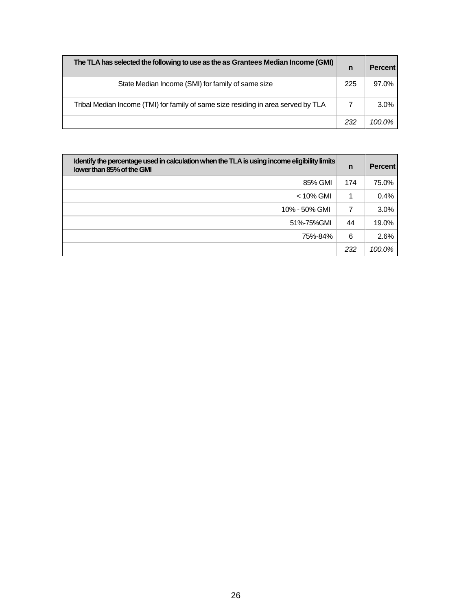| The TLA has selected the following to use as the as Grantees Median Income (GMI)  | n   | <b>Percent</b> |
|-----------------------------------------------------------------------------------|-----|----------------|
| State Median Income (SMI) for family of same size                                 | 225 | 97.0%          |
| Tribal Median Income (TMI) for family of same size residing in area served by TLA |     | $3.0\%$        |
|                                                                                   | 232 | $100.0\%$      |

| Identify the percentage used in calculation when the TLA is using income eligibility limits<br>lower than 85% of the GMI | n   | <b>Percent</b> |
|--------------------------------------------------------------------------------------------------------------------------|-----|----------------|
| 85% GMI                                                                                                                  | 174 | 75.0%          |
| $<$ 10% GMI                                                                                                              | 1   | 0.4%           |
| 10% - 50% GMI                                                                                                            | 7   | 3.0%           |
| 51%-75%GMI                                                                                                               | 44  | 19.0%          |
| 75%-84%                                                                                                                  | 6   | 2.6%           |
|                                                                                                                          | 232 | 100.0%         |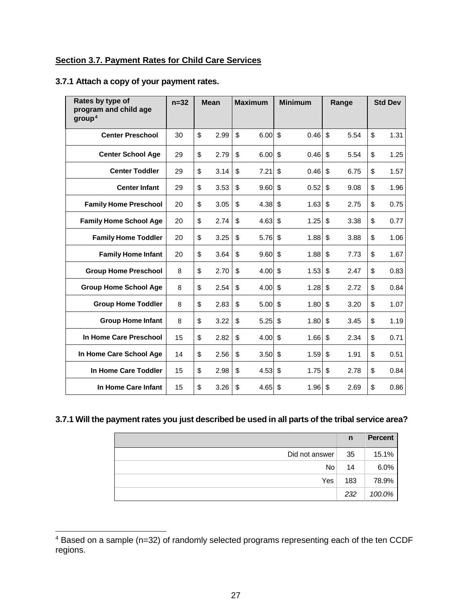#### <span id="page-28-0"></span>**Section 3.7. Payment Rates for Child Care Services**

#### **3.7.1 Attach a copy of your payment rates.**

| Rates by type of<br>program and child age<br>group <sup>4</sup> | $n=32$ |    | <b>Mean</b> |              |      |                    |      |    | <b>Maximum</b> |    |      |  | <b>Minimum</b> |  | Range |  | <b>Std Dev</b> |
|-----------------------------------------------------------------|--------|----|-------------|--------------|------|--------------------|------|----|----------------|----|------|--|----------------|--|-------|--|----------------|
| <b>Center Preschool</b>                                         | 30     | \$ | 2.99        | $\mathbb{S}$ | 6.00 | $\mathbf{\hat{S}}$ | 0.46 | \$ | 5.54           | \$ | 1.31 |  |                |  |       |  |                |
| <b>Center School Age</b>                                        | 29     | \$ | 2.79        | \$           | 6.00 | \$                 | 0.46 | \$ | 5.54           | \$ | 1.25 |  |                |  |       |  |                |
| <b>Center Toddler</b>                                           | 29     | \$ | 3.14        | \$           | 7.21 | \$                 | 0.46 | \$ | 6.75           | \$ | 1.57 |  |                |  |       |  |                |
| <b>Center Infant</b>                                            | 29     | \$ | 3.53        | \$           | 9.60 | \$                 | 0.52 | \$ | 9.08           | \$ | 1.96 |  |                |  |       |  |                |
| <b>Family Home Preschool</b>                                    | 20     | \$ | 3.05        | \$           | 4.38 | \$                 | 1.63 | \$ | 2.75           | \$ | 0.75 |  |                |  |       |  |                |
| <b>Family Home School Age</b>                                   | 20     | \$ | 2.74        | \$           | 4.63 | \$                 | 1.25 | \$ | 3.38           | \$ | 0.77 |  |                |  |       |  |                |
| <b>Family Home Toddler</b>                                      | 20     | \$ | 3.25        | \$           | 5.76 | $\mathsf{\$}$      | 1.88 | \$ | 3.88           | \$ | 1.06 |  |                |  |       |  |                |
| <b>Family Home Infant</b>                                       | 20     | \$ | 3.64        | \$           | 9.60 | \$                 | 1.88 | \$ | 7.73           | \$ | 1.67 |  |                |  |       |  |                |
| <b>Group Home Preschool</b>                                     | 8      | \$ | 2.70        | \$           | 4.00 | \$                 | 1.53 | \$ | 2.47           | \$ | 0.83 |  |                |  |       |  |                |
| <b>Group Home School Age</b>                                    | 8      | \$ | 2.54        | \$           | 4.00 | \$                 | 1.28 | \$ | 2.72           | \$ | 0.84 |  |                |  |       |  |                |
| <b>Group Home Toddler</b>                                       | 8      | \$ | 2.83        | \$           | 5.00 | \$                 | 1.80 | \$ | 3.20           | \$ | 1.07 |  |                |  |       |  |                |
| <b>Group Home Infant</b>                                        | 8      | \$ | 3.22        | \$           | 5.25 | \$                 | 1.80 | \$ | 3.45           | \$ | 1.19 |  |                |  |       |  |                |
| In Home Care Preschool                                          | 15     | \$ | 2.82        | \$           | 4.00 | \$                 | 1.66 | \$ | 2.34           | \$ | 0.71 |  |                |  |       |  |                |
| In Home Care School Age                                         | 14     | \$ | 2.56        | \$           | 3.50 | \$                 | 1.59 | \$ | 1.91           | \$ | 0.51 |  |                |  |       |  |                |
| In Home Care Toddler                                            | 15     | \$ | 2.98        | \$           | 4.53 | $\mathsf{\$}$      | 1.75 | \$ | 2.78           | \$ | 0.84 |  |                |  |       |  |                |
| In Home Care Infant                                             | 15     | \$ | 3.26        | \$           | 4.65 | \$                 | 1.96 | \$ | 2.69           | \$ | 0.86 |  |                |  |       |  |                |

#### **3.7.1 Will the payment rates you just described be used in all parts of the tribal service area?**

|                | n   | <b>Percent</b> |
|----------------|-----|----------------|
| Did not answer | 35  | 15.1%          |
| No             | 14  | 6.0%           |
| Yes            | 183 | 78.9%          |
|                | 232 | 100.0%         |

<span id="page-28-1"></span> <sup>4</sup> Based on a sample (n=32) of randomly selected programs representing each of the ten CCDF regions.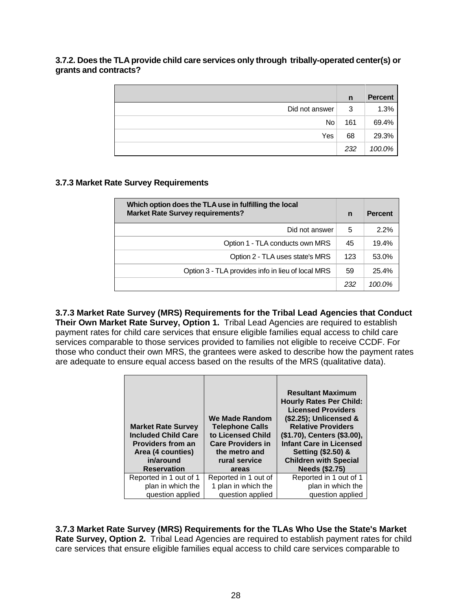**3.7.2. Does the TLA provide child care services only through tribally-operated center(s) or grants and contracts?**

|                | n   | <b>Percent</b> |
|----------------|-----|----------------|
| Did not answer | 3   | 1.3%           |
| <b>No</b>      | 161 | 69.4%          |
| Yes            | 68  | 29.3%          |
|                | 232 | 100.0%         |

#### **3.7.3 Market Rate Survey Requirements**

| Which option does the TLA use in fulfilling the local<br><b>Market Rate Survey requirements?</b> | $\mathbf n$ | <b>Percent</b> |
|--------------------------------------------------------------------------------------------------|-------------|----------------|
| Did not answer                                                                                   | 5           | 2.2%           |
| Option 1 - TLA conducts own MRS                                                                  | 45          | 19.4%          |
| Option 2 - TLA uses state's MRS                                                                  | 123         | 53.0%          |
| Option 3 - TLA provides info in lieu of local MRS                                                | 59          | 25.4%          |
|                                                                                                  | 232         | 100.0%         |

**3.7.3 Market Rate Survey (MRS) Requirements for the Tribal Lead Agencies that Conduct Their Own Market Rate Survey, Option 1.** Tribal Lead Agencies are required to establish payment rates for child care services that ensure eligible families equal access to child care services comparable to those services provided to families not eligible to receive CCDF. For those who conduct their own MRS, the grantees were asked to describe how the payment rates are adequate to ensure equal access based on the results of the MRS (qualitative data).

| <b>Market Rate Survey</b><br><b>Included Child Care</b><br><b>Providers from an</b><br>Area (4 counties)<br>in/around<br><b>Reservation</b> | We Made Random<br><b>Telephone Calls</b><br>to Licensed Child<br><b>Care Providers in</b><br>the metro and<br>rural service<br>areas | <b>Resultant Maximum</b><br><b>Hourly Rates Per Child:</b><br><b>Licensed Providers</b><br>(\$2.25); Unlicensed &<br><b>Relative Providers</b><br>(\$1.70), Centers (\$3.00),<br><b>Infant Care in Licensed</b><br>Setting (\$2.50) &<br><b>Children with Special</b><br><b>Needs (\$2.75)</b> |
|---------------------------------------------------------------------------------------------------------------------------------------------|--------------------------------------------------------------------------------------------------------------------------------------|------------------------------------------------------------------------------------------------------------------------------------------------------------------------------------------------------------------------------------------------------------------------------------------------|
| Reported in 1 out of 1                                                                                                                      | Reported in 1 out of                                                                                                                 | Reported in 1 out of 1                                                                                                                                                                                                                                                                         |
| plan in which the<br>question applied                                                                                                       | 1 plan in which the<br>question applied                                                                                              | plan in which the<br>question applied                                                                                                                                                                                                                                                          |

**3.7.3 Market Rate Survey (MRS) Requirements for the TLAs Who Use the State's Market Rate Survey, Option 2.** Tribal Lead Agencies are required to establish payment rates for child care services that ensure eligible families equal access to child care services comparable to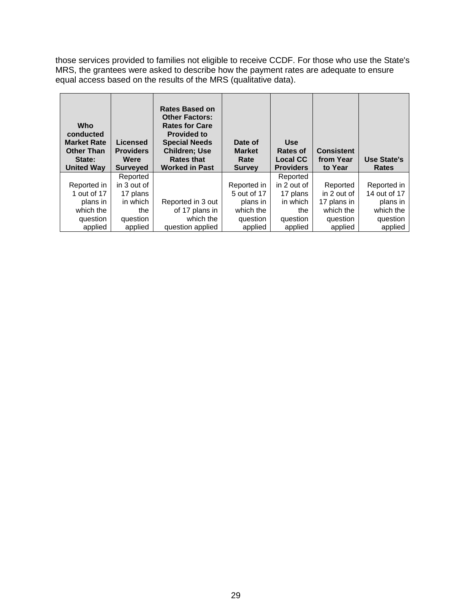those services provided to families not eligible to receive CCDF. For those who use the State's MRS, the grantees were asked to describe how the payment rates are adequate to ensure equal access based on the results of the MRS (qualitative data).

| Who<br>conducted<br><b>Market Rate</b><br><b>Other Than</b><br>State: | Licensed<br><b>Providers</b><br>Were | <b>Rates Based on</b><br><b>Other Factors:</b><br><b>Rates for Care</b><br><b>Provided to</b><br><b>Special Needs</b><br><b>Children: Use</b><br><b>Rates that</b> | Date of<br><b>Market</b><br>Rate | <b>Use</b><br>Rates of<br><b>Local CC</b> | <b>Consistent</b><br>from Year | Use State's  |
|-----------------------------------------------------------------------|--------------------------------------|--------------------------------------------------------------------------------------------------------------------------------------------------------------------|----------------------------------|-------------------------------------------|--------------------------------|--------------|
| <b>United Way</b>                                                     | <b>Surveyed</b>                      | <b>Worked in Past</b>                                                                                                                                              | <b>Survey</b>                    | <b>Providers</b>                          | to Year                        | <b>Rates</b> |
|                                                                       | Reported                             |                                                                                                                                                                    |                                  | Reported                                  |                                |              |
| Reported in                                                           | in 3 out of                          |                                                                                                                                                                    | Reported in                      | in 2 out of                               | Reported                       | Reported in  |
| 1 out of 17                                                           | 17 plans                             |                                                                                                                                                                    | 5 out of 17                      | 17 plans                                  | in 2 out of                    | 14 out of 17 |
| plans in                                                              | in which                             | Reported in 3 out                                                                                                                                                  | plans in                         | in which                                  | 17 plans in                    | plans in     |
| which the                                                             | the                                  | of 17 plans in                                                                                                                                                     | which the                        | the                                       | which the                      | which the    |
| question                                                              | question                             | which the                                                                                                                                                          | question                         | question                                  | question                       | question     |
| applied                                                               | applied                              | question applied                                                                                                                                                   | applied                          | applied                                   | applied                        | applied      |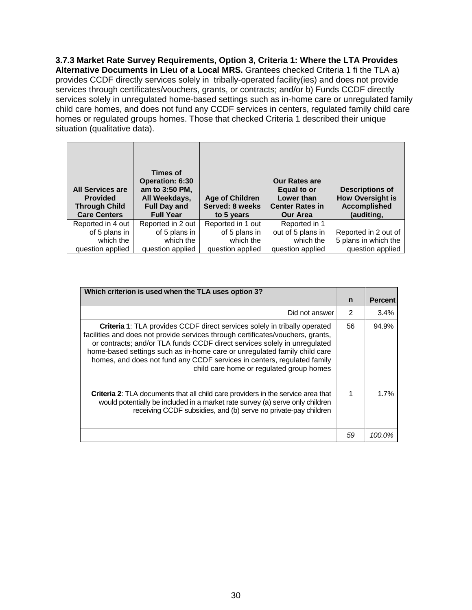**3.7.3 Market Rate Survey Requirements, Option 3, Criteria 1: Where the LTA Provides Alternative Documents in Lieu of a Local MRS.** Grantees checked Criteria 1 fi the TLA a) provides CCDF directly services solely in tribally-operated facility(ies) and does not provide services through certificates/vouchers, grants, or contracts; and/or b) Funds CCDF directly services solely in unregulated home-based settings such as in-home care or unregulated family child care homes, and does not fund any CCDF services in centers, regulated family child care homes or regulated groups homes. Those that checked Criteria 1 described their unique situation (qualitative data).

| <b>All Services are</b><br><b>Provided</b><br><b>Through Child</b><br><b>Care Centers</b> | Times of<br><b>Operation: 6:30</b><br>am to 3:50 PM,<br>All Weekdays,<br><b>Full Day and</b><br><b>Full Year</b> | <b>Age of Children</b><br>Served: 8 weeks<br>to 5 years | <b>Our Rates are</b><br>Equal to or<br>Lower than<br><b>Center Rates in</b><br><b>Our Area</b> | <b>Descriptions of</b><br><b>How Oversight is</b><br><b>Accomplished</b><br>(auditing, |
|-------------------------------------------------------------------------------------------|------------------------------------------------------------------------------------------------------------------|---------------------------------------------------------|------------------------------------------------------------------------------------------------|----------------------------------------------------------------------------------------|
| Reported in 4 out                                                                         | Reported in 2 out                                                                                                | Reported in 1 out                                       | Reported in 1                                                                                  |                                                                                        |
| of 5 plans in                                                                             | of 5 plans in                                                                                                    | of 5 plans in                                           | out of 5 plans in                                                                              | Reported in 2 out of                                                                   |
| which the                                                                                 | which the                                                                                                        | which the                                               | which the                                                                                      | 5 plans in which the                                                                   |
| question applied                                                                          | question applied                                                                                                 | question applied                                        | question applied                                                                               | question applied                                                                       |

| Which criterion is used when the TLA uses option 3?                                                                                                                                                                                                                                                                                                                                                                                                  |                |                |
|------------------------------------------------------------------------------------------------------------------------------------------------------------------------------------------------------------------------------------------------------------------------------------------------------------------------------------------------------------------------------------------------------------------------------------------------------|----------------|----------------|
|                                                                                                                                                                                                                                                                                                                                                                                                                                                      | $\mathsf{n}$   | <b>Percent</b> |
| Did not answer                                                                                                                                                                                                                                                                                                                                                                                                                                       | $\mathfrak{p}$ | 3.4%           |
| <b>Criteria 1:</b> TLA provides CCDF direct services solely in tribally operated<br>facilities and does not provide services through certificates/vouchers, grants,<br>or contracts; and/or TLA funds CCDF direct services solely in unregulated<br>home-based settings such as in-home care or unregulated family child care<br>homes, and does not fund any CCDF services in centers, regulated family<br>child care home or regulated group homes | 56             | 94.9%          |
| Criteria 2: TLA documents that all child care providers in the service area that<br>would potentially be included in a market rate survey (a) serve only children<br>receiving CCDF subsidies, and (b) serve no private-pay children                                                                                                                                                                                                                 | 1              | 1.7%           |
|                                                                                                                                                                                                                                                                                                                                                                                                                                                      | 59             | 100.0%         |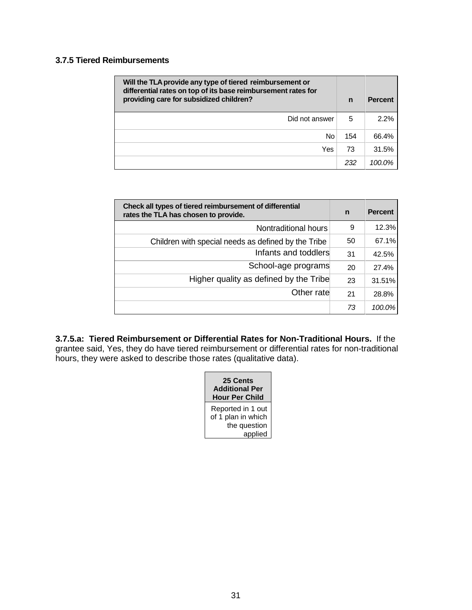#### **3.7.5 Tiered Reimbursements**

| Will the TLA provide any type of tiered reimbursement or<br>differential rates on top of its base reimbursement rates for<br>providing care for subsidized children? |     | <b>Percent</b> |
|----------------------------------------------------------------------------------------------------------------------------------------------------------------------|-----|----------------|
| Did not answer                                                                                                                                                       | 5   | 2.2%           |
| No                                                                                                                                                                   | 154 | 66.4%          |
| Yes                                                                                                                                                                  | 73  | 31.5%          |
|                                                                                                                                                                      | 232 | $100.0\%$      |

| Check all types of tiered reimbursement of differential<br>rates the TLA has chosen to provide. |    | <b>Percent</b> |
|-------------------------------------------------------------------------------------------------|----|----------------|
| Nontraditional hours                                                                            | 9  | 12.3%          |
| Children with special needs as defined by the Tribe                                             | 50 | 67.1%          |
| Infants and toddlers                                                                            | 31 | 42.5%          |
| School-age programs                                                                             | 20 | 27.4%          |
| Higher quality as defined by the Tribe                                                          | 23 | $31.51\%$      |
| Other rate                                                                                      | 21 | 28.8%          |
|                                                                                                 | 73 | 100.0%         |

**3.7.5.a: Tiered Reimbursement or Differential Rates for Non-Traditional Hours.** If the grantee said, Yes, they do have tiered reimbursement or differential rates for non-traditional hours, they were asked to describe those rates (qualitative data).

| <b>25 Cents</b><br><b>Additional Per</b><br><b>Hour Per Child</b>  |  |  |
|--------------------------------------------------------------------|--|--|
| Reported in 1 out<br>of 1 plan in which<br>the question<br>applied |  |  |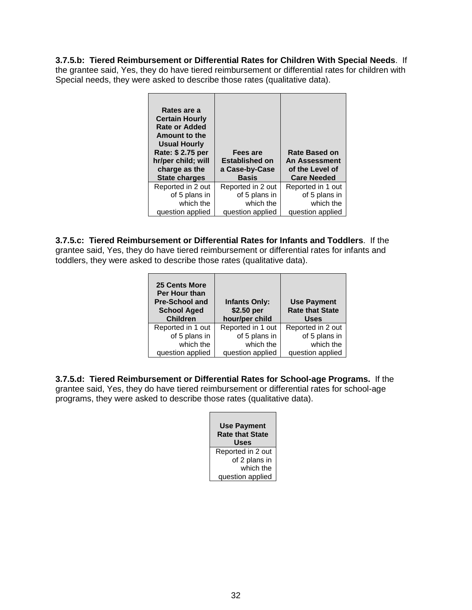**3.7.5.b: Tiered Reimbursement or Differential Rates for Children With Special Needs**. If the grantee said, Yes, they do have tiered reimbursement or differential rates for children with Special needs, they were asked to describe those rates (qualitative data).

| Rates are a<br><b>Certain Hourly</b><br><b>Rate or Added</b><br>Amount to the<br><b>Usual Hourly</b><br>Rate: \$ 2.75 per<br>hr/per child; will<br>charge as the<br><b>State charges</b> | Fees are<br><b>Established on</b><br>a Case-by-Case<br><b>Basis</b> | Rate Based on<br>An Assessment<br>of the Level of<br><b>Care Needed</b> |
|------------------------------------------------------------------------------------------------------------------------------------------------------------------------------------------|---------------------------------------------------------------------|-------------------------------------------------------------------------|
| Reported in 2 out                                                                                                                                                                        | Reported in 2 out                                                   | Reported in 1 out                                                       |
| of 5 plans in                                                                                                                                                                            | of 5 plans in                                                       | of 5 plans in                                                           |
| which the                                                                                                                                                                                | which the                                                           | which the                                                               |
| question applied                                                                                                                                                                         | question applied                                                    | question applied                                                        |

**3.7.5.c: Tiered Reimbursement or Differential Rates for Infants and Toddlers**. If the grantee said, Yes, they do have tiered reimbursement or differential rates for infants and toddlers, they were asked to describe those rates (qualitative data).

| <b>25 Cents More</b><br>Per Hour than<br><b>Pre-School and</b><br><b>School Aged</b><br><b>Children</b> | <b>Infants Only:</b><br>\$2.50 per<br>hour/per child | <b>Use Payment</b><br><b>Rate that State</b><br><b>Uses</b> |
|---------------------------------------------------------------------------------------------------------|------------------------------------------------------|-------------------------------------------------------------|
| Reported in 1 out                                                                                       | Reported in 1 out                                    | Reported in 2 out                                           |
| of 5 plans in                                                                                           | of 5 plans in                                        | of 5 plans in                                               |
| which the                                                                                               | which the                                            | which the                                                   |
| question applied                                                                                        | question applied                                     | question applied                                            |

**3.7.5.d: Tiered Reimbursement or Differential Rates for School-age Programs.** If the grantee said, Yes, they do have tiered reimbursement or differential rates for school-age programs, they were asked to describe those rates (qualitative data).

| <b>Use Payment</b><br><b>Rate that State</b><br>Uses |
|------------------------------------------------------|
| Reported in 2 out                                    |
| of 2 plans in                                        |
| which the                                            |
| question applied                                     |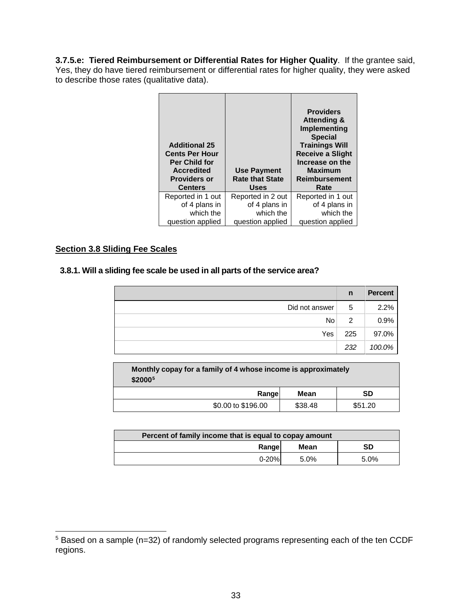**3.7.5.e: Tiered Reimbursement or Differential Rates for Higher Quality**. If the grantee said, Yes, they do have tiered reimbursement or differential rates for higher quality, they were asked to describe those rates (qualitative data).

| <b>Additional 25</b><br><b>Cents Per Hour</b><br><b>Per Child for</b><br><b>Accredited</b><br><b>Providers or</b><br><b>Centers</b> | <b>Use Payment</b><br><b>Rate that State</b><br><b>Uses</b> | <b>Providers</b><br><b>Attending &amp;</b><br>Implementing<br><b>Special</b><br><b>Trainings Will</b><br><b>Receive a Slight</b><br>Increase on the<br><b>Maximum</b><br><b>Reimbursement</b><br>Rate |
|-------------------------------------------------------------------------------------------------------------------------------------|-------------------------------------------------------------|-------------------------------------------------------------------------------------------------------------------------------------------------------------------------------------------------------|
| Reported in 1 out                                                                                                                   | Reported in 2 out                                           | Reported in 1 out                                                                                                                                                                                     |
| of 4 plans in                                                                                                                       | of 4 plans in                                               | of 4 plans in                                                                                                                                                                                         |
| which the                                                                                                                           | which the                                                   | which the                                                                                                                                                                                             |
| question applied                                                                                                                    | question applied                                            | question applied                                                                                                                                                                                      |

#### <span id="page-34-0"></span>**Section 3.8 Sliding Fee Scales**

#### **3.8.1. Will a sliding fee scale be used in all parts of the service area?**

|                | n   | <b>Percent</b> |
|----------------|-----|----------------|
| Did not answer | 5   | 2.2%           |
| <b>No</b>      | 2   | 0.9%           |
| Yes            | 225 | 97.0%          |
|                | 232 | 100.0%         |

| Monthly copay for a family of 4 whose income is approximately<br>\$2000 <sup>5</sup> |  |  |  |  |  |
|--------------------------------------------------------------------------------------|--|--|--|--|--|
| SD<br>Rangel<br>Mean                                                                 |  |  |  |  |  |
| \$0.00 to \$196.00<br>\$38.48<br>\$51.20                                             |  |  |  |  |  |

| Percent of family income that is equal to copay amount |         |      |  |  |  |  |  |
|--------------------------------------------------------|---------|------|--|--|--|--|--|
| Rangel                                                 | Mean    | SD   |  |  |  |  |  |
| $0 - 20%$                                              | $5.0\%$ | 5.0% |  |  |  |  |  |

<span id="page-34-1"></span> <sup>5</sup> Based on a sample (n=32) of randomly selected programs representing each of the ten CCDF regions.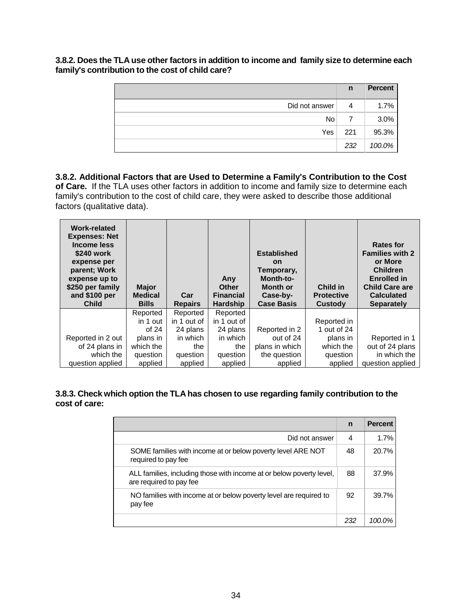**3.8.2. Does the TLA use other factors in addition to income and family size to determine each family's contribution to the cost of child care?**

|                | $\mathsf{n}$ | <b>Percent</b> |
|----------------|--------------|----------------|
| Did not answer | 4            | 1.7%           |
| No.            |              | 3.0%           |
| Yes            | 221          | 95.3%          |
|                | 232          | 100.0%         |

**3.8.2. Additional Factors that are Used to Determine a Family's Contribution to the Cost of Care.** If the TLA uses other factors in addition to income and family size to determine each family's contribution to the cost of child care, they were asked to describe those additional factors (qualitative data).

| <b>Work-related</b><br><b>Expenses: Net</b><br>Income less<br>\$240 work<br>expense per<br>parent; Work<br>expense up to<br>\$250 per family<br>and \$100 per<br><b>Child</b> | <b>Major</b><br><b>Medical</b><br><b>Bills</b> | Car<br><b>Repairs</b> | Any<br><b>Other</b><br><b>Financial</b><br><b>Hardship</b> | <b>Established</b><br><b>on</b><br>Temporary,<br>Month-to-<br><b>Month or</b><br>Case-by-<br><b>Case Basis</b> | Child in<br><b>Protective</b><br>Custody | <b>Rates for</b><br><b>Families with 2</b><br>or More<br><b>Children</b><br><b>Enrolled in</b><br><b>Child Care are</b><br><b>Calculated</b><br><b>Separately</b> |
|-------------------------------------------------------------------------------------------------------------------------------------------------------------------------------|------------------------------------------------|-----------------------|------------------------------------------------------------|----------------------------------------------------------------------------------------------------------------|------------------------------------------|-------------------------------------------------------------------------------------------------------------------------------------------------------------------|
|                                                                                                                                                                               | Reported                                       | Reported              | Reported                                                   |                                                                                                                |                                          |                                                                                                                                                                   |
|                                                                                                                                                                               | in 1 out                                       | in 1 out of           | in 1 out of                                                |                                                                                                                | Reported in                              |                                                                                                                                                                   |
|                                                                                                                                                                               | of $24$                                        | 24 plans              | 24 plans                                                   | Reported in 2                                                                                                  | 1 out of 24                              |                                                                                                                                                                   |
| Reported in 2 out                                                                                                                                                             | plans in                                       | in which              | in which                                                   | out of 24                                                                                                      | plans in                                 | Reported in 1                                                                                                                                                     |
| of 24 plans in                                                                                                                                                                | which the                                      | the                   | the                                                        | plans in which                                                                                                 | which the                                | out of 24 plans                                                                                                                                                   |
| which the                                                                                                                                                                     | question                                       | question              | question                                                   | the question                                                                                                   | question                                 | in which the                                                                                                                                                      |
|                                                                                                                                                                               |                                                |                       |                                                            |                                                                                                                |                                          |                                                                                                                                                                   |

#### **3.8.3. Check which option the TLA has chosen to use regarding family contribution to the cost of care:**

|                                                                                                 | $\mathsf{n}$ | <b>Percent</b> |
|-------------------------------------------------------------------------------------------------|--------------|----------------|
| Did not answer                                                                                  | 4            | 1.7%           |
| SOME families with income at or below poverty level ARE NOT<br>required to pay fee              | 48           | 20.7%          |
| ALL families, including those with income at or below poverty level,<br>are required to pay fee | 88           | 37.9%          |
| NO families with income at or below poverty level are required to<br>pay fee                    | 92           | 39.7%          |
|                                                                                                 | 232          | 100.0%         |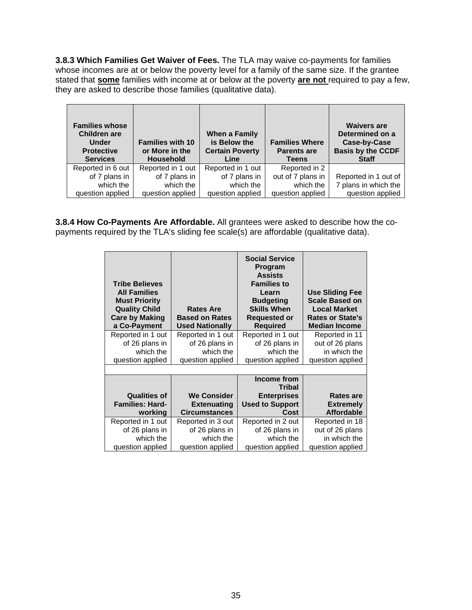**3.8.3 Which Families Get Waiver of Fees.** The TLA may waive co-payments for families whose incomes are at or below the poverty level for a family of the same size. If the grantee stated that **some** families with income at or below at the poverty **are not** required to pay a few, they are asked to describe those families (qualitative data).

| <b>Families whose</b><br><b>Children are</b><br><b>Under</b><br><b>Protective</b><br><b>Services</b> | <b>Families with 10</b><br>or More in the<br><b>Household</b> | When a Family<br>is Below the<br><b>Certain Poverty</b><br>Line | <b>Families Where</b><br><b>Parents are</b><br><b>Teens</b> | <b>Waivers are</b><br>Determined on a<br>Case-by-Case<br><b>Basis by the CCDF</b><br><b>Staff</b> |
|------------------------------------------------------------------------------------------------------|---------------------------------------------------------------|-----------------------------------------------------------------|-------------------------------------------------------------|---------------------------------------------------------------------------------------------------|
| Reported in 6 out                                                                                    | Reported in 1 out                                             | Reported in 1 out                                               | Reported in 2                                               |                                                                                                   |
| of 7 plans in                                                                                        | of 7 plans in                                                 | of 7 plans in                                                   | out of 7 plans in                                           | Reported in 1 out of                                                                              |
| which the                                                                                            | which the                                                     | which the                                                       | which the                                                   | 7 plans in which the                                                                              |
| question applied                                                                                     | question applied                                              | question applied                                                | question applied                                            | question applied                                                                                  |

**3.8.4 How Co-Payments Are Affordable.** All grantees were asked to describe how the copayments required by the TLA's sliding fee scale(s) are affordable (qualitative data).

| <b>Tribe Believes</b><br><b>All Families</b><br><b>Must Priority</b><br><b>Quality Child</b><br><b>Care by Making</b><br>a Co-Payment<br>Reported in 1 out | <b>Rates Are</b><br><b>Based on Rates</b><br><b>Used Nationally</b><br>Reported in 1 out | <b>Social Service</b><br>Program<br><b>Assists</b><br><b>Families to</b><br>Learn<br><b>Budgeting</b><br><b>Skills When</b><br><b>Requested or</b><br><b>Required</b><br>Reported in 1 out | <b>Use Sliding Fee</b><br><b>Scale Based on</b><br><b>Local Market</b><br><b>Rates or State's</b><br><b>Median Income</b><br>Reported in 11 |
|------------------------------------------------------------------------------------------------------------------------------------------------------------|------------------------------------------------------------------------------------------|--------------------------------------------------------------------------------------------------------------------------------------------------------------------------------------------|---------------------------------------------------------------------------------------------------------------------------------------------|
| of 26 plans in<br>which the                                                                                                                                | of 26 plans in<br>which the                                                              | of 26 plans in<br>which the                                                                                                                                                                | out of 26 plans<br>in which the                                                                                                             |
| question applied                                                                                                                                           | question applied                                                                         | question applied                                                                                                                                                                           | question applied                                                                                                                            |
|                                                                                                                                                            |                                                                                          |                                                                                                                                                                                            |                                                                                                                                             |
|                                                                                                                                                            |                                                                                          | Income from<br><b>Tribal</b>                                                                                                                                                               |                                                                                                                                             |
| <b>Qualities of</b><br><b>Families: Hard-</b><br>working                                                                                                   | <b>We Consider</b><br><b>Extenuating</b><br><b>Circumstances</b>                         | <b>Enterprises</b><br><b>Used to Support</b><br>Cost                                                                                                                                       | <b>Rates are</b><br><b>Extremely</b><br><b>Affordable</b>                                                                                   |
| Reported in 1 out                                                                                                                                          | Reported in 3 out                                                                        | Reported in 2 out                                                                                                                                                                          | Reported in 18                                                                                                                              |
| of 26 plans in                                                                                                                                             | of 26 plans in                                                                           | of 26 plans in                                                                                                                                                                             | out of 26 plans                                                                                                                             |
| which the                                                                                                                                                  | which the                                                                                | which the                                                                                                                                                                                  | in which the                                                                                                                                |
| question applied                                                                                                                                           | question applied                                                                         | question applied                                                                                                                                                                           | question applied                                                                                                                            |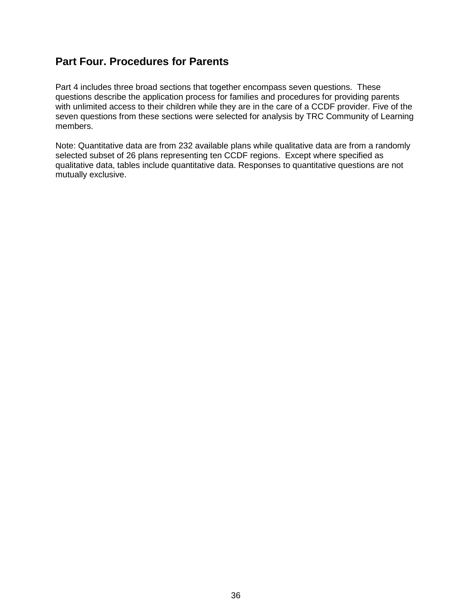# **Part Four. Procedures for Parents**

Part 4 includes three broad sections that together encompass seven questions. These questions describe the application process for families and procedures for providing parents with unlimited access to their children while they are in the care of a CCDF provider. Five of the seven questions from these sections were selected for analysis by TRC Community of Learning members.

Note: Quantitative data are from 232 available plans while qualitative data are from a randomly selected subset of 26 plans representing ten CCDF regions. Except where specified as qualitative data, tables include quantitative data. Responses to quantitative questions are not mutually exclusive.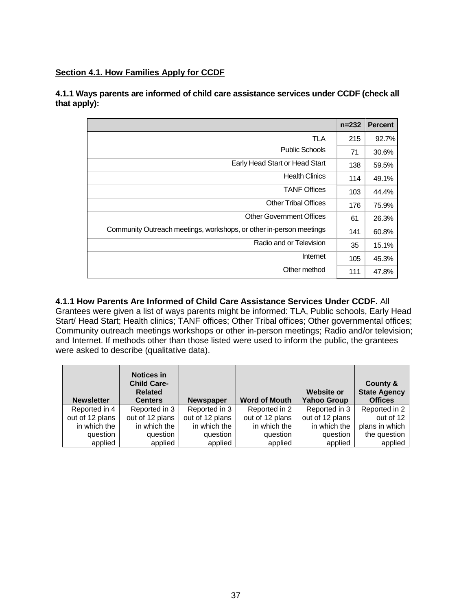### **Section 4.1. How Families Apply for CCDF**

**4.1.1 Ways parents are informed of child care assistance services under CCDF (check all that apply):**

|                                                                     | $n = 232$ | <b>Percent</b> |
|---------------------------------------------------------------------|-----------|----------------|
| TLA                                                                 | 215       | 92.7%          |
| <b>Public Schools</b>                                               | 71        | 30.6%          |
| Early Head Start or Head Start                                      | 138       | 59.5%          |
| <b>Health Clinics</b>                                               | 114       | 49.1%          |
| <b>TANF Offices</b>                                                 | 103       | 44.4%          |
| <b>Other Tribal Offices</b>                                         | 176       | 75.9%          |
| <b>Other Government Offices</b>                                     | 61        | 26.3%          |
| Community Outreach meetings, workshops, or other in-person meetings | 141       | 60.8%          |
| Radio and or Television                                             | 35        | 15.1%          |
| Internet                                                            | 105       | 45.3%          |
| Other method                                                        | 111       | 47.8%          |

# **4.1.1 How Parents Are Informed of Child Care Assistance Services Under CCDF.** All

Grantees were given a list of ways parents might be informed: TLA, Public schools, Early Head Start/ Head Start; Health clinics; TANF offices; Other Tribal offices; Other governmental offices; Community outreach meetings workshops or other in-person meetings; Radio and/or television; and Internet. If methods other than those listed were used to inform the public, the grantees were asked to describe (qualitative data).

| <b>Newsletter</b> | <b>Notices in</b><br><b>Child Care-</b><br><b>Related</b><br><b>Centers</b> | <b>Newspaper</b> | <b>Word of Mouth</b> | <b>Website or</b><br><b>Yahoo Group</b> | County &<br><b>State Agency</b><br><b>Offices</b> |
|-------------------|-----------------------------------------------------------------------------|------------------|----------------------|-----------------------------------------|---------------------------------------------------|
| Reported in 4     | Reported in 3                                                               | Reported in 3    | Reported in 2        | Reported in 3                           | Reported in 2                                     |
| out of 12 plans   | out of 12 plans                                                             | out of 12 plans  | out of 12 plans      | out of 12 plans                         | out of 12                                         |
| in which the      | in which the                                                                | in which the     | in which the         | in which the                            | plans in which                                    |
| question          | question                                                                    | question         | question             | question                                | the question                                      |
| applied           | applied                                                                     | applied          | applied              | applied                                 | applied                                           |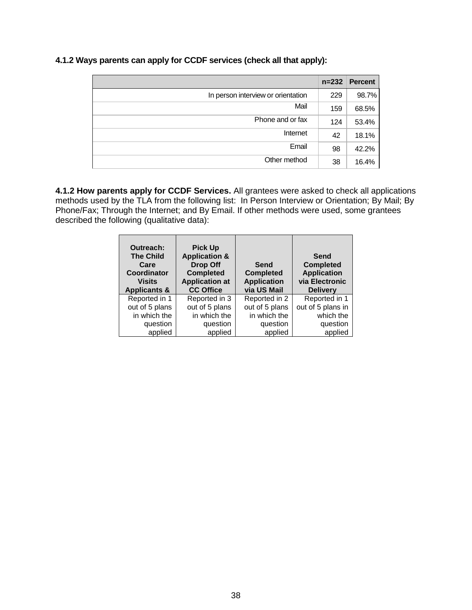|                                    | $n = 232$ | <b>Percent</b> |
|------------------------------------|-----------|----------------|
| In person interview or orientation | 229       | 98.7%          |
| Mail                               | 159       | 68.5%          |
| Phone and or fax                   | 124       | 53.4%          |
| Internet                           | 42        | 18.1%          |
| Email                              | 98        | 42.2%          |
| Other method                       | 38        | 16.4%          |

**4.1.2 Ways parents can apply for CCDF services (check all that apply):**

**4.1.2 How parents apply for CCDF Services.** All grantees were asked to check all applications methods used by the TLA from the following list: In Person Interview or Orientation; By Mail; By Phone/Fax; Through the Internet; and By Email. If other methods were used, some grantees described the following (qualitative data):

| <b>Outreach:</b><br><b>The Child</b><br>Care<br><b>Coordinator</b><br>Visits<br><b>Applicants &amp;</b> | <b>Pick Up</b><br><b>Application &amp;</b><br><b>Drop Off</b><br><b>Completed</b><br><b>Application at</b><br><b>CC Office</b> | Send<br><b>Completed</b><br><b>Application</b><br>via US Mail | Send<br><b>Completed</b><br><b>Application</b><br>via Electronic<br><b>Delivery</b> |
|---------------------------------------------------------------------------------------------------------|--------------------------------------------------------------------------------------------------------------------------------|---------------------------------------------------------------|-------------------------------------------------------------------------------------|
|                                                                                                         |                                                                                                                                |                                                               |                                                                                     |
| Reported in 1                                                                                           | Reported in 3                                                                                                                  | Reported in 2                                                 | Reported in 1                                                                       |
| out of 5 plans                                                                                          | out of 5 plans                                                                                                                 | out of 5 plans                                                | out of 5 plans in                                                                   |
| in which the                                                                                            | in which the                                                                                                                   | in which the                                                  | which the                                                                           |
| question<br>applied                                                                                     | question                                                                                                                       | question                                                      | question                                                                            |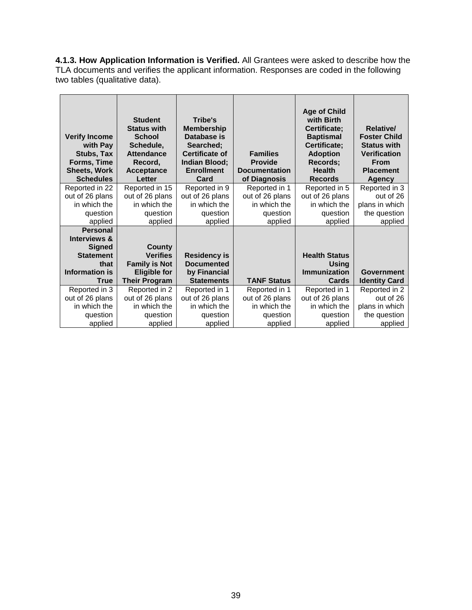**4.1.3. How Application Information is Verified.** All Grantees were asked to describe how the TLA documents and verifies the applicant information. Responses are coded in the following two tables (qualitative data).

| <b>Verify Income</b><br>with Pay<br>Stubs, Tax<br>Forms, Time<br><b>Sheets, Work</b><br><b>Schedules</b> | <b>Student</b><br><b>Status with</b><br><b>School</b><br>Schedule,<br><b>Attendance</b><br>Record,<br><b>Acceptance</b><br>Letter | Tribe's<br><b>Membership</b><br>Database is<br>Searched;<br><b>Certificate of</b><br>Indian Blood;<br><b>Enrollment</b><br>Card | <b>Families</b><br><b>Provide</b><br><b>Documentation</b><br>of Diagnosis | <b>Age of Child</b><br>with Birth<br>Certificate;<br><b>Baptismal</b><br>Certificate;<br><b>Adoption</b><br>Records;<br><b>Health</b><br><b>Records</b> | <b>Relative/</b><br><b>Foster Child</b><br><b>Status with</b><br><b>Verification</b><br><b>From</b><br><b>Placement</b><br>Agency |
|----------------------------------------------------------------------------------------------------------|-----------------------------------------------------------------------------------------------------------------------------------|---------------------------------------------------------------------------------------------------------------------------------|---------------------------------------------------------------------------|---------------------------------------------------------------------------------------------------------------------------------------------------------|-----------------------------------------------------------------------------------------------------------------------------------|
| Reported in 22                                                                                           | Reported in 15                                                                                                                    | Reported in 9                                                                                                                   | Reported in 1                                                             | Reported in 5                                                                                                                                           | Reported in 3                                                                                                                     |
| out of 26 plans                                                                                          | out of 26 plans                                                                                                                   | out of 26 plans                                                                                                                 | out of 26 plans                                                           | out of 26 plans                                                                                                                                         | out of 26                                                                                                                         |
| in which the                                                                                             | in which the                                                                                                                      | in which the                                                                                                                    | in which the                                                              | in which the                                                                                                                                            | plans in which                                                                                                                    |
| question                                                                                                 | question                                                                                                                          | question                                                                                                                        | question                                                                  | question                                                                                                                                                | the question                                                                                                                      |
| applied                                                                                                  | applied                                                                                                                           | applied                                                                                                                         | applied                                                                   | applied                                                                                                                                                 | applied                                                                                                                           |
| <b>Personal</b>                                                                                          |                                                                                                                                   |                                                                                                                                 |                                                                           |                                                                                                                                                         |                                                                                                                                   |
| <b>Interviews &amp;</b>                                                                                  |                                                                                                                                   |                                                                                                                                 |                                                                           |                                                                                                                                                         |                                                                                                                                   |
| <b>Signed</b>                                                                                            | County                                                                                                                            |                                                                                                                                 |                                                                           |                                                                                                                                                         |                                                                                                                                   |
| <b>Statement</b>                                                                                         | <b>Verifies</b>                                                                                                                   | <b>Residency is</b>                                                                                                             |                                                                           | <b>Health Status</b>                                                                                                                                    |                                                                                                                                   |
| that                                                                                                     | <b>Family is Not</b>                                                                                                              | <b>Documented</b>                                                                                                               |                                                                           | Usina                                                                                                                                                   |                                                                                                                                   |
| Information is                                                                                           | <b>Eligible for</b>                                                                                                               | by Financial                                                                                                                    |                                                                           | Immunization                                                                                                                                            | Government                                                                                                                        |
| <b>True</b>                                                                                              | <b>Their Program</b>                                                                                                              | <b>Statements</b>                                                                                                               | <b>TANF Status</b>                                                        | Cards                                                                                                                                                   | <b>Identity Card</b>                                                                                                              |
| Reported in 3                                                                                            | Reported in 2                                                                                                                     | Reported in 1                                                                                                                   | Reported in 1                                                             | Reported in 1                                                                                                                                           | Reported in 2                                                                                                                     |
| out of 26 plans                                                                                          | out of 26 plans                                                                                                                   | out of 26 plans                                                                                                                 | out of 26 plans                                                           | out of 26 plans                                                                                                                                         | out of 26                                                                                                                         |
| in which the                                                                                             | in which the                                                                                                                      | in which the                                                                                                                    | in which the                                                              | in which the                                                                                                                                            | plans in which                                                                                                                    |
| question                                                                                                 | question                                                                                                                          | question                                                                                                                        | question                                                                  | question                                                                                                                                                | the question                                                                                                                      |
| applied                                                                                                  | applied                                                                                                                           | applied                                                                                                                         | applied                                                                   | applied                                                                                                                                                 | applied                                                                                                                           |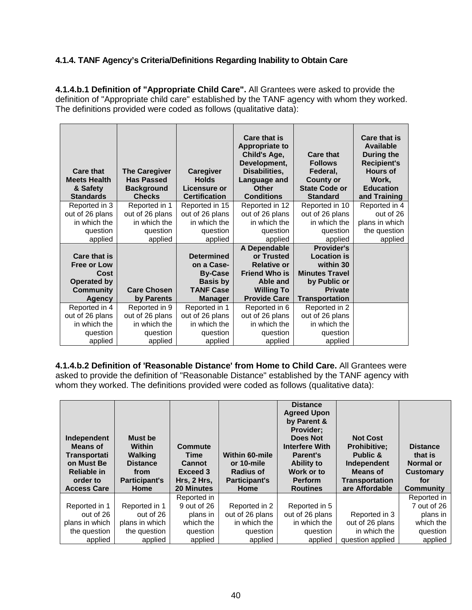## **4.1.4. TANF Agency's Criteria/Definitions Regarding Inability to Obtain Care**

**4.1.4.b.1 Definition of "Appropriate Child Care".** All Grantees were asked to provide the definition of "Appropriate child care" established by the TANF agency with whom they worked. The definitions provided were coded as follows (qualitative data):

| <b>Care that</b><br><b>Meets Health</b><br>& Safety<br><b>Standards</b> | <b>The Caregiver</b><br><b>Has Passed</b><br><b>Background</b><br><b>Checks</b> | Caregiver<br><b>Holds</b><br>Licensure or<br><b>Certification</b> | Care that is<br><b>Appropriate to</b><br>Child's Age,<br>Development,<br>Disabilities,<br>Language and<br><b>Other</b><br><b>Conditions</b> | <b>Care that</b><br><b>Follows</b><br>Federal,<br><b>County or</b><br><b>State Code or</b><br><b>Standard</b> | <b>Care that is</b><br><b>Available</b><br><b>During the</b><br><b>Recipient's</b><br><b>Hours of</b><br>Work,<br><b>Education</b><br>and Training |
|-------------------------------------------------------------------------|---------------------------------------------------------------------------------|-------------------------------------------------------------------|---------------------------------------------------------------------------------------------------------------------------------------------|---------------------------------------------------------------------------------------------------------------|----------------------------------------------------------------------------------------------------------------------------------------------------|
| Reported in 3                                                           | Reported in 1                                                                   | Reported in 15                                                    | Reported in 12                                                                                                                              | Reported in 10                                                                                                | Reported in 4                                                                                                                                      |
| out of 26 plans                                                         | out of 26 plans                                                                 | out of 26 plans                                                   | out of 26 plans                                                                                                                             | out of 26 plans                                                                                               | out of 26                                                                                                                                          |
| in which the                                                            | in which the                                                                    | in which the                                                      | in which the                                                                                                                                | in which the                                                                                                  | plans in which                                                                                                                                     |
| question                                                                | question                                                                        | question                                                          | question                                                                                                                                    | question                                                                                                      | the question                                                                                                                                       |
| applied                                                                 | applied                                                                         | applied                                                           | applied                                                                                                                                     | applied                                                                                                       | applied                                                                                                                                            |
|                                                                         |                                                                                 |                                                                   | A Dependable                                                                                                                                | <b>Provider's</b>                                                                                             |                                                                                                                                                    |
| Care that is                                                            |                                                                                 | <b>Determined</b>                                                 | or Trusted                                                                                                                                  | <b>Location is</b>                                                                                            |                                                                                                                                                    |
| <b>Free or Low</b>                                                      |                                                                                 | on a Case-                                                        | <b>Relative or</b>                                                                                                                          | within 30                                                                                                     |                                                                                                                                                    |
| Cost                                                                    |                                                                                 | <b>By-Case</b>                                                    | <b>Friend Who is</b>                                                                                                                        | <b>Minutes Travel</b>                                                                                         |                                                                                                                                                    |
| <b>Operated by</b>                                                      |                                                                                 | <b>Basis by</b>                                                   | Able and                                                                                                                                    | by Public or                                                                                                  |                                                                                                                                                    |
| Community                                                               | <b>Care Chosen</b>                                                              | <b>TANF Case</b>                                                  | <b>Willing To</b>                                                                                                                           | <b>Private</b>                                                                                                |                                                                                                                                                    |
| <b>Agency</b>                                                           | by Parents                                                                      | Manager                                                           | <b>Provide Care</b>                                                                                                                         | <b>Transportation</b>                                                                                         |                                                                                                                                                    |
| Reported in 4                                                           | Reported in 9                                                                   | Reported in 1                                                     | Reported in 6                                                                                                                               | Reported in 2                                                                                                 |                                                                                                                                                    |
| out of 26 plans                                                         | out of 26 plans                                                                 | out of 26 plans                                                   | out of 26 plans                                                                                                                             | out of 26 plans                                                                                               |                                                                                                                                                    |
| in which the                                                            | in which the                                                                    | in which the                                                      | in which the                                                                                                                                | in which the                                                                                                  |                                                                                                                                                    |
| question                                                                | question                                                                        | question                                                          | question                                                                                                                                    | question                                                                                                      |                                                                                                                                                    |
| applied                                                                 | applied                                                                         | applied                                                           | applied                                                                                                                                     | applied                                                                                                       |                                                                                                                                                    |

**4.1.4.b.2 Definition of 'Reasonable Distance' from Home to Child Care.** All Grantees were asked to provide the definition of "Reasonable Distance" established by the TANF agency with whom they worked. The definitions provided were coded as follows (qualitative data):

| Independent<br>Means of<br>Transportati<br>on Must Be<br><b>Reliable in</b><br>order to<br><b>Access Care</b> | <b>Must be</b><br><b>Within</b><br><b>Walking</b><br><b>Distance</b><br>from<br><b>Participant's</b><br>Home | Commute<br>Time<br><b>Cannot</b><br>Exceed 3<br>Hrs, 2 Hrs,<br><b>20 Minutes</b> | <b>Within 60-mile</b><br>or 10-mile<br><b>Radius of</b><br><b>Participant's</b><br>Home | <b>Distance</b><br><b>Agreed Upon</b><br>by Parent &<br><b>Provider:</b><br><b>Does Not</b><br><b>Interfere With</b><br><b>Parent's</b><br><b>Ability to</b><br>Work or to<br><b>Perform</b><br><b>Routines</b> | <b>Not Cost</b><br><b>Prohibitive:</b><br>Public &<br>Independent<br><b>Means of</b><br><b>Transportation</b><br>are Affordable | <b>Distance</b><br>that is<br>Normal or<br><b>Customary</b><br>for<br>Community |
|---------------------------------------------------------------------------------------------------------------|--------------------------------------------------------------------------------------------------------------|----------------------------------------------------------------------------------|-----------------------------------------------------------------------------------------|-----------------------------------------------------------------------------------------------------------------------------------------------------------------------------------------------------------------|---------------------------------------------------------------------------------------------------------------------------------|---------------------------------------------------------------------------------|
|                                                                                                               |                                                                                                              | Reported in                                                                      |                                                                                         |                                                                                                                                                                                                                 |                                                                                                                                 | Reported in                                                                     |
| Reported in 1                                                                                                 | Reported in 1                                                                                                | 9 out of 26                                                                      | Reported in 2                                                                           | Reported in 5                                                                                                                                                                                                   |                                                                                                                                 | 7 out of 26                                                                     |
| out of 26                                                                                                     | out of 26                                                                                                    | plans in                                                                         | out of 26 plans                                                                         | out of 26 plans                                                                                                                                                                                                 | Reported in 3                                                                                                                   | plans in                                                                        |
| plans in which                                                                                                | plans in which                                                                                               | which the                                                                        | in which the                                                                            | in which the                                                                                                                                                                                                    | out of 26 plans                                                                                                                 | which the                                                                       |
| the question                                                                                                  | the question                                                                                                 | question                                                                         | question                                                                                | question                                                                                                                                                                                                        | in which the                                                                                                                    | question                                                                        |
| applied                                                                                                       | applied                                                                                                      | applied                                                                          | applied                                                                                 | applied                                                                                                                                                                                                         | question applied                                                                                                                | applied                                                                         |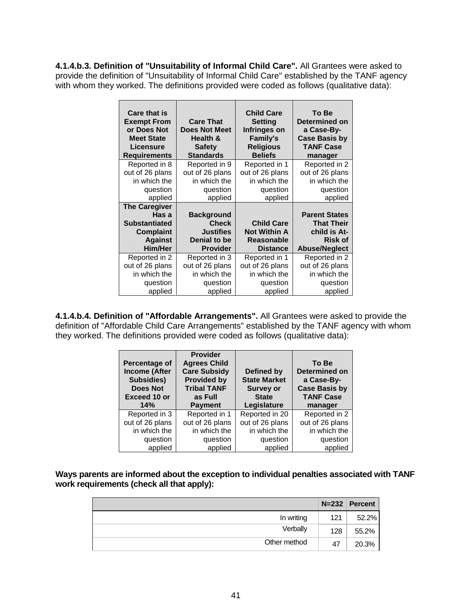**4.1.4.b.3. Definition of "Unsuitability of Informal Child Care".** All Grantees were asked to provide the definition of "Unsuitability of Informal Child Care" established by the TANF agency with whom they worked. The definitions provided were coded as follows (qualitative data):

| <b>Care that is</b><br><b>Exempt From</b><br>or Does Not<br><b>Meet State</b><br><b>Licensure</b><br><b>Requirements</b> | <b>Care That</b><br><b>Does Not Meet</b><br>Health &<br><b>Safety</b><br><b>Standards</b> | <b>Child Care</b><br>Setting<br>Infringes on<br><b>Family's</b><br><b>Religious</b><br><b>Beliefs</b> | To Be<br>Determined on<br>a Case-By-<br><b>Case Basis by</b><br><b>TANF Case</b><br>manager |
|--------------------------------------------------------------------------------------------------------------------------|-------------------------------------------------------------------------------------------|-------------------------------------------------------------------------------------------------------|---------------------------------------------------------------------------------------------|
| Reported in 8                                                                                                            | Reported in 9                                                                             | Reported in 1                                                                                         | Reported in 2                                                                               |
| out of 26 plans                                                                                                          | out of 26 plans                                                                           | out of 26 plans                                                                                       | out of 26 plans                                                                             |
| in which the                                                                                                             | in which the                                                                              | in which the                                                                                          | in which the                                                                                |
| question                                                                                                                 | question                                                                                  | question                                                                                              | question                                                                                    |
| applied                                                                                                                  | applied                                                                                   | applied                                                                                               | applied                                                                                     |
| <b>The Caregiver</b>                                                                                                     |                                                                                           |                                                                                                       |                                                                                             |
| Has a                                                                                                                    | <b>Background</b>                                                                         |                                                                                                       | <b>Parent States</b>                                                                        |
| <b>Substantiated</b>                                                                                                     | <b>Check</b>                                                                              | <b>Child Care</b>                                                                                     | <b>That Their</b>                                                                           |
| <b>Complaint</b>                                                                                                         | <b>Justifies</b>                                                                          | <b>Not Within A</b>                                                                                   | child is At-                                                                                |
| <b>Against</b>                                                                                                           | Denial to be                                                                              | <b>Reasonable</b>                                                                                     | <b>Risk of</b>                                                                              |
| Him/Her                                                                                                                  | <b>Provider</b>                                                                           | <b>Distance</b>                                                                                       | <b>Abuse/Neglect</b>                                                                        |
| Reported in 2                                                                                                            | Reported in 3                                                                             | Reported in 1                                                                                         | Reported in 2                                                                               |
| out of 26 plans                                                                                                          | out of 26 plans                                                                           | out of 26 plans                                                                                       | out of 26 plans                                                                             |
| in which the                                                                                                             | in which the                                                                              | in which the                                                                                          | in which the                                                                                |
| question                                                                                                                 | question                                                                                  | question                                                                                              | question                                                                                    |
| applied                                                                                                                  | applied                                                                                   | applied                                                                                               | applied                                                                                     |

**4.1.4.b.4. Definition of "Affordable Arrangements".** All Grantees were asked to provide the definition of "Affordable Child Care Arrangements" established by the TANF agency with whom they worked. The definitions provided were coded as follows (qualitative data):

| Percentage of<br><b>Income (After</b><br>Subsidies)<br><b>Does Not</b><br><b>Exceed 10 or</b><br>14% | <b>Provider</b><br><b>Agrees Child</b><br><b>Care Subsidy</b><br><b>Provided by</b><br><b>Tribal TANF</b><br>as Full | Defined by<br><b>State Market</b><br><b>Survey or</b><br><b>State</b> | To Be<br>Determined on<br>a Case-By-<br><b>Case Basis by</b><br><b>TANF Case</b> |
|------------------------------------------------------------------------------------------------------|----------------------------------------------------------------------------------------------------------------------|-----------------------------------------------------------------------|----------------------------------------------------------------------------------|
|                                                                                                      | <b>Payment</b>                                                                                                       | Legislature                                                           | manager                                                                          |
| Reported in 3                                                                                        | Reported in 1                                                                                                        | Reported in 20                                                        | Reported in 2                                                                    |
| out of 26 plans                                                                                      | out of 26 plans                                                                                                      | out of 26 plans                                                       | out of 26 plans                                                                  |
| in which the                                                                                         | in which the                                                                                                         | in which the                                                          | in which the                                                                     |
| question<br>applied                                                                                  | question                                                                                                             | question<br>applied                                                   | question<br>applied                                                              |

**Ways parents are informed about the exception to individual penalties associated with TANF work requirements (check all that apply):**

|              |     | $N=232$ Percent |
|--------------|-----|-----------------|
| In writing   | 121 | 52.2%           |
| Verbally     | 128 | 55.2%           |
| Other method | 47  | 20.3%           |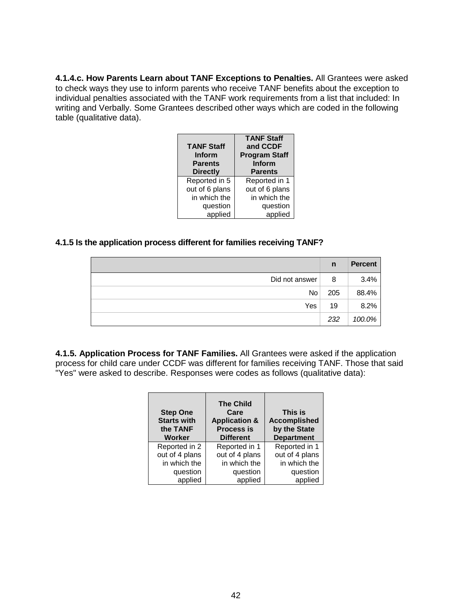**4.1.4.c. How Parents Learn about TANF Exceptions to Penalties.** All Grantees were asked to check ways they use to inform parents who receive TANF benefits about the exception to individual penalties associated with the TANF work requirements from a list that included: In writing and Verbally. Some Grantees described other ways which are coded in the following table (qualitative data).

| <b>TANF Staff</b><br>Inform<br><b>Parents</b><br><b>Directly</b> | <b>TANF Staff</b><br>and CCDF<br><b>Program Staff</b><br>Inform<br><b>Parents</b> |
|------------------------------------------------------------------|-----------------------------------------------------------------------------------|
| Reported in 5                                                    | Reported in 1                                                                     |
| out of 6 plans                                                   | out of 6 plans                                                                    |
| in which the                                                     | in which the                                                                      |
| question                                                         | question                                                                          |
| applied                                                          | applied                                                                           |

### **4.1.5 Is the application process different for families receiving TANF?**

|                | n   | <b>Percent</b> |
|----------------|-----|----------------|
| Did not answer | 8   | 3.4%           |
| No l           | 205 | 88.4%          |
| Yes            | 19  | 8.2%           |
|                | 232 | 100.0%         |

**4.1.5. Application Process for TANF Families.** All Grantees were asked if the application process for child care under CCDF was different for families receiving TANF. Those that said "Yes" were asked to describe. Responses were codes as follows (qualitative data):

| <b>Step One</b><br><b>Starts with</b><br>the TANF<br><b>Worker</b> | <b>The Child</b><br>Care<br><b>Application &amp;</b><br><b>Process is</b><br><b>Different</b> | This is<br><b>Accomplished</b><br>by the State<br><b>Department</b> |
|--------------------------------------------------------------------|-----------------------------------------------------------------------------------------------|---------------------------------------------------------------------|
| Reported in 2                                                      | Reported in 1                                                                                 | Reported in 1                                                       |
| out of 4 plans                                                     | out of 4 plans                                                                                | out of 4 plans                                                      |
| in which the                                                       | in which the                                                                                  | in which the                                                        |
| question                                                           | question                                                                                      | question                                                            |
| applied                                                            | applied                                                                                       | applied                                                             |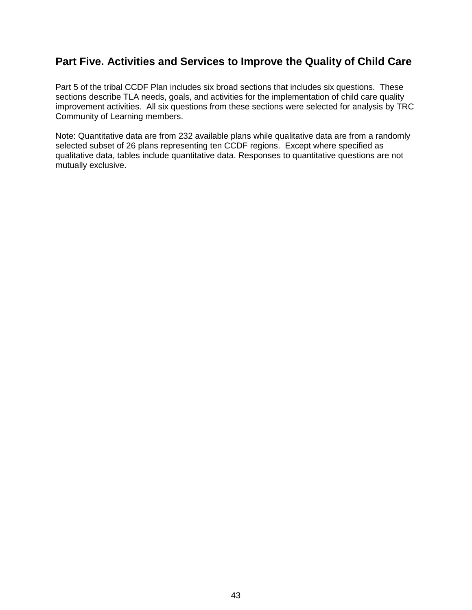# **Part Five. Activities and Services to Improve the Quality of Child Care**

Part 5 of the tribal CCDF Plan includes six broad sections that includes six questions. These sections describe TLA needs, goals, and activities for the implementation of child care quality improvement activities. All six questions from these sections were selected for analysis by TRC Community of Learning members.

Note: Quantitative data are from 232 available plans while qualitative data are from a randomly selected subset of 26 plans representing ten CCDF regions. Except where specified as qualitative data, tables include quantitative data. Responses to quantitative questions are not mutually exclusive.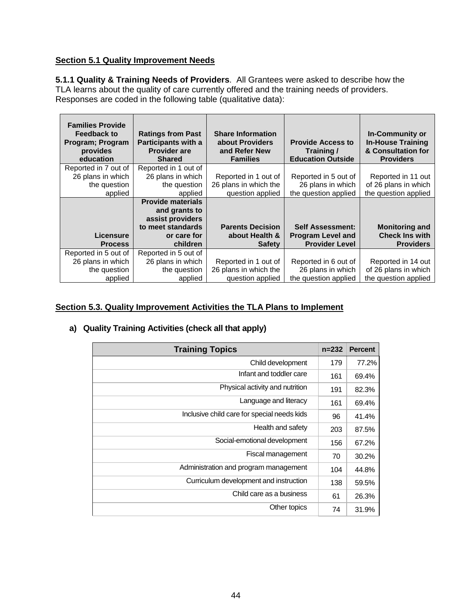## **Section 5.1 Quality Improvement Needs**

**5.1.1 Quality & Training Needs of Providers**. All Grantees were asked to describe how the TLA learns about the quality of care currently offered and the training needs of providers. Responses are coded in the following table (qualitative data):

| <b>Families Provide</b><br><b>Feedback to</b><br><b>Program</b> ; Program<br>provides<br>education | <b>Ratings from Past</b><br><b>Participants with a</b><br><b>Provider are</b><br><b>Shared</b> | <b>Share Information</b><br>about Providers<br>and Refer New<br><b>Families</b> | <b>Provide Access to</b><br>Training/<br><b>Education Outside</b> | <b>In-Community or</b><br><b>In-House Training</b><br>& Consultation for<br><b>Providers</b> |
|----------------------------------------------------------------------------------------------------|------------------------------------------------------------------------------------------------|---------------------------------------------------------------------------------|-------------------------------------------------------------------|----------------------------------------------------------------------------------------------|
| Reported in 7 out of                                                                               | Reported in 1 out of                                                                           |                                                                                 |                                                                   |                                                                                              |
| 26 plans in which                                                                                  | 26 plans in which                                                                              | Reported in 1 out of                                                            | Reported in 5 out of                                              | Reported in 11 out                                                                           |
| the question                                                                                       | the question                                                                                   | 26 plans in which the                                                           | 26 plans in which                                                 | of 26 plans in which                                                                         |
| applied                                                                                            | applied                                                                                        | question applied                                                                | the question applied                                              | the question applied                                                                         |
|                                                                                                    | <b>Provide materials</b>                                                                       |                                                                                 |                                                                   |                                                                                              |
|                                                                                                    | and grants to                                                                                  |                                                                                 |                                                                   |                                                                                              |
|                                                                                                    | assist providers                                                                               |                                                                                 |                                                                   |                                                                                              |
|                                                                                                    | to meet standards                                                                              | <b>Parents Decision</b>                                                         | <b>Self Assessment:</b>                                           | <b>Monitoring and</b>                                                                        |
| Licensure                                                                                          | or care for                                                                                    | about Health &                                                                  | <b>Program Level and</b>                                          | <b>Check Ins with</b>                                                                        |
| <b>Process</b>                                                                                     | children                                                                                       | <b>Safety</b>                                                                   | <b>Provider Level</b>                                             | <b>Providers</b>                                                                             |
| Reported in 5 out of                                                                               | Reported in 5 out of                                                                           |                                                                                 |                                                                   |                                                                                              |
| 26 plans in which                                                                                  | 26 plans in which                                                                              | Reported in 1 out of                                                            | Reported in 6 out of                                              | Reported in 14 out                                                                           |
| the question                                                                                       | the question                                                                                   | 26 plans in which the                                                           | 26 plans in which                                                 | of 26 plans in which                                                                         |
| applied                                                                                            | applied                                                                                        | question applied                                                                | the question applied                                              | the question applied                                                                         |

## **Section 5.3. Quality Improvement Activities the TLA Plans to Implement**

### **a) Quality Training Activities (check all that apply)**

| <b>Training Topics</b>                      | $n = 232$ | <b>Percent</b> |
|---------------------------------------------|-----------|----------------|
| Child development                           | 179       | 77.2%          |
| Infant and toddler care                     | 161       | 69.4%          |
| Physical activity and nutrition             | 191       | 82.3%          |
| Language and literacy                       | 161       | 69.4%          |
| Inclusive child care for special needs kids | 96        | 41.4%          |
| Health and safety                           | 203       | 87.5%          |
| Social-emotional development                | 156       | 67.2%          |
| Fiscal management                           | 70        | 30.2%          |
| Administration and program management       | 104       | 44.8%          |
| Curriculum development and instruction      | 138       | 59.5%          |
| Child care as a business                    | 61        | 26.3%          |
| Other topics                                | 74        | 31.9%          |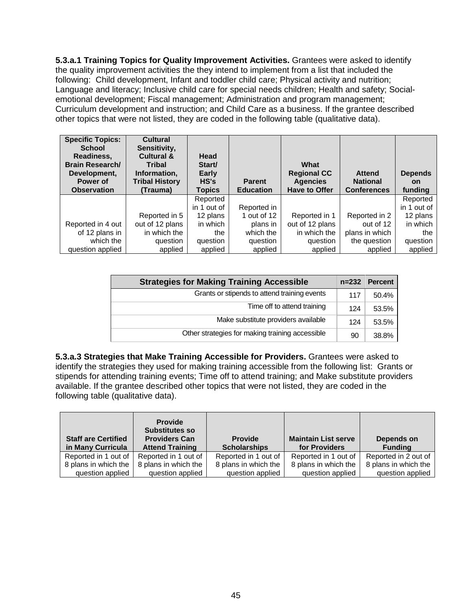**5.3.a.1 Training Topics for Quality Improvement Activities.** Grantees were asked to identify the quality improvement activities the they intend to implement from a list that included the following: Child development, Infant and toddler child care; Physical activity and nutrition; Language and literacy; Inclusive child care for special needs children; Health and safety; Socialemotional development; Fiscal management; Administration and program management; Curriculum development and instruction; and Child Care as a business. If the grantee described other topics that were not listed, they are coded in the following table (qualitative data).

| <b>Specific Topics:</b><br><b>School</b><br>Readiness,<br><b>Brain Research/</b><br>Development,<br>Power of<br><b>Observation</b> | <b>Cultural</b><br>Sensitivity,<br><b>Cultural &amp;</b><br><b>Tribal</b><br>Information.<br><b>Tribal History</b><br>(Trauma) | Head<br>Start/<br>Early<br>HS's<br><b>Topics</b> | <b>Parent</b><br><b>Education</b> | What<br><b>Regional CC</b><br><b>Agencies</b><br><b>Have to Offer</b> | <b>Attend</b><br><b>National</b><br><b>Conferences</b> | <b>Depends</b><br>on<br>funding |
|------------------------------------------------------------------------------------------------------------------------------------|--------------------------------------------------------------------------------------------------------------------------------|--------------------------------------------------|-----------------------------------|-----------------------------------------------------------------------|--------------------------------------------------------|---------------------------------|
|                                                                                                                                    |                                                                                                                                | Reported                                         |                                   |                                                                       |                                                        | Reported                        |
|                                                                                                                                    |                                                                                                                                | in 1 out of                                      | Reported in                       |                                                                       |                                                        | in 1 out of                     |
|                                                                                                                                    | Reported in 5                                                                                                                  | 12 plans                                         | 1 out of 12                       | Reported in 1                                                         | Reported in 2                                          | 12 plans                        |
| Reported in 4 out                                                                                                                  | out of 12 plans                                                                                                                | in which                                         | plans in                          | out of 12 plans                                                       | out of 12                                              | in which                        |
| of 12 plans in                                                                                                                     | in which the                                                                                                                   | the                                              | which the                         | in which the                                                          | plans in which                                         | the                             |
| which the                                                                                                                          | question                                                                                                                       | question                                         | question                          | question                                                              | the question                                           | question                        |
| question applied                                                                                                                   | applied                                                                                                                        | applied                                          | applied                           | applied                                                               | applied                                                | applied                         |

| <b>Strategies for Making Training Accessible</b> | $n = 232$ | <b>Percent</b> |
|--------------------------------------------------|-----------|----------------|
| Grants or stipends to attend training events     | 117       | 50.4%          |
| Time off to attend training                      | 124       | 53.5%          |
| Make substitute providers available              | 124       | 53.5%          |
| Other strategies for making training accessible  | 90        | 38.8%          |

**5.3.a.3 Strategies that Make Training Accessible for Providers.** Grantees were asked to identify the strategies they used for making training accessible from the following list: Grants or stipends for attending training events; Time off to attend training; and Make substitute providers available. If the grantee described other topics that were not listed, they are coded in the following table (qualitative data).

| <b>Staff are Certified</b><br>in Many Curricula | <b>Provide</b><br><b>Substitutes so</b><br><b>Providers Can</b><br><b>Attend Training</b> | <b>Provide</b><br><b>Scholarships</b> | <b>Maintain List serve</b><br>for Providers | Depends on<br><b>Funding</b> |
|-------------------------------------------------|-------------------------------------------------------------------------------------------|---------------------------------------|---------------------------------------------|------------------------------|
| Reported in 1 out of                            | Reported in 1 out of                                                                      | Reported in 1 out of                  | Reported in 1 out of                        | Reported in 2 out of         |
| 8 plans in which the                            | 8 plans in which the                                                                      | 8 plans in which the                  | 8 plans in which the                        | 8 plans in which the         |
| question applied                                | question applied                                                                          | question applied                      | question applied                            | question applied             |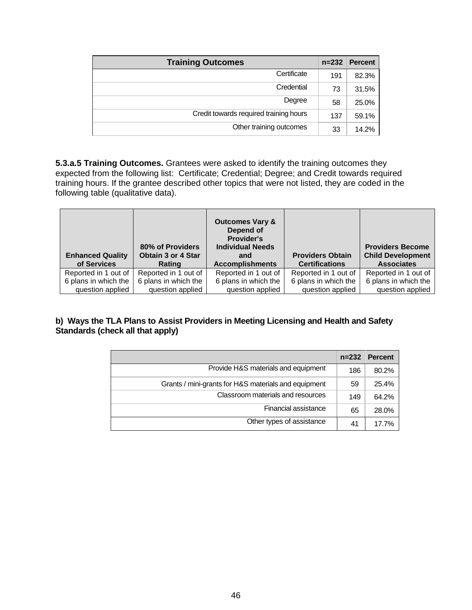| <b>Training Outcomes</b>               | $n = 232$ | <b>Percent</b> |
|----------------------------------------|-----------|----------------|
| Certificate                            | 191       | 82.3%          |
| Credential                             | 73        | 31.5%          |
| Degree                                 | 58        | 25.0%          |
| Credit towards required training hours | 137       | 59.1%          |
| Other training outcomes                | 33        | 14.2%          |

**5.3.a.5 Training Outcomes.** Grantees were asked to identify the training outcomes they expected from the following list: Certificate; Credential; Degree; and Credit towards required training hours. If the grantee described other topics that were not listed, they are coded in the following table (qualitative data).

| <b>Enhanced Quality</b><br>of Services | 80% of Providers<br><b>Obtain 3 or 4 Star</b><br>Rating | <b>Outcomes Vary &amp;</b><br>Depend of<br><b>Provider's</b><br><b>Individual Needs</b><br>and<br><b>Accomplishments</b> | <b>Providers Obtain</b><br><b>Certifications</b> | <b>Providers Become</b><br><b>Child Development</b><br><b>Associates</b> |
|----------------------------------------|---------------------------------------------------------|--------------------------------------------------------------------------------------------------------------------------|--------------------------------------------------|--------------------------------------------------------------------------|
| Reported in 1 out of                   | Reported in 1 out of                                    | Reported in 1 out of                                                                                                     | Reported in 1 out of                             | Reported in 1 out of                                                     |
| 6 plans in which the                   | 6 plans in which the                                    | 6 plans in which the                                                                                                     | 6 plans in which the                             | 6 plans in which the                                                     |
| question applied                       | question applied                                        | question applied                                                                                                         | question applied                                 | question applied                                                         |

### **b) Ways the TLA Plans to Assist Providers in Meeting Licensing and Health and Safety Standards (check all that apply)**

|                                                      | $n = 232$ | <b>Percent</b> |
|------------------------------------------------------|-----------|----------------|
| Provide H&S materials and equipment                  | 186       | 80.2%          |
| Grants / mini-grants for H&S materials and equipment | 59        | 25.4%          |
| Classroom materials and resources                    | 149       | 64.2%          |
| Financial assistance                                 | 65        | 28.0%          |
| Other types of assistance                            | 41        | 17.7%          |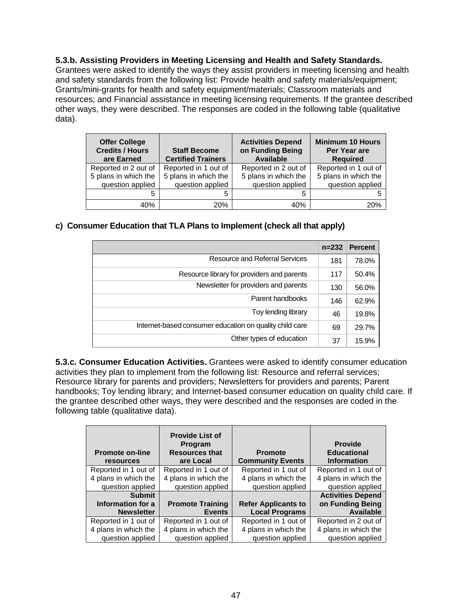### **5.3.b. Assisting Providers in Meeting Licensing and Health and Safety Standards.**

Grantees were asked to identify the ways they assist providers in meeting licensing and health and safety standards from the following list: Provide health and safety materials/equipment; Grants/mini-grants for health and safety equipment/materials; Classroom materials and resources; and Financial assistance in meeting licensing requirements. If the grantee described other ways, they were described. The responses are coded in the following table (qualitative data).

| <b>Offer College</b><br><b>Credits / Hours</b><br>are Earned | <b>Staff Become</b><br><b>Certified Trainers</b> | <b>Activities Depend</b><br>on Funding Being<br><b>Available</b> | <b>Minimum 10 Hours</b><br>Per Year are<br><b>Required</b> |
|--------------------------------------------------------------|--------------------------------------------------|------------------------------------------------------------------|------------------------------------------------------------|
| Reported in 2 out of                                         | Reported in 1 out of                             | Reported in 2 out of                                             | Reported in 1 out of                                       |
| 5 plans in which the                                         | 5 plans in which the                             | 5 plans in which the                                             | 5 plans in which the                                       |
| question applied                                             | question applied                                 | question applied                                                 | question applied                                           |
| 5                                                            | 5                                                | 5                                                                |                                                            |
| 40%                                                          | 20%                                              | 40%                                                              | 20%                                                        |

### **c) Consumer Education that TLA Plans to Implement (check all that apply)**

|                                                         | $n = 232$ | <b>Percent</b> |
|---------------------------------------------------------|-----------|----------------|
| <b>Resource and Referral Services</b>                   | 181       | 78.0%          |
| Resource library for providers and parents              | 117       | 50.4%          |
| Newsletter for providers and parents                    | 130       | 56.0%          |
| Parent handbooks                                        | 146       | 62.9%          |
| Toy lending library                                     | 46        | 19.8%          |
| Internet-based consumer education on quality child care | 69        | 29.7%          |
| Other types of education                                | 37        | 15.9%          |

**5.3.c. Consumer Education Activities.** Grantees were asked to identify consumer education activities they plan to implement from the following list: Resource and referral services; Resource library for parents and providers; Newsletters for providers and parents; Parent handbooks; Toy lending library; and Internet-based consumer education on quality child care. If the grantee described other ways, they were described and the responses are coded in the following table (qualitative data).

| <b>Promote on-line</b><br>resources | <b>Provide List of</b><br>Program<br><b>Resources that</b><br>are Local | <b>Promote</b><br><b>Community Events</b> | <b>Provide</b><br><b>Educational</b><br><b>Information</b> |
|-------------------------------------|-------------------------------------------------------------------------|-------------------------------------------|------------------------------------------------------------|
| Reported in 1 out of                | Reported in 1 out of                                                    | Reported in 1 out of                      | Reported in 1 out of                                       |
| 4 plans in which the                | 4 plans in which the                                                    | 4 plans in which the                      | 4 plans in which the                                       |
| question applied                    | question applied                                                        | question applied                          | question applied                                           |
| <b>Submit</b>                       |                                                                         |                                           | <b>Activities Depend</b>                                   |
| Information for a                   | <b>Promote Training</b>                                                 | <b>Refer Applicants to</b>                | on Funding Being                                           |
| <b>Newsletter</b>                   | <b>Events</b>                                                           | <b>Local Programs</b>                     | <b>Available</b>                                           |
| Reported in 1 out of                | Reported in 1 out of                                                    | Reported in 1 out of                      | Reported in 2 out of                                       |
| 4 plans in which the                | 4 plans in which the                                                    | 4 plans in which the                      | 4 plans in which the                                       |
| question applied                    | question applied                                                        | question applied                          | question applied                                           |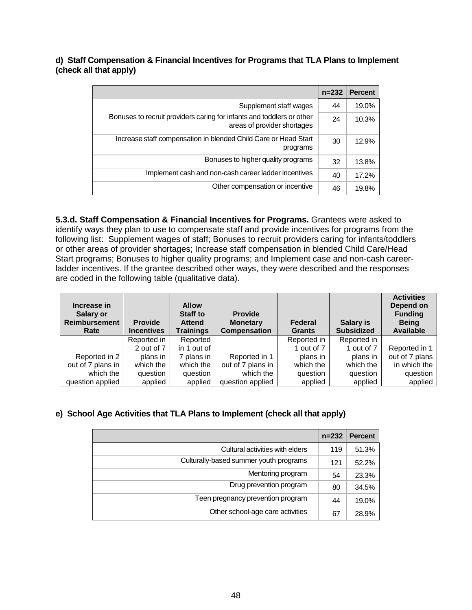**d) Staff Compensation & Financial Incentives for Programs that TLA Plans to Implement (check all that apply)**

|                                                                                                      | $n = 232$ | <b>Percent</b> |
|------------------------------------------------------------------------------------------------------|-----------|----------------|
| Supplement staff wages                                                                               | 44        | 19.0%          |
| Bonuses to recruit providers caring for infants and toddlers or other<br>areas of provider shortages | 24        | 10.3%          |
| Increase staff compensation in blended Child Care or Head Start<br>programs                          | 30        | 12.9%          |
| Bonuses to higher quality programs                                                                   | 32        | 13.8%          |
| Implement cash and non-cash career ladder incentives                                                 | 40        | 17.2%          |
| Other compensation or incentive                                                                      | 46        | 19.8%          |

**5.3.d. Staff Compensation & Financial Incentives for Programs.** Grantees were asked to identify ways they plan to use to compensate staff and provide incentives for programs from the following list: Supplement wages of staff; Bonuses to recruit providers caring for infants/toddlers or other areas of provider shortages; Increase staff compensation in blended Child Care/Head Start programs; Bonuses to higher quality programs; and Implement case and non-cash careerladder incentives. If the grantee described other ways, they were described and the responses are coded in the following table (qualitative data).

| Increase in<br>Salary or<br><b>Reimbursement</b><br>Rate | <b>Provide</b><br><b>Incentives</b> | <b>Allow</b><br><b>Staff to</b><br><b>Attend</b><br><b>Trainings</b> | <b>Provide</b><br><b>Monetary</b><br><b>Compensation</b> | Federal<br><b>Grants</b> | <b>Salary is</b><br><b>Subsidized</b> | <b>Activities</b><br>Depend on<br><b>Funding</b><br><b>Being</b><br><b>Available</b> |
|----------------------------------------------------------|-------------------------------------|----------------------------------------------------------------------|----------------------------------------------------------|--------------------------|---------------------------------------|--------------------------------------------------------------------------------------|
|                                                          | Reported in                         | Reported                                                             |                                                          | Reported in              | Reported in                           |                                                                                      |
|                                                          | 2 out of 7                          | in 1 out of                                                          |                                                          | 1 out of 7               | 1 out of 7                            | Reported in 1                                                                        |
| Reported in 2                                            | plans in                            | 7 plans in                                                           | Reported in 1                                            | plans in                 | plans in                              | out of 7 plans                                                                       |
| out of 7 plans in                                        | which the                           | which the                                                            | out of 7 plans in                                        | which the                | which the                             | in which the                                                                         |
| which the                                                | question                            | question                                                             | which the                                                | question                 | question                              | question                                                                             |
| question applied                                         | applied                             | applied                                                              | question applied                                         | applied                  | applied                               | applied                                                                              |

### **e) School Age Activities that TLA Plans to Implement (check all that apply)**

|                                        | $n = 232$ | <b>Percent</b> |
|----------------------------------------|-----------|----------------|
| Cultural activities with elders        | 119       | 51.3%          |
| Culturally-based summer youth programs | 121       | 52.2%          |
| Mentoring program                      | 54        | 23.3%          |
| Drug prevention program                | 80        | 34.5%          |
| Teen pregnancy prevention program      | 44        | 19.0%          |
| Other school-age care activities       | 67        | 28.9%          |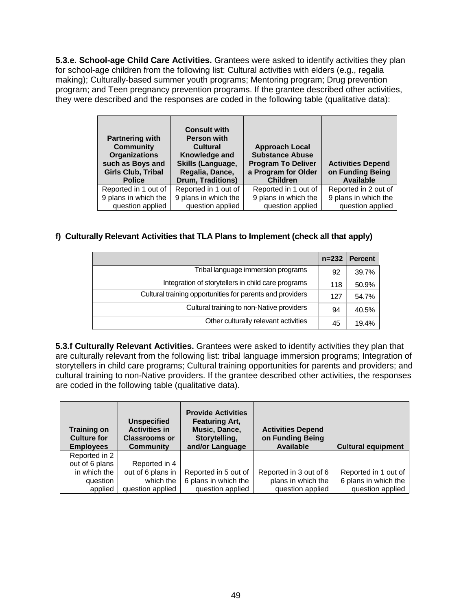**5.3.e. School-age Child Care Activities.** Grantees were asked to identify activities they plan for school-age children from the following list: Cultural activities with elders (e.g., regalia making); Culturally-based summer youth programs; Mentoring program; Drug prevention program; and Teen pregnancy prevention programs. If the grantee described other activities, they were described and the responses are coded in the following table (qualitative data):

| <b>Partnering with</b><br><b>Community</b><br><b>Organizations</b><br>such as Boys and<br><b>Girls Club, Tribal</b><br><b>Police</b> | <b>Consult with</b><br><b>Person with</b><br>Cultural<br>Knowledge and<br>Skills (Language,<br>Regalia, Dance,<br>Drum, Traditions) | <b>Approach Local</b><br><b>Substance Abuse</b><br><b>Program To Deliver</b><br>a Program for Older<br><b>Children</b> | <b>Activities Depend</b><br>on Funding Being<br><b>Available</b> |
|--------------------------------------------------------------------------------------------------------------------------------------|-------------------------------------------------------------------------------------------------------------------------------------|------------------------------------------------------------------------------------------------------------------------|------------------------------------------------------------------|
| Reported in 1 out of                                                                                                                 | Reported in 1 out of                                                                                                                | Reported in 1 out of                                                                                                   | Reported in 2 out of                                             |
| 9 plans in which the                                                                                                                 | 9 plans in which the                                                                                                                | 9 plans in which the                                                                                                   | 9 plans in which the                                             |
| question applied                                                                                                                     | question applied                                                                                                                    | question applied                                                                                                       | question applied                                                 |

### **f) Culturally Relevant Activities that TLA Plans to Implement (check all that apply)**

|                                                           | $n = 232$ | <b>Percent</b> |
|-----------------------------------------------------------|-----------|----------------|
| Tribal language immersion programs                        | 92        | 39.7%          |
| Integration of storytellers in child care programs        | 118       | 50.9%          |
| Cultural training opportunities for parents and providers | 127       | 54.7%          |
| Cultural training to non-Native providers                 | 94        | 40.5%          |
| Other culturally relevant activities                      | 45        | 19.4%          |

**5.3.f Culturally Relevant Activities.** Grantees were asked to identify activities they plan that are culturally relevant from the following list: tribal language immersion programs; Integration of storytellers in child care programs; Cultural training opportunities for parents and providers; and cultural training to non-Native providers. If the grantee described other activities, the responses are coded in the following table (qualitative data).

| <b>Training on</b><br>Culture for<br><b>Employees</b> | <b>Unspecified</b><br><b>Activities in</b><br><b>Classrooms or</b><br>Community | <b>Provide Activities</b><br><b>Featuring Art,</b><br>Music, Dance,<br>Storytelling,<br>and/or Language | <b>Activities Depend</b><br>on Funding Being<br>Available | <b>Cultural equipment</b> |
|-------------------------------------------------------|---------------------------------------------------------------------------------|---------------------------------------------------------------------------------------------------------|-----------------------------------------------------------|---------------------------|
| Reported in 2                                         |                                                                                 |                                                                                                         |                                                           |                           |
| out of 6 plans<br>in which the                        | Reported in 4<br>out of 6 plans in                                              | Reported in 5 out of                                                                                    | Reported in 3 out of 6                                    | Reported in 1 out of      |
| question                                              | which the                                                                       | 6 plans in which the                                                                                    | plans in which the                                        | 6 plans in which the      |
|                                                       |                                                                                 |                                                                                                         |                                                           |                           |
| applied                                               | question applied                                                                | question applied                                                                                        | question applied                                          | question applied          |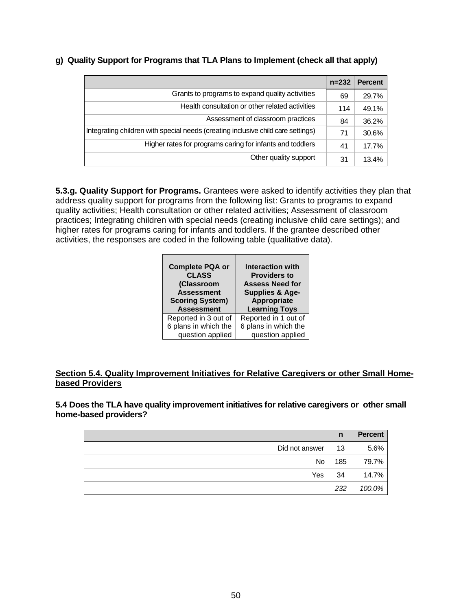|                                                                                  | $n = 232$ | <b>Percent</b> |
|----------------------------------------------------------------------------------|-----------|----------------|
| Grants to programs to expand quality activities                                  | 69        | 29.7%          |
| Health consultation or other related activities                                  | 114       | 49.1%          |
| Assessment of classroom practices                                                | 84        | 36.2%          |
| Integrating children with special needs (creating inclusive child care settings) | 71        | 30.6%          |
| Higher rates for programs caring for infants and toddlers                        | 41        | 17.7%          |
| Other quality support                                                            | 31        | 13.4%          |

### **g) Quality Support for Programs that TLA Plans to Implement (check all that apply)**

**5.3.g. Quality Support for Programs.** Grantees were asked to identify activities they plan that address quality support for programs from the following list: Grants to programs to expand quality activities; Health consultation or other related activities; Assessment of classroom practices; Integrating children with special needs (creating inclusive child care settings); and higher rates for programs caring for infants and toddlers. If the grantee described other activities, the responses are coded in the following table (qualitative data).

| <b>Complete PQA or</b><br><b>CLASS</b><br>(Classroom<br><b>Assessment</b><br><b>Scoring System)</b><br><b>Assessment</b> | Interaction with<br><b>Providers to</b><br><b>Assess Need for</b><br><b>Supplies &amp; Age-</b><br>Appropriate<br><b>Learning Toys</b> |
|--------------------------------------------------------------------------------------------------------------------------|----------------------------------------------------------------------------------------------------------------------------------------|
| Reported in 3 out of                                                                                                     | Reported in 1 out of                                                                                                                   |
| 6 plans in which the                                                                                                     | 6 plans in which the                                                                                                                   |
| question applied                                                                                                         | question applied                                                                                                                       |

### **Section 5.4. Quality Improvement Initiatives for Relative Caregivers or other Small Homebased Providers**

**5.4 Does the TLA have quality improvement initiatives for relative caregivers or other small home-based providers?**

|                | n   | <b>Percent</b> |
|----------------|-----|----------------|
| Did not answer | 13  | 5.6%           |
| <b>No</b>      | 185 | 79.7%          |
| Yes            | 34  | 14.7%          |
|                | 232 | 100.0%         |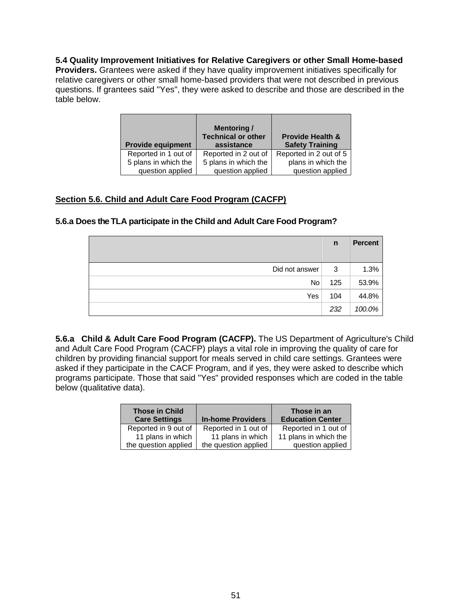### **5.4 Quality Improvement Initiatives for Relative Caregivers or other Small Home-based**

**Providers.** Grantees were asked if they have quality improvement initiatives specifically for relative caregivers or other small home-based providers that were not described in previous questions. If grantees said "Yes", they were asked to describe and those are described in the table below.

| <b>Provide equipment</b> | <b>Mentoring</b> /<br><b>Technical or other</b><br>assistance | <b>Provide Health &amp;</b><br><b>Safety Training</b> |
|--------------------------|---------------------------------------------------------------|-------------------------------------------------------|
| Reported in 1 out of     | Reported in 2 out of                                          | Reported in 2 out of 5                                |
| 5 plans in which the     | 5 plans in which the                                          | plans in which the                                    |
| question applied         | question applied                                              | question applied                                      |

### **Section 5.6. Child and Adult Care Food Program (CACFP)**

# **5.6.a Does the TLA participate in the Child and Adult Care Food Program?**

|                 | $\mathsf{n}$ | <b>Percent</b> |
|-----------------|--------------|----------------|
| Did not answer  | 3            | 1.3%           |
| No <sub>1</sub> | 125          | 53.9%          |
| Yes             | 104          | 44.8%          |
|                 | 232          | 100.0%         |

**5.6.a Child & Adult Care Food Program (CACFP).** The US Department of Agriculture's Child and Adult Care Food Program (CACFP) plays a vital role in improving the quality of care for children by providing financial support for meals served in child care settings. Grantees were asked if they participate in the CACF Program, and if yes, they were asked to describe which programs participate. Those that said "Yes" provided responses which are coded in the table below (qualitative data).

| <b>Those in Child</b><br><b>Care Settings</b> | <b>In-home Providers</b> | Those in an<br><b>Education Center</b> |
|-----------------------------------------------|--------------------------|----------------------------------------|
| Reported in 9 out of                          | Reported in 1 out of     | Reported in 1 out of                   |
| 11 plans in which                             | 11 plans in which        | 11 plans in which the                  |
| the question applied                          | the question applied     | question applied                       |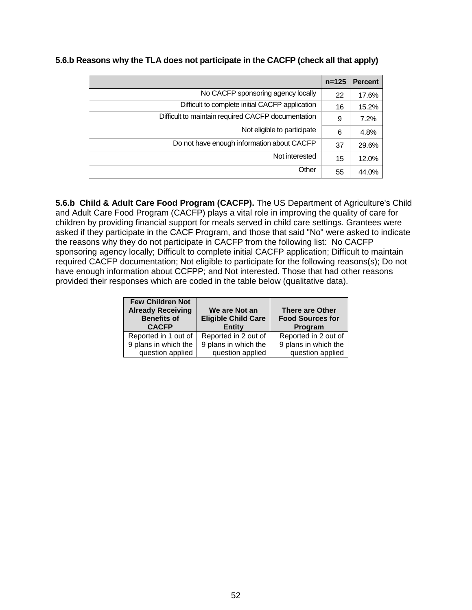| $n = 125$ | <b>Percent</b> |
|-----------|----------------|
| 22        | 17.6%          |
| 16        | 15.2%          |
| 9         | 7.2%           |
| 6         | 4.8%           |
| 37        | 29.6%          |
| 15        | 12.0%          |
| 55        | 44.0%          |
|           |                |

**5.6.b Reasons why the TLA does not participate in the CACFP (check all that apply)**

**5.6.b Child & Adult Care Food Program (CACFP).** The US Department of Agriculture's Child and Adult Care Food Program (CACFP) plays a vital role in improving the quality of care for children by providing financial support for meals served in child care settings. Grantees were asked if they participate in the CACF Program, and those that said "No" were asked to indicate the reasons why they do not participate in CACFP from the following list: No CACFP sponsoring agency locally; Difficult to complete initial CACFP application; Difficult to maintain required CACFP documentation; Not eligible to participate for the following reasons(s); Do not have enough information about CCFPP; and Not interested. Those that had other reasons provided their responses which are coded in the table below (qualitative data).

| <b>Few Children Not</b><br><b>Already Receiving</b><br><b>Benefits of</b><br><b>CACFP</b> | We are Not an<br><b>Eligible Child Care</b><br><b>Entity</b> | <b>There are Other</b><br><b>Food Sources for</b><br>Program |
|-------------------------------------------------------------------------------------------|--------------------------------------------------------------|--------------------------------------------------------------|
| Reported in 1 out of                                                                      | Reported in 2 out of                                         | Reported in 2 out of                                         |
| 9 plans in which the                                                                      | 9 plans in which the                                         | 9 plans in which the                                         |
| question applied                                                                          | question applied                                             | question applied                                             |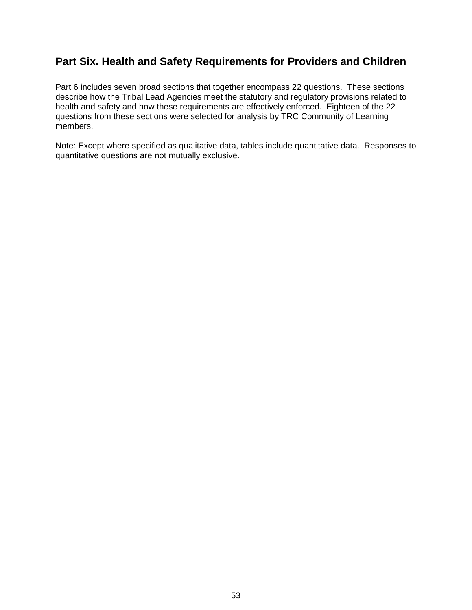# **Part Six. Health and Safety Requirements for Providers and Children**

Part 6 includes seven broad sections that together encompass 22 questions. These sections describe how the Tribal Lead Agencies meet the statutory and regulatory provisions related to health and safety and how these requirements are effectively enforced. Eighteen of the 22 questions from these sections were selected for analysis by TRC Community of Learning members.

Note: Except where specified as qualitative data, tables include quantitative data. Responses to quantitative questions are not mutually exclusive.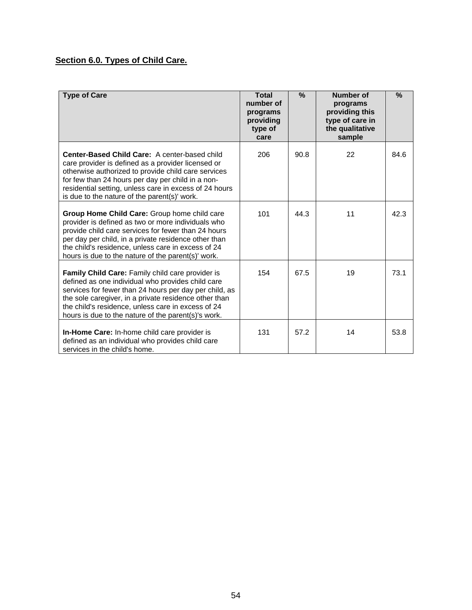# **Section 6.0. Types of Child Care.**

| <b>Type of Care</b>                                                                                                                                                                                                                                                                                                                   | <b>Total</b><br>number of<br>programs<br>providing<br>type of<br>care | $\frac{9}{6}$ | Number of<br>programs<br>providing this<br>type of care in<br>the qualitative<br>sample | $\frac{9}{6}$ |
|---------------------------------------------------------------------------------------------------------------------------------------------------------------------------------------------------------------------------------------------------------------------------------------------------------------------------------------|-----------------------------------------------------------------------|---------------|-----------------------------------------------------------------------------------------|---------------|
| Center-Based Child Care: A center-based child<br>care provider is defined as a provider licensed or<br>otherwise authorized to provide child care services<br>for few than 24 hours per day per child in a non-<br>residential setting, unless care in excess of 24 hours<br>is due to the nature of the parent(s)' work.             | 206                                                                   | 90.8          | 22                                                                                      | 84.6          |
| Group Home Child Care: Group home child care<br>provider is defined as two or more individuals who<br>provide child care services for fewer than 24 hours<br>per day per child, in a private residence other than<br>the child's residence, unless care in excess of 24<br>hours is due to the nature of the parent(s)' work.         | 101                                                                   | 44.3          | 11                                                                                      | 42.3          |
| Family Child Care: Family child care provider is<br>defined as one individual who provides child care<br>services for fewer than 24 hours per day per child, as<br>the sole caregiver, in a private residence other than<br>the child's residence, unless care in excess of 24<br>hours is due to the nature of the parent(s)'s work. | 154                                                                   | 67.5          | 19                                                                                      | 73.1          |
| <b>In-Home Care:</b> In-home child care provider is<br>defined as an individual who provides child care<br>services in the child's home.                                                                                                                                                                                              | 131                                                                   | 57.2          | 14                                                                                      | 53.8          |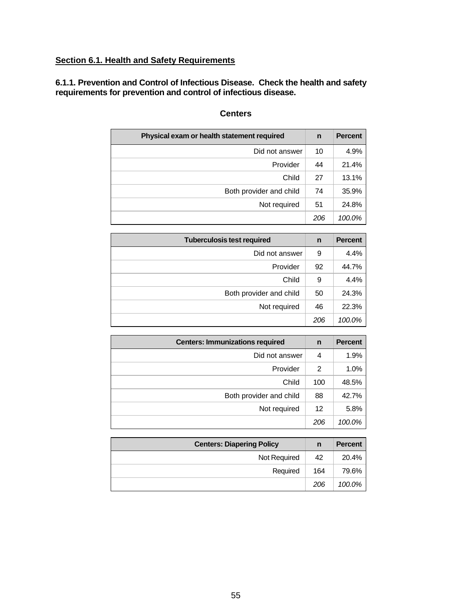# **Section 6.1. Health and Safety Requirements**

**6.1.1. Prevention and Control of Infectious Disease. Check the health and safety requirements for prevention and control of infectious disease.**

| Physical exam or health statement required |     | <b>Percent</b> |
|--------------------------------------------|-----|----------------|
| Did not answer                             | 10  | 4.9%           |
| Provider                                   | 44  | 21.4%          |
| Child                                      | 27  | 13.1%          |
| Both provider and child                    | 74  | 35.9%          |
| Not required                               | 51  | 24.8%          |
|                                            | 206 | 100.0%         |

### **Centers**

| <b>Tuberculosis test required</b> |     | <b>Percent</b> |
|-----------------------------------|-----|----------------|
| Did not answer                    | 9   | 4.4%           |
| Provider                          | 92  | 44.7%          |
| Child                             | 9   | 4.4%           |
| Both provider and child           | 50  | 24.3%          |
| Not required                      | 46  | 22.3%          |
|                                   | 206 | 100.0%         |

| <b>Centers: Immunizations required</b> |     | <b>Percent</b> |
|----------------------------------------|-----|----------------|
| Did not answer                         | 4   | 1.9%           |
| Provider                               | 2   | 1.0%           |
| Child                                  | 100 | 48.5%          |
| Both provider and child                | 88  | 42.7%          |
| Not required                           | 12  | 5.8%           |
|                                        | 206 | 100.0%         |

| <b>Centers: Diapering Policy</b> |     | <b>Percent</b> |
|----------------------------------|-----|----------------|
| Not Required                     | 42  | 20.4%          |
| Required                         | 164 | 79.6%          |
|                                  | 206 | 100.0%         |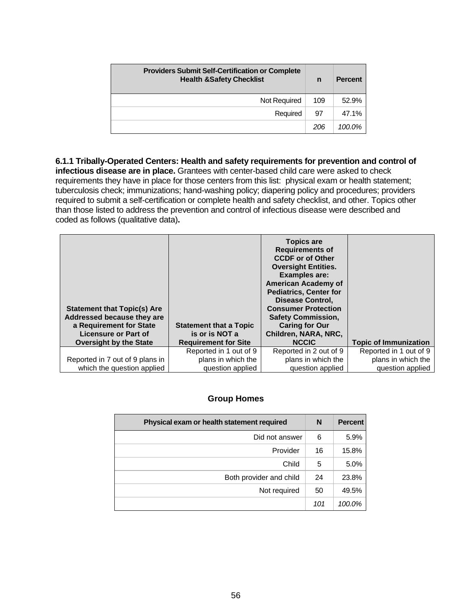| <b>Providers Submit Self-Certification or Complete</b><br><b>Health &amp;Safety Checklist</b> |     | <b>Percent</b> |
|-----------------------------------------------------------------------------------------------|-----|----------------|
| Not Required                                                                                  | 109 | 52.9%          |
| Required                                                                                      | 97  | 47.1%          |
|                                                                                               | 206 | 100.0%         |

**6.1.1 Tribally-Operated Centers: Health and safety requirements for prevention and control of infectious disease are in place.** Grantees with center-based child care were asked to check requirements they have in place for those centers from this list: physical exam or health statement; tuberculosis check; immunizations; hand-washing policy; diapering policy and procedures; providers required to submit a self-certification or complete health and safety checklist, and other. Topics other than those listed to address the prevention and control of infectious disease were described and coded as follows (qualitative data)**.**

| <b>Statement that Topic(s) Are</b><br>Addressed because they are<br>a Requirement for State<br><b>Licensure or Part of</b><br><b>Oversight by the State</b> | <b>Statement that a Topic</b><br>is or is NOT a<br><b>Requirement for Site</b> | <b>Topics are</b><br><b>Requirements of</b><br><b>CCDF or of Other</b><br><b>Oversight Entities.</b><br><b>Examples are:</b><br><b>American Academy of</b><br><b>Pediatrics, Center for</b><br><b>Disease Control,</b><br><b>Consumer Protection</b><br><b>Safety Commission,</b><br><b>Caring for Our</b><br>Children, NARA, NRC,<br><b>NCCIC</b> | <b>Topic of Immunization</b> |
|-------------------------------------------------------------------------------------------------------------------------------------------------------------|--------------------------------------------------------------------------------|----------------------------------------------------------------------------------------------------------------------------------------------------------------------------------------------------------------------------------------------------------------------------------------------------------------------------------------------------|------------------------------|
|                                                                                                                                                             | Reported in 1 out of 9                                                         | Reported in 2 out of 9                                                                                                                                                                                                                                                                                                                             | Reported in 1 out of 9       |
| Reported in 7 out of 9 plans in                                                                                                                             | plans in which the                                                             | plans in which the                                                                                                                                                                                                                                                                                                                                 | plans in which the           |
| which the question applied                                                                                                                                  | question applied                                                               | question applied                                                                                                                                                                                                                                                                                                                                   | question applied             |

### **Group Homes**

| Physical exam or health statement required |     | <b>Percent</b> |
|--------------------------------------------|-----|----------------|
| Did not answer                             | 6   | 5.9%           |
| Provider                                   | 16  | 15.8%          |
| Child                                      | 5   | 5.0%           |
| Both provider and child                    | 24  | 23.8%          |
| Not required                               | 50  | 49.5%          |
|                                            | 101 | 100.0%         |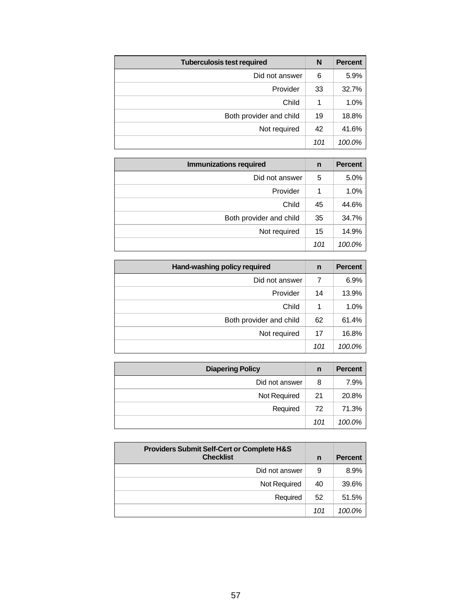| <b>Tuberculosis test required</b> | N   | <b>Percent</b> |
|-----------------------------------|-----|----------------|
| Did not answer                    | 6   | 5.9%           |
| Provider                          | 33  | 32.7%          |
| Child                             | 1   | 1.0%           |
| Both provider and child           | 19  | 18.8%          |
| Not required                      | 42  | 41.6%          |
|                                   | 101 | 100.0%         |

| <b>Immunizations required</b> | n   | <b>Percent</b> |
|-------------------------------|-----|----------------|
| Did not answer                | 5   | 5.0%           |
| Provider                      |     | 1.0%           |
| Child                         | 45  | 44.6%          |
| Both provider and child       | 35  | 34.7%          |
| Not required                  | 15  | 14.9%          |
|                               | 101 | 100.0%         |

| Hand-washing policy required | n   | <b>Percent</b> |
|------------------------------|-----|----------------|
| Did not answer               | 7   | 6.9%           |
| Provider                     | 14  | 13.9%          |
| Child                        |     | 1.0%           |
| Both provider and child      | 62  | 61.4%          |
| Not required                 | 17  | 16.8%          |
|                              | 101 | 100.0%         |

| <b>Diapering Policy</b> | n   | <b>Percent</b> |
|-------------------------|-----|----------------|
| Did not answer          | 8   | 7.9%           |
| Not Required            | 21  | 20.8%          |
| Required                | 72  | 71.3%          |
|                         | 101 | 100.0%         |

| <b>Providers Submit Self-Cert or Complete H&amp;S</b><br><b>Checklist</b> | n   | <b>Percent</b> |
|---------------------------------------------------------------------------|-----|----------------|
| Did not answer                                                            | 9   | 8.9%           |
| Not Required                                                              | 40  | 39.6%          |
| Required                                                                  | 52  | 51.5%          |
|                                                                           | 101 | 100.0%         |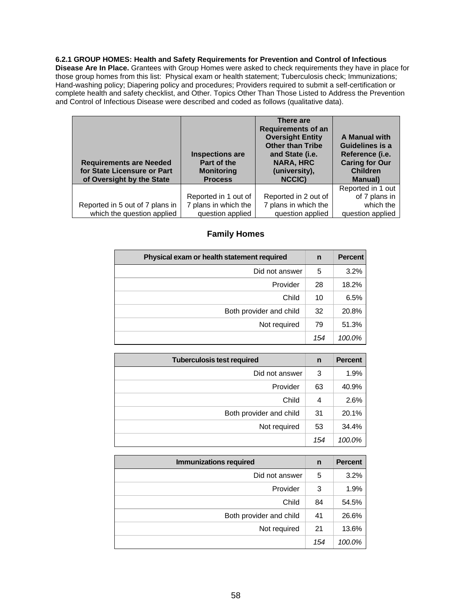#### **6.2.1 GROUP HOMES: Health and Safety Requirements for Prevention and Control of Infectious**

**Disease Are In Place.** Grantees with Group Homes were asked to check requirements they have in place for those group homes from this list: Physical exam or health statement; Tuberculosis check; Immunizations; Hand-washing policy; Diapering policy and procedures; Providers required to submit a self-certification or complete health and safety checklist, and Other. Topics Other Than Those Listed to Address the Prevention and Control of Infectious Disease were described and coded as follows (qualitative data).

| <b>Requirements are Needed</b><br>for State Licensure or Part<br>of Oversight by the State | <b>Inspections are</b><br>Part of the<br><b>Monitoring</b><br><b>Process</b> | There are<br><b>Requirements of an</b><br><b>Oversight Entity</b><br><b>Other than Tribe</b><br>and State (i.e.<br><b>NARA, HRC</b><br>(university),<br>NCCIC) | A Manual with<br><b>Guidelines is a</b><br>Reference (i.e.<br><b>Caring for Our</b><br><b>Children</b><br><b>Manual</b> ) |
|--------------------------------------------------------------------------------------------|------------------------------------------------------------------------------|----------------------------------------------------------------------------------------------------------------------------------------------------------------|---------------------------------------------------------------------------------------------------------------------------|
|                                                                                            |                                                                              |                                                                                                                                                                | Reported in 1 out                                                                                                         |
|                                                                                            | Reported in 1 out of                                                         | Reported in 2 out of                                                                                                                                           | of 7 plans in                                                                                                             |
| Reported in 5 out of 7 plans in                                                            | 7 plans in which the                                                         | 7 plans in which the                                                                                                                                           | which the                                                                                                                 |
| which the question applied                                                                 | question applied                                                             | question applied                                                                                                                                               | question applied                                                                                                          |

### **Family Homes**

| Physical exam or health statement required | n   | <b>Percent</b> |
|--------------------------------------------|-----|----------------|
| Did not answer                             | 5   | 3.2%           |
| Provider                                   | 28  | 18.2%          |
| Child                                      | 10  | 6.5%           |
| Both provider and child                    | 32  | 20.8%          |
| Not required                               | 79  | 51.3%          |
|                                            | 154 | 100.0%         |

| <b>Tuberculosis test required</b> | n   | <b>Percent</b> |
|-----------------------------------|-----|----------------|
| Did not answer                    | 3   | 1.9%           |
| Provider                          | 63  | 40.9%          |
| Child                             | 4   | 2.6%           |
| Both provider and child           | 31  | 20.1%          |
| Not required                      | 53  | 34.4%          |
|                                   | 154 | 100.0%         |

| <b>Immunizations required</b> | n   | <b>Percent</b> |
|-------------------------------|-----|----------------|
| Did not answer                | 5   | 3.2%           |
| Provider                      | 3   | 1.9%           |
| Child                         | 84  | 54.5%          |
| Both provider and child       | 41  | 26.6%          |
| Not required                  | 21  | 13.6%          |
|                               | 154 | 100.0%         |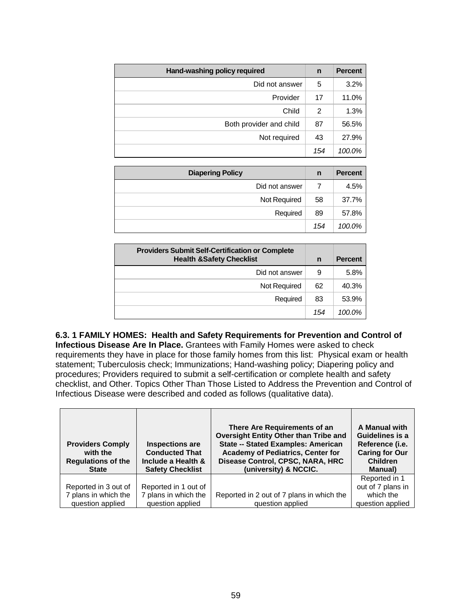| Hand-washing policy required | n   | <b>Percent</b> |
|------------------------------|-----|----------------|
| Did not answer               | 5   | 3.2%           |
| Provider                     | 17  | 11.0%          |
| Child                        | 2   | 1.3%           |
| Both provider and child      | 87  | 56.5%          |
| Not required                 | 43  | 27.9%          |
|                              | 154 | 100.0%         |

| <b>Diapering Policy</b> | n   | <b>Percent</b> |
|-------------------------|-----|----------------|
| Did not answer          |     | 4.5%           |
| Not Required            | 58  | 37.7%          |
| Required                | 89  | 57.8%          |
|                         | 154 | 100.0%         |

| <b>Providers Submit Self-Certification or Complete</b><br><b>Health &amp;Safety Checklist</b> | n   | <b>Percent</b> |
|-----------------------------------------------------------------------------------------------|-----|----------------|
| Did not answer                                                                                | 9   | 5.8%           |
| <b>Not Required</b>                                                                           | 62  | 40.3%          |
| Required                                                                                      | 83  | 53.9%          |
|                                                                                               | 154 | $100.0\%$      |

**6.3. 1 FAMILY HOMES: Health and Safety Requirements for Prevention and Control of Infectious Disease Are In Place.** Grantees with Family Homes were asked to check requirements they have in place for those family homes from this list: Physical exam or health statement; Tuberculosis check; Immunizations; Hand-washing policy; Diapering policy and procedures; Providers required to submit a self-certification or complete health and safety checklist, and Other. Topics Other Than Those Listed to Address the Prevention and Control of Infectious Disease were described and coded as follows (qualitative data).

| <b>Providers Comply</b><br>with the<br><b>Regulations of the</b><br><b>State</b> | <b>Inspections are</b><br><b>Conducted That</b><br>Include a Health &<br><b>Safety Checklist</b> | There Are Requirements of an<br><b>Oversight Entity Other than Tribe and</b><br><b>State -- Stated Examples: American</b><br><b>Academy of Pediatrics, Center for</b><br>Disease Control, CPSC, NARA, HRC<br>(university) & NCCIC. | A Manual with<br>Guidelines is a<br>Reference (i.e.<br><b>Caring for Our</b><br><b>Children</b><br>Manual) |
|----------------------------------------------------------------------------------|--------------------------------------------------------------------------------------------------|------------------------------------------------------------------------------------------------------------------------------------------------------------------------------------------------------------------------------------|------------------------------------------------------------------------------------------------------------|
|                                                                                  |                                                                                                  |                                                                                                                                                                                                                                    | Reported in 1                                                                                              |
| Reported in 3 out of                                                             | Reported in 1 out of                                                                             |                                                                                                                                                                                                                                    | out of 7 plans in                                                                                          |
| 7 plans in which the                                                             | 7 plans in which the                                                                             | Reported in 2 out of 7 plans in which the                                                                                                                                                                                          | which the                                                                                                  |
| question applied                                                                 | question applied                                                                                 | question applied                                                                                                                                                                                                                   | question applied                                                                                           |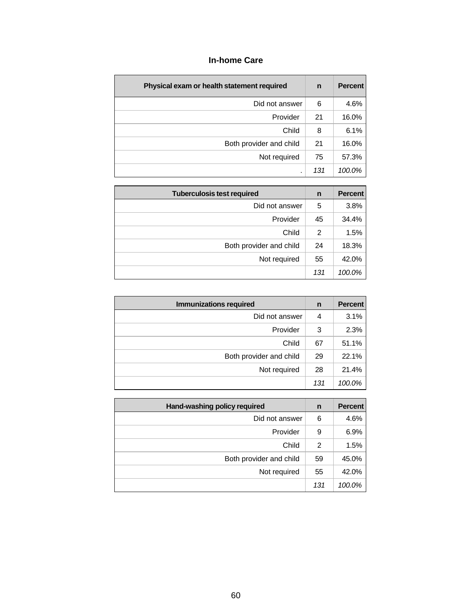# **In-home Care**

| Physical exam or health statement required | n   | <b>Percent</b> |
|--------------------------------------------|-----|----------------|
| Did not answer                             | 6   | 4.6%           |
| Provider                                   | 21  | 16.0%          |
| Child                                      | 8   | 6.1%           |
| Both provider and child                    | 21  | 16.0%          |
| Not required                               | 75  | 57.3%          |
| ٠                                          | 131 | 100.0%         |

| <b>Tuberculosis test required</b> |     | <b>Percent</b> |
|-----------------------------------|-----|----------------|
| Did not answer                    | 5   | 3.8%           |
| Provider                          | 45  | 34.4%          |
| Child                             | 2   | 1.5%           |
| Both provider and child           | -24 | 18.3%          |
| Not required                      | 55  | 42.0%          |
|                                   | 131 | 100.0%         |

| <b>Immunizations required</b> |     | <b>Percent</b> |
|-------------------------------|-----|----------------|
| Did not answer                | 4   | 3.1%           |
| Provider                      | 3   | 2.3%           |
| Child                         | 67  | 51.1%          |
| Both provider and child       | 29  | 22.1%          |
| Not required                  | 28  | 21.4%          |
|                               | 131 | 100.0%         |

| Hand-washing policy required |     | <b>Percent</b> |
|------------------------------|-----|----------------|
| Did not answer               | 6   | 4.6%           |
| Provider                     | 9   | 6.9%           |
| Child                        | 2   | 1.5%           |
| Both provider and child      | 59  | 45.0%          |
| Not required                 | 55  | 42.0%          |
|                              | 131 | 100.0%         |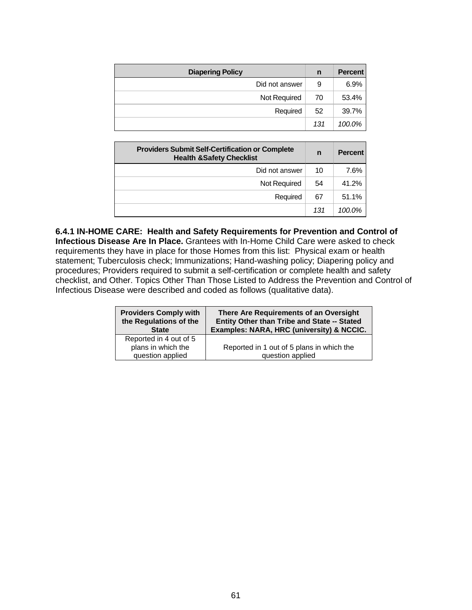| <b>Diapering Policy</b> | n   | <b>Percent</b> |
|-------------------------|-----|----------------|
| Did not answer          | 9   | 6.9%           |
| Not Required            | 70  | 53.4%          |
| Required                | 52  | 39.7%          |
|                         | 131 | 100.0%         |

| <b>Providers Submit Self-Certification or Complete</b><br><b>Health &amp;Safety Checklist</b> |     | <b>Percent</b> |
|-----------------------------------------------------------------------------------------------|-----|----------------|
| Did not answer                                                                                | 10  | 7.6%           |
| <b>Not Required</b>                                                                           | 54  | 41.2%          |
| Required                                                                                      | 67  | 51.1%          |
|                                                                                               | 131 | 100.0%         |

**6.4.1 IN-HOME CARE: Health and Safety Requirements for Prevention and Control of Infectious Disease Are In Place.** Grantees with In-Home Child Care were asked to check requirements they have in place for those Homes from this list: Physical exam or health statement; Tuberculosis check; Immunizations; Hand-washing policy; Diapering policy and procedures; Providers required to submit a self-certification or complete health and safety checklist, and Other. Topics Other Than Those Listed to Address the Prevention and Control of Infectious Disease were described and coded as follows (qualitative data).

| <b>Providers Comply with</b>                                     | There Are Requirements of an Oversight                        |  |
|------------------------------------------------------------------|---------------------------------------------------------------|--|
| the Regulations of the                                           | Entity Other than Tribe and State -- Stated                   |  |
| <b>State</b>                                                     | Examples: NARA, HRC (university) & NCCIC.                     |  |
| Reported in 4 out of 5<br>plans in which the<br>question applied | Reported in 1 out of 5 plans in which the<br>question applied |  |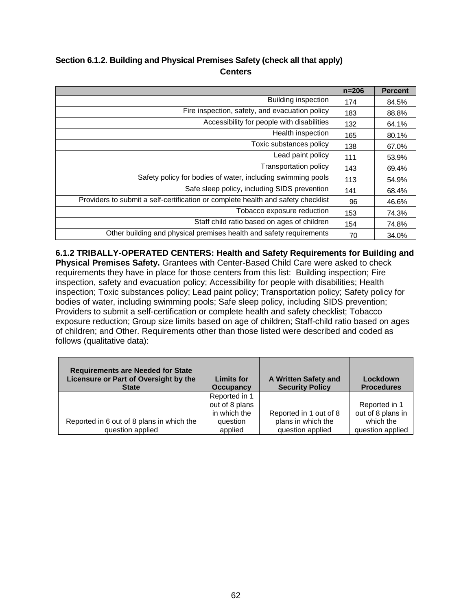# **Section 6.1.2. Building and Physical Premises Safety (check all that apply) Centers**

|                                                                                  | $n = 206$ | <b>Percent</b> |
|----------------------------------------------------------------------------------|-----------|----------------|
| Building inspection                                                              | 174       | 84.5%          |
| Fire inspection, safety, and evacuation policy                                   | 183       | 88.8%          |
| Accessibility for people with disabilities                                       | 132       | 64.1%          |
| Health inspection                                                                | 165       | 80.1%          |
| Toxic substances policy                                                          | 138       | 67.0%          |
| Lead paint policy                                                                | 111       | 53.9%          |
| <b>Transportation policy</b>                                                     | 143       | 69.4%          |
| Safety policy for bodies of water, including swimming pools                      | 113       | 54.9%          |
| Safe sleep policy, including SIDS prevention                                     | 141       | 68.4%          |
| Providers to submit a self-certification or complete health and safety checklist | 96        | 46.6%          |
| Tobacco exposure reduction                                                       | 153       | 74.3%          |
| Staff child ratio based on ages of children                                      | 154       | 74.8%          |
| Other building and physical premises health and safety requirements              | 70        | 34.0%          |

**6.1.2 TRIBALLY-OPERATED CENTERS: Health and Safety Requirements for Building and Physical Premises Safety.** Grantees with Center-Based Child Care were asked to check requirements they have in place for those centers from this list: Building inspection; Fire inspection, safety and evacuation policy; Accessibility for people with disabilities; Health inspection; Toxic substances policy; Lead paint policy; Transportation policy; Safety policy for bodies of water, including swimming pools; Safe sleep policy, including SIDS prevention; Providers to submit a self-certification or complete health and safety checklist; Tobacco exposure reduction; Group size limits based on age of children; Staff-child ratio based on ages of children; and Other. Requirements other than those listed were described and coded as follows (qualitative data):

| <b>Requirements are Needed for State</b><br>Licensure or Part of Oversight by the<br><b>State</b> | <b>Limits for</b><br><b>Occupancy</b> | A Written Safety and<br><b>Security Policy</b> | Lockdown<br><b>Procedures</b> |
|---------------------------------------------------------------------------------------------------|---------------------------------------|------------------------------------------------|-------------------------------|
|                                                                                                   | Reported in 1                         |                                                |                               |
|                                                                                                   | out of 8 plans                        |                                                | Reported in 1                 |
|                                                                                                   | in which the                          | Reported in 1 out of 8                         | out of 8 plans in             |
| Reported in 6 out of 8 plans in which the                                                         | question                              | plans in which the                             | which the                     |
| question applied                                                                                  | applied                               | question applied                               | question applied              |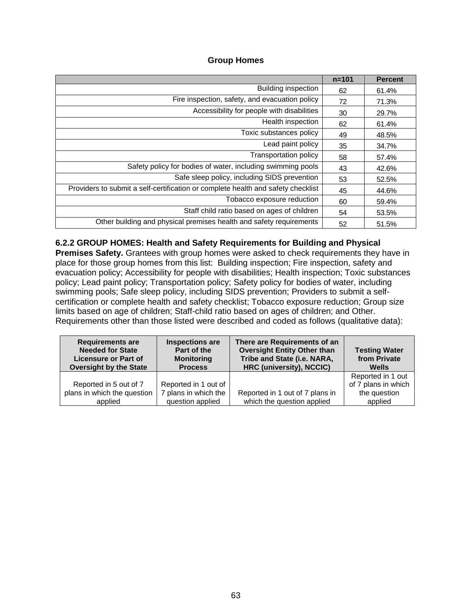### **Group Homes**

|                                                                                  | $n = 101$ | <b>Percent</b> |
|----------------------------------------------------------------------------------|-----------|----------------|
| <b>Building inspection</b>                                                       | 62        | 61.4%          |
| Fire inspection, safety, and evacuation policy                                   | 72        | 71.3%          |
| Accessibility for people with disabilities                                       | 30        | 29.7%          |
| Health inspection                                                                | 62        | 61.4%          |
| Toxic substances policy                                                          | 49        | 48.5%          |
| Lead paint policy                                                                | 35        | 34.7%          |
| <b>Transportation policy</b>                                                     | 58        | 57.4%          |
| Safety policy for bodies of water, including swimming pools                      | 43        | 42.6%          |
| Safe sleep policy, including SIDS prevention                                     | 53        | 52.5%          |
| Providers to submit a self-certification or complete health and safety checklist | 45        | 44.6%          |
| Tobacco exposure reduction                                                       | 60        | 59.4%          |
| Staff child ratio based on ages of children                                      | 54        | 53.5%          |
| Other building and physical premises health and safety requirements              | 52        | 51.5%          |

### **6.2.2 GROUP HOMES: Health and Safety Requirements for Building and Physical**

**Premises Safety.** Grantees with group homes were asked to check requirements they have in place for those group homes from this list: Building inspection; Fire inspection, safety and evacuation policy; Accessibility for people with disabilities; Health inspection; Toxic substances policy; Lead paint policy; Transportation policy; Safety policy for bodies of water, including swimming pools; Safe sleep policy, including SIDS prevention; Providers to submit a selfcertification or complete health and safety checklist; Tobacco exposure reduction; Group size limits based on age of children; Staff-child ratio based on ages of children; and Other. Requirements other than those listed were described and coded as follows (qualitative data):

| <b>Requirements are</b><br><b>Needed for State</b><br><b>Licensure or Part of</b><br><b>Oversight by the State</b> | Inspections are<br>Part of the<br><b>Monitoring</b><br><b>Process</b> | There are Requirements of an<br><b>Oversight Entity Other than</b><br>Tribe and State (i.e. NARA,<br>HRC (university), NCCIC) | <b>Testing Water</b><br>from Private<br>Wells |
|--------------------------------------------------------------------------------------------------------------------|-----------------------------------------------------------------------|-------------------------------------------------------------------------------------------------------------------------------|-----------------------------------------------|
| Reported in 5 out of 7                                                                                             | Reported in 1 out of                                                  |                                                                                                                               | Reported in 1 out<br>of 7 plans in which      |
| plans in which the question<br>applied                                                                             | 7 plans in which the<br>question applied                              | Reported in 1 out of 7 plans in<br>which the question applied                                                                 | the question<br>applied                       |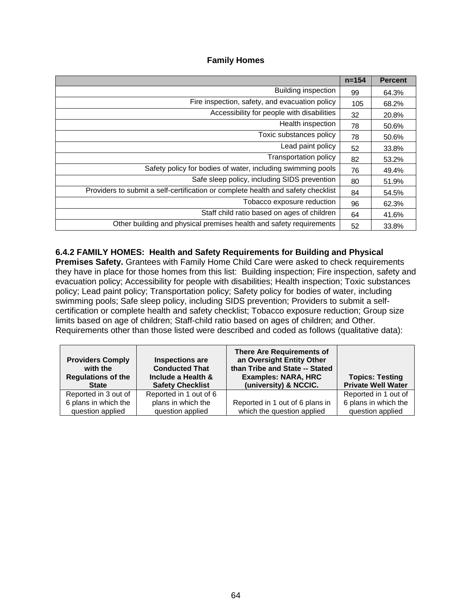### **Family Homes**

|                                                                                  | $n = 154$ | <b>Percent</b> |
|----------------------------------------------------------------------------------|-----------|----------------|
| <b>Building inspection</b>                                                       | 99        | 64.3%          |
| Fire inspection, safety, and evacuation policy                                   | 105       | 68.2%          |
| Accessibility for people with disabilities                                       | 32        | 20.8%          |
| Health inspection                                                                | 78        | 50.6%          |
| Toxic substances policy                                                          | 78        | 50.6%          |
| Lead paint policy                                                                | 52        | 33.8%          |
| <b>Transportation policy</b>                                                     | 82        | 53.2%          |
| Safety policy for bodies of water, including swimming pools                      | 76        | 49.4%          |
| Safe sleep policy, including SIDS prevention                                     | 80        | 51.9%          |
| Providers to submit a self-certification or complete health and safety checklist | 84        | 54.5%          |
| Tobacco exposure reduction                                                       | 96        | 62.3%          |
| Staff child ratio based on ages of children                                      | 64        | 41.6%          |
| Other building and physical premises health and safety requirements              | 52        | 33.8%          |

### **6.4.2 FAMILY HOMES: Health and Safety Requirements for Building and Physical**

**Premises Safety.** Grantees with Family Home Child Care were asked to check requirements they have in place for those homes from this list: Building inspection; Fire inspection, safety and evacuation policy; Accessibility for people with disabilities; Health inspection; Toxic substances policy; Lead paint policy; Transportation policy; Safety policy for bodies of water, including swimming pools; Safe sleep policy, including SIDS prevention; Providers to submit a selfcertification or complete health and safety checklist; Tobacco exposure reduction; Group size limits based on age of children; Staff-child ratio based on ages of children; and Other. Requirements other than those listed were described and coded as follows (qualitative data):

| <b>Providers Comply</b><br>with the<br><b>Regulations of the</b><br><b>State</b> | <b>Inspections are</b><br><b>Conducted That</b><br>Include a Health &<br><b>Safety Checklist</b> | <b>There Are Requirements of</b><br>an Oversight Entity Other<br>than Tribe and State -- Stated<br><b>Examples: NARA, HRC</b><br>(university) & NCCIC. | <b>Topics: Testing</b><br><b>Private Well Water</b> |
|----------------------------------------------------------------------------------|--------------------------------------------------------------------------------------------------|--------------------------------------------------------------------------------------------------------------------------------------------------------|-----------------------------------------------------|
| Reported in 3 out of                                                             | Reported in 1 out of 6                                                                           |                                                                                                                                                        | Reported in 1 out of                                |
| 6 plans in which the                                                             | plans in which the                                                                               | Reported in 1 out of 6 plans in                                                                                                                        | 6 plans in which the                                |
| question applied                                                                 | question applied                                                                                 | which the question applied                                                                                                                             | question applied                                    |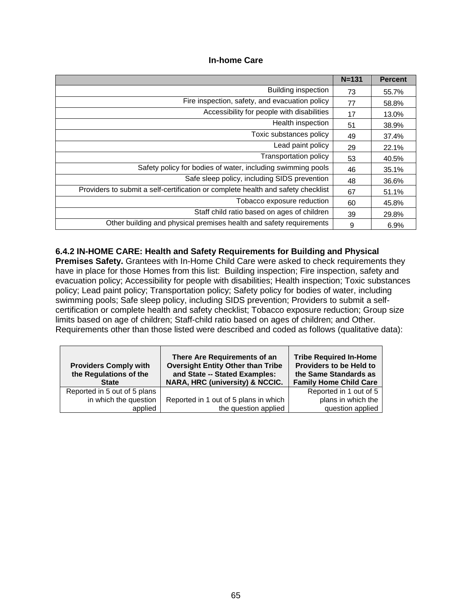### **In-home Care**

|                                                                                  | $N = 131$ | <b>Percent</b> |
|----------------------------------------------------------------------------------|-----------|----------------|
| Building inspection                                                              | 73        | 55.7%          |
| Fire inspection, safety, and evacuation policy                                   | 77        | 58.8%          |
| Accessibility for people with disabilities                                       | 17        | 13.0%          |
| Health inspection                                                                | 51        | 38.9%          |
| Toxic substances policy                                                          | 49        | 37.4%          |
| Lead paint policy                                                                | 29        | 22.1%          |
| <b>Transportation policy</b>                                                     | 53        | 40.5%          |
| Safety policy for bodies of water, including swimming pools                      | 46        | 35.1%          |
| Safe sleep policy, including SIDS prevention                                     | 48        | 36.6%          |
| Providers to submit a self-certification or complete health and safety checklist | 67        | 51.1%          |
| Tobacco exposure reduction                                                       | 60        | 45.8%          |
| Staff child ratio based on ages of children                                      | 39        | 29.8%          |
| Other building and physical premises health and safety requirements              | 9         | 6.9%           |

### **6.4.2 IN-HOME CARE: Health and Safety Requirements for Building and Physical**

**Premises Safety.** Grantees with In-Home Child Care were asked to check requirements they have in place for those Homes from this list: Building inspection; Fire inspection, safety and evacuation policy; Accessibility for people with disabilities; Health inspection; Toxic substances policy; Lead paint policy; Transportation policy; Safety policy for bodies of water, including swimming pools; Safe sleep policy, including SIDS prevention; Providers to submit a selfcertification or complete health and safety checklist; Tobacco exposure reduction; Group size limits based on age of children; Staff-child ratio based on ages of children; and Other. Requirements other than those listed were described and coded as follows (qualitative data):

| <b>Providers Comply with</b><br>the Regulations of the<br><b>State</b> | There Are Requirements of an<br><b>Oversight Entity Other than Tribe</b><br>and State -- Stated Examples:<br>NARA, HRC (university) & NCCIC. | <b>Tribe Required In-Home</b><br><b>Providers to be Held to</b><br>the Same Standards as<br><b>Family Home Child Care</b> |
|------------------------------------------------------------------------|----------------------------------------------------------------------------------------------------------------------------------------------|---------------------------------------------------------------------------------------------------------------------------|
| Reported in 5 out of 5 plans                                           |                                                                                                                                              | Reported in 1 out of 5                                                                                                    |
| in which the question                                                  | Reported in 1 out of 5 plans in which                                                                                                        | plans in which the                                                                                                        |
| applied                                                                | the question applied                                                                                                                         | question applied                                                                                                          |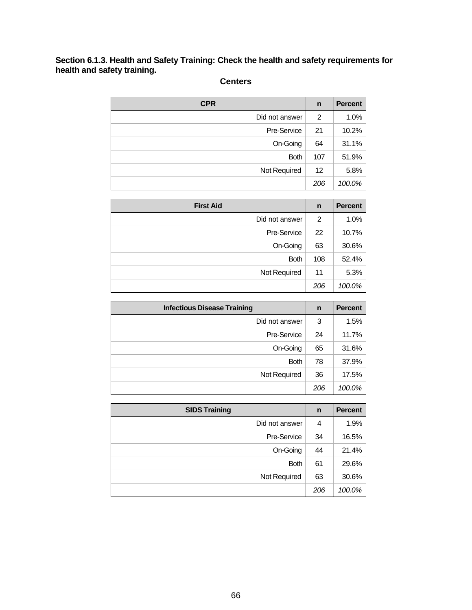### **Section 6.1.3. Health and Safety Training: Check the health and safety requirements for health and safety training.**

| <b>CPR</b>     | $\mathsf{n}$ | <b>Percent</b> |
|----------------|--------------|----------------|
| Did not answer | 2            | 1.0%           |
| Pre-Service    | 21           | 10.2%          |
| On-Going       | 64           | 31.1%          |
| <b>Both</b>    | 107          | 51.9%          |
| Not Required   | 12           | 5.8%           |
|                | 206          | 100.0%         |

# **Centers**

| <b>First Aid</b> | n   | <b>Percent</b> |
|------------------|-----|----------------|
| Did not answer   | 2   | 1.0%           |
| Pre-Service      | 22  | 10.7%          |
| On-Going         | 63  | 30.6%          |
| <b>Both</b>      | 108 | 52.4%          |
| Not Required     | 11  | 5.3%           |
|                  | 206 | 100.0%         |

| <b>Infectious Disease Training</b> | n   | <b>Percent</b> |
|------------------------------------|-----|----------------|
| Did not answer                     | 3   | 1.5%           |
| Pre-Service                        | 24  | 11.7%          |
| On-Going                           | 65  | 31.6%          |
| <b>Both</b>                        | 78  | 37.9%          |
| Not Required                       | 36  | 17.5%          |
|                                    | 206 | 100.0%         |

| <b>SIDS Training</b> | n   | <b>Percent</b> |
|----------------------|-----|----------------|
| Did not answer       | 4   | 1.9%           |
| Pre-Service          | 34  | 16.5%          |
| On-Going             | 44  | 21.4%          |
| <b>Both</b>          | 61  | 29.6%          |
| Not Required         | 63  | 30.6%          |
|                      | 206 | 100.0%         |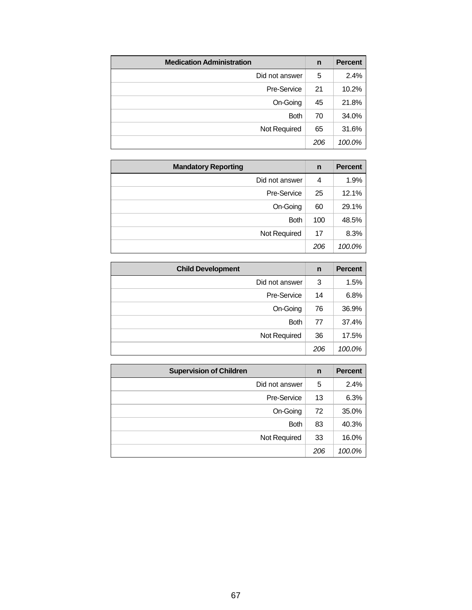| <b>Medication Administration</b> | n   | <b>Percent</b> |
|----------------------------------|-----|----------------|
| Did not answer                   | 5   | 2.4%           |
| Pre-Service                      | 21  | 10.2%          |
| On-Going                         | 45  | 21.8%          |
| <b>Both</b>                      | 70  | 34.0%          |
| Not Required                     | 65  | 31.6%          |
|                                  | 206 | 100.0%         |

| <b>Mandatory Reporting</b> | n   | <b>Percent</b> |
|----------------------------|-----|----------------|
| Did not answer             | 4   | 1.9%           |
| Pre-Service                | 25  | 12.1%          |
| On-Going                   | 60  | 29.1%          |
| <b>Both</b>                | 100 | 48.5%          |
| Not Required               | 17  | 8.3%           |
|                            | 206 | 100.0%         |

| <b>Child Development</b> | $\mathsf{n}$ | <b>Percent</b> |
|--------------------------|--------------|----------------|
| Did not answer           | 3            | 1.5%           |
| Pre-Service              | 14           | 6.8%           |
| On-Going                 | 76           | 36.9%          |
| <b>Both</b>              | 77           | 37.4%          |
| Not Required             | 36           | 17.5%          |
|                          | 206          | 100.0%         |

| <b>Supervision of Children</b> | n   | <b>Percent</b> |
|--------------------------------|-----|----------------|
| Did not answer                 | 5   | 2.4%           |
| Pre-Service                    | 13  | 6.3%           |
| On-Going                       | 72  | 35.0%          |
| <b>Both</b>                    | 83  | 40.3%          |
| Not Required                   | 33  | 16.0%          |
|                                | 206 | 100.0%         |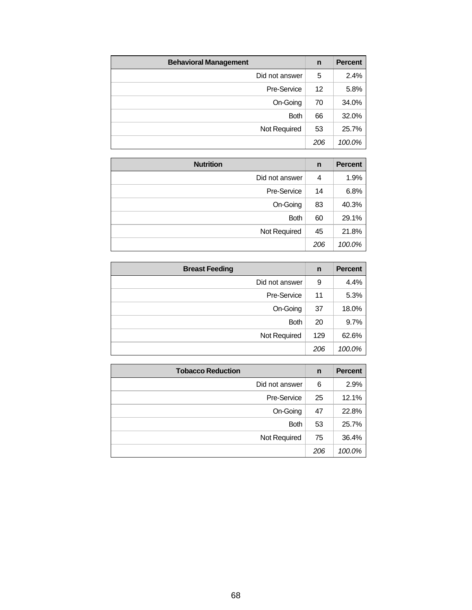| <b>Behavioral Management</b> | n   | <b>Percent</b> |
|------------------------------|-----|----------------|
| Did not answer               | 5   | 2.4%           |
| Pre-Service                  | 12  | 5.8%           |
| On-Going                     | 70  | 34.0%          |
| <b>Both</b>                  | 66  | 32.0%          |
| Not Required                 | 53  | 25.7%          |
|                              | 206 | 100.0%         |

| <b>Nutrition</b> | n   | <b>Percent</b> |
|------------------|-----|----------------|
| Did not answer   | 4   | 1.9%           |
| Pre-Service      | 14  | 6.8%           |
| On-Going         | 83  | 40.3%          |
| <b>Both</b>      | 60  | 29.1%          |
| Not Required     | 45  | 21.8%          |
|                  | 206 | 100.0%         |

| <b>Breast Feeding</b> | n   | <b>Percent</b> |
|-----------------------|-----|----------------|
| Did not answer        | 9   | 4.4%           |
| Pre-Service           | 11  | 5.3%           |
| On-Going              | 37  | 18.0%          |
| <b>Both</b>           | 20  | 9.7%           |
| Not Required          | 129 | 62.6%          |
|                       | 206 | 100.0%         |

| <b>Tobacco Reduction</b> | n   | <b>Percent</b> |
|--------------------------|-----|----------------|
| Did not answer           | 6   | 2.9%           |
| Pre-Service              | 25  | 12.1%          |
| On-Going                 | 47  | 22.8%          |
| <b>Both</b>              | 53  | 25.7%          |
| Not Required             | 75  | 36.4%          |
|                          | 206 | 100.0%         |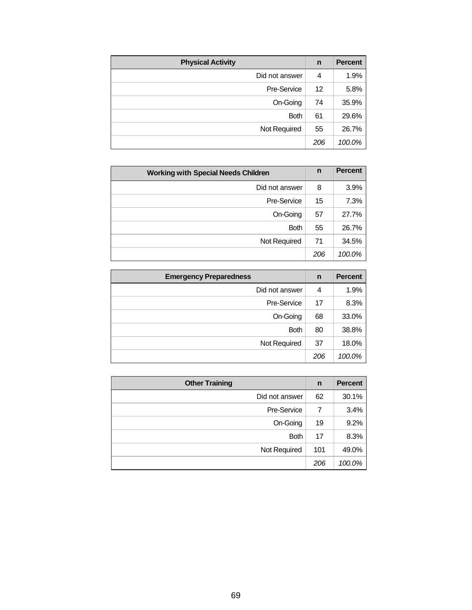| <b>Physical Activity</b> | n   | <b>Percent</b> |
|--------------------------|-----|----------------|
| Did not answer           | 4   | 1.9%           |
| Pre-Service              | 12  | 5.8%           |
| On-Going                 | 74  | 35.9%          |
| <b>Both</b>              | 61  | 29.6%          |
| Not Required             | 55  | 26.7%          |
|                          | 206 | 100.0%         |

| <b>Working with Special Needs Children</b> |     | <b>Percent</b> |
|--------------------------------------------|-----|----------------|
| Did not answer                             | 8   | 3.9%           |
| Pre-Service                                | 15  | 7.3%           |
| On-Going                                   | 57  | 27.7%          |
| <b>Both</b>                                | 55  | 26.7%          |
| Not Required                               | 71  | 34.5%          |
|                                            | 206 | 100.0%         |

| <b>Emergency Preparedness</b> | n   | <b>Percent</b> |
|-------------------------------|-----|----------------|
| Did not answer                | 4   | 1.9%           |
| Pre-Service                   | 17  | 8.3%           |
| On-Going                      | 68  | 33.0%          |
| <b>Both</b>                   | 80  | 38.8%          |
| Not Required                  | 37  | 18.0%          |
|                               | 206 | 100.0%         |

| <b>Other Training</b> | n   | <b>Percent</b> |
|-----------------------|-----|----------------|
| Did not answer        | 62  | 30.1%          |
| Pre-Service           | 7   | 3.4%           |
| On-Going              | 19  | 9.2%           |
| <b>Both</b>           | 17  | 8.3%           |
| Not Required          | 101 | 49.0%          |
|                       | 206 | 100.0%         |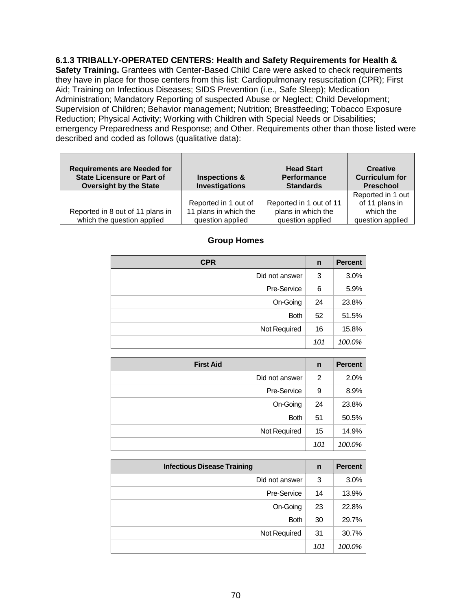### **6.1.3 TRIBALLY-OPERATED CENTERS: Health and Safety Requirements for Health &**

**Safety Training.** Grantees with Center-Based Child Care were asked to check requirements they have in place for those centers from this list: Cardiopulmonary resuscitation (CPR); First Aid; Training on Infectious Diseases; SIDS Prevention (i.e., Safe Sleep); Medication Administration; Mandatory Reporting of suspected Abuse or Neglect; Child Development; Supervision of Children; Behavior management; Nutrition; Breastfeeding; Tobacco Exposure Reduction; Physical Activity; Working with Children with Special Needs or Disabilities; emergency Preparedness and Response; and Other. Requirements other than those listed were described and coded as follows (qualitative data):

| <b>Requirements are Needed for</b><br><b>State Licensure or Part of</b><br><b>Oversight by the State</b> | <b>Inspections &amp;</b><br><b>Investigations</b>                 | <b>Head Start</b><br><b>Performance</b><br><b>Standards</b>       | <b>Creative</b><br><b>Curriculum for</b><br><b>Preschool</b>         |
|----------------------------------------------------------------------------------------------------------|-------------------------------------------------------------------|-------------------------------------------------------------------|----------------------------------------------------------------------|
| Reported in 8 out of 11 plans in<br>which the question applied                                           | Reported in 1 out of<br>11 plans in which the<br>question applied | Reported in 1 out of 11<br>plans in which the<br>question applied | Reported in 1 out<br>of 11 plans in<br>which the<br>question applied |

### **Group Homes**

| <b>CPR</b>     | n   | <b>Percent</b> |
|----------------|-----|----------------|
| Did not answer | 3   | 3.0%           |
| Pre-Service    | 6   | 5.9%           |
| On-Going       | 24  | 23.8%          |
| <b>Both</b>    | 52  | 51.5%          |
| Not Required   | 16  | 15.8%          |
|                | 101 | 100.0%         |

| <b>First Aid</b> | n   | <b>Percent</b> |
|------------------|-----|----------------|
| Did not answer   | 2   | 2.0%           |
| Pre-Service      | 9   | 8.9%           |
| On-Going         | 24  | 23.8%          |
| <b>Both</b>      | 51  | 50.5%          |
| Not Required     | 15  | 14.9%          |
|                  | 101 | 100.0%         |

| <b>Infectious Disease Training</b> | n   | <b>Percent</b> |
|------------------------------------|-----|----------------|
| Did not answer                     | 3   | 3.0%           |
| Pre-Service                        | 14  | 13.9%          |
| On-Going                           | 23  | 22.8%          |
| <b>Both</b>                        | 30  | 29.7%          |
| Not Required                       | 31  | 30.7%          |
|                                    | 101 | 100.0%         |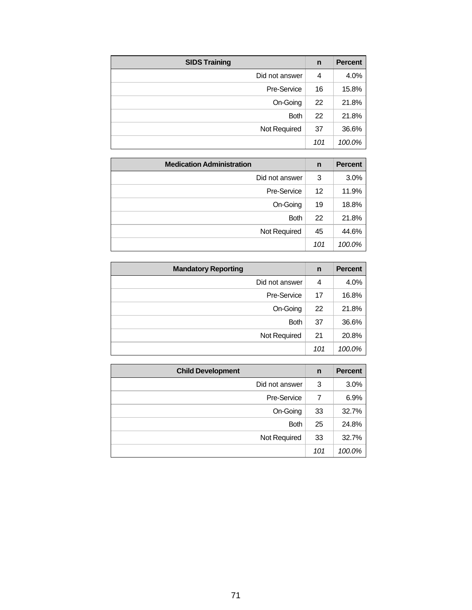| <b>SIDS Training</b> | n   | <b>Percent</b> |
|----------------------|-----|----------------|
| Did not answer       | 4   | 4.0%           |
| Pre-Service          | 16  | 15.8%          |
| On-Going             | 22  | 21.8%          |
| <b>Both</b>          | 22  | 21.8%          |
| Not Required         | 37  | 36.6%          |
|                      | 101 | 100.0%         |

| <b>Medication Administration</b> | n   | <b>Percent</b> |
|----------------------------------|-----|----------------|
| Did not answer                   | 3   | 3.0%           |
| Pre-Service                      | 12  | 11.9%          |
| On-Going                         | 19  | 18.8%          |
| <b>Both</b>                      | 22  | 21.8%          |
| Not Required                     | 45  | 44.6%          |
|                                  | 101 | 100.0%         |

| <b>Mandatory Reporting</b> | n   | <b>Percent</b> |
|----------------------------|-----|----------------|
| Did not answer             | 4   | 4.0%           |
| Pre-Service                | 17  | 16.8%          |
| On-Going                   | 22  | 21.8%          |
| <b>Both</b>                | 37  | 36.6%          |
| Not Required               | 21  | 20.8%          |
|                            | 101 | 100.0%         |

| <b>Child Development</b> | n   | <b>Percent</b> |
|--------------------------|-----|----------------|
| Did not answer           | 3   | 3.0%           |
| Pre-Service              |     | 6.9%           |
| On-Going                 | 33  | 32.7%          |
| <b>Both</b>              | 25  | 24.8%          |
| Not Required             | 33  | 32.7%          |
|                          | 101 | 100.0%         |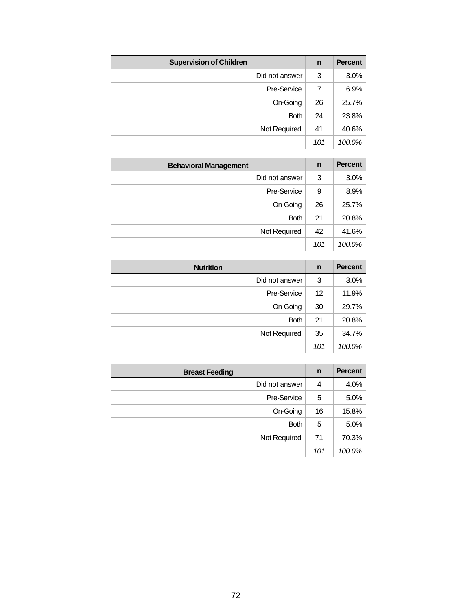| <b>Supervision of Children</b> | $\mathbf n$ | <b>Percent</b> |
|--------------------------------|-------------|----------------|
| Did not answer                 | 3           | 3.0%           |
| Pre-Service                    |             | 6.9%           |
| On-Going                       | 26          | 25.7%          |
| <b>Both</b>                    | 24          | 23.8%          |
| Not Required                   | 41          | 40.6%          |
|                                | 101         | 100.0%         |

| <b>Behavioral Management</b> | n   | <b>Percent</b> |
|------------------------------|-----|----------------|
| Did not answer               | 3   | 3.0%           |
| Pre-Service                  | 9   | 8.9%           |
| On-Going                     | 26  | 25.7%          |
| <b>Both</b>                  | 21  | 20.8%          |
| Not Required                 | 42  | 41.6%          |
|                              | 101 | 100.0%         |

| <b>Nutrition</b> | n   | <b>Percent</b> |
|------------------|-----|----------------|
| Did not answer   | 3   | 3.0%           |
| Pre-Service      | 12  | 11.9%          |
| On-Going         | 30  | 29.7%          |
| <b>Both</b>      | 21  | 20.8%          |
| Not Required     | 35  | 34.7%          |
|                  | 101 | 100.0%         |

| <b>Breast Feeding</b> | n   | <b>Percent</b> |
|-----------------------|-----|----------------|
| Did not answer        | 4   | 4.0%           |
| Pre-Service           | 5   | 5.0%           |
| On-Going              | 16  | 15.8%          |
| <b>Both</b>           | 5   | 5.0%           |
| Not Required          | 71  | 70.3%          |
|                       | 101 | 100.0%         |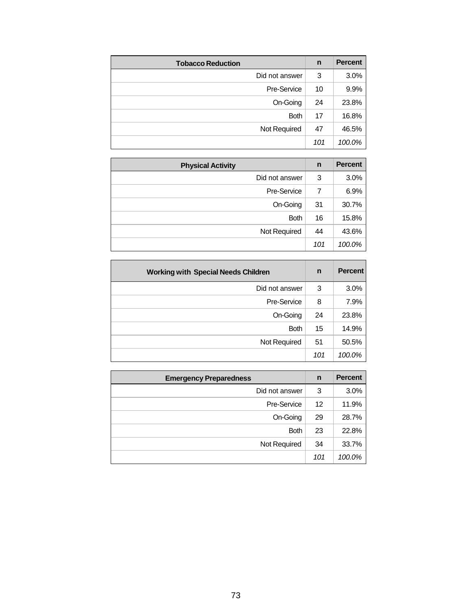| <b>Tobacco Reduction</b> | $\mathsf{n}$ | <b>Percent</b> |
|--------------------------|--------------|----------------|
| Did not answer           | 3            | 3.0%           |
| Pre-Service              | 10           | 9.9%           |
| On-Going                 | 24           | 23.8%          |
| <b>Both</b>              | 17           | 16.8%          |
| Not Required             | 47           | 46.5%          |
|                          | 101          | 100.0%         |

| <b>Physical Activity</b> | n   | <b>Percent</b> |
|--------------------------|-----|----------------|
| Did not answer           | 3   | 3.0%           |
| Pre-Service              | 7   | 6.9%           |
| On-Going                 | 31  | 30.7%          |
| <b>Both</b>              | 16  | 15.8%          |
| Not Required             | 44  | 43.6%          |
|                          | 101 | 100.0%         |

| <b>Working with Special Needs Children</b> | $\mathbf n$ | <b>Percent</b> |
|--------------------------------------------|-------------|----------------|
| Did not answer                             | 3           | 3.0%           |
| Pre-Service                                | 8           | 7.9%           |
| On-Going                                   | 24          | 23.8%          |
| <b>Both</b>                                | 15          | 14.9%          |
| Not Required                               | 51          | 50.5%          |
|                                            | 101         | 100.0%         |

| <b>Emergency Preparedness</b> | n   | <b>Percent</b> |
|-------------------------------|-----|----------------|
| Did not answer                | 3   | 3.0%           |
| Pre-Service                   | 12  | 11.9%          |
| On-Going                      | 29  | 28.7%          |
| <b>Both</b>                   | 23  | 22.8%          |
| Not Required                  | 34  | 33.7%          |
|                               | 101 | 100.0%         |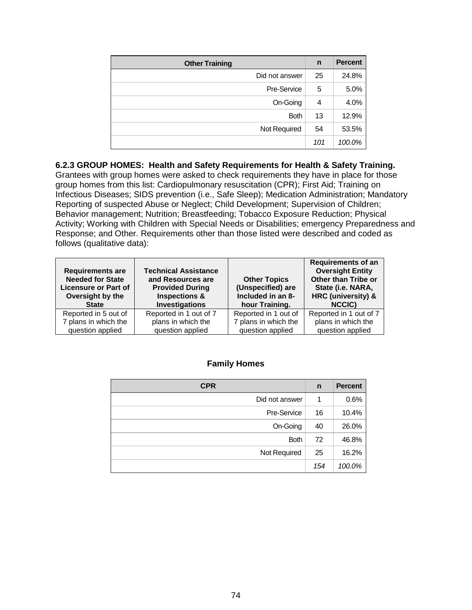| <b>Other Training</b> | $\mathsf{n}$ | <b>Percent</b> |
|-----------------------|--------------|----------------|
| Did not answer        | 25           | 24.8%          |
| Pre-Service           | 5            | 5.0%           |
| On-Going              | 4            | 4.0%           |
| <b>Both</b>           | 13           | 12.9%          |
| Not Required          | 54           | 53.5%          |
|                       | 101          | 100.0%         |

**6.2.3 GROUP HOMES: Health and Safety Requirements for Health & Safety Training.** Grantees with group homes were asked to check requirements they have in place for those group homes from this list: Cardiopulmonary resuscitation (CPR); First Aid; Training on Infectious Diseases; SIDS prevention (i.e., Safe Sleep); Medication Administration; Mandatory Reporting of suspected Abuse or Neglect; Child Development; Supervision of Children; Behavior management; Nutrition; Breastfeeding; Tobacco Exposure Reduction; Physical Activity; Working with Children with Special Needs or Disabilities; emergency Preparedness and Response; and Other. Requirements other than those listed were described and coded as follows (qualitative data):

| <b>Requirements are</b><br><b>Needed for State</b><br><b>Licensure or Part of</b><br>Oversight by the<br><b>State</b> | <b>Technical Assistance</b><br>and Resources are<br><b>Provided During</b><br><b>Inspections &amp;</b><br><b>Investigations</b> | <b>Other Topics</b><br>(Unspecified) are<br>Included in an 8-<br>hour Training. | <b>Requirements of an</b><br><b>Oversight Entity</b><br>Other than Tribe or<br>State (i.e. NARA,<br>HRC (university) &<br>NCCIC) |
|-----------------------------------------------------------------------------------------------------------------------|---------------------------------------------------------------------------------------------------------------------------------|---------------------------------------------------------------------------------|----------------------------------------------------------------------------------------------------------------------------------|
| Reported in 5 out of                                                                                                  | Reported in 1 out of 7                                                                                                          | Reported in 1 out of                                                            | Reported in 1 out of 7                                                                                                           |
| 7 plans in which the                                                                                                  | plans in which the                                                                                                              | 7 plans in which the                                                            | plans in which the                                                                                                               |
| question applied                                                                                                      | question applied                                                                                                                | question applied                                                                | question applied                                                                                                                 |

# **Family Homes**

| <b>CPR</b>     | n   | <b>Percent</b> |
|----------------|-----|----------------|
| Did not answer |     | 0.6%           |
| Pre-Service    | 16  | 10.4%          |
| On-Going       | 40  | 26.0%          |
| <b>Both</b>    | 72  | 46.8%          |
| Not Required   | 25  | 16.2%          |
|                | 154 | 100.0%         |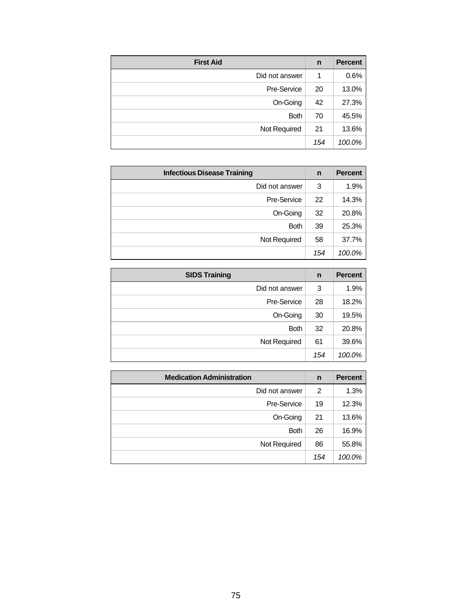| <b>First Aid</b> | n   | <b>Percent</b> |
|------------------|-----|----------------|
| Did not answer   |     | 0.6%           |
| Pre-Service      | 20  | 13.0%          |
| On-Going         | 42  | 27.3%          |
| <b>Both</b>      | 70  | 45.5%          |
| Not Required     | 21  | 13.6%          |
|                  | 154 | 100.0%         |

| <b>Infectious Disease Training</b> | n   | <b>Percent</b> |
|------------------------------------|-----|----------------|
| Did not answer                     | 3   | 1.9%           |
| Pre-Service                        | 22  | 14.3%          |
| On-Going                           | 32  | 20.8%          |
| <b>Both</b>                        | 39  | 25.3%          |
| Not Required                       | 58  | 37.7%          |
|                                    | 154 | 100.0%         |

| <b>SIDS Training</b> | $\mathbf n$ | <b>Percent</b> |
|----------------------|-------------|----------------|
| Did not answer       | 3           | 1.9%           |
| Pre-Service          | 28          | 18.2%          |
| On-Going             | 30          | 19.5%          |
| <b>Both</b>          | 32          | 20.8%          |
| Not Required         | 61          | 39.6%          |
|                      | 154         | 100.0%         |

| <b>Medication Administration</b> | n   | <b>Percent</b> |
|----------------------------------|-----|----------------|
| Did not answer                   | 2   | 1.3%           |
| Pre-Service                      | 19  | 12.3%          |
| On-Going                         | 21  | 13.6%          |
| <b>Both</b>                      | 26  | 16.9%          |
| Not Required                     | 86  | 55.8%          |
|                                  | 154 | 100.0%         |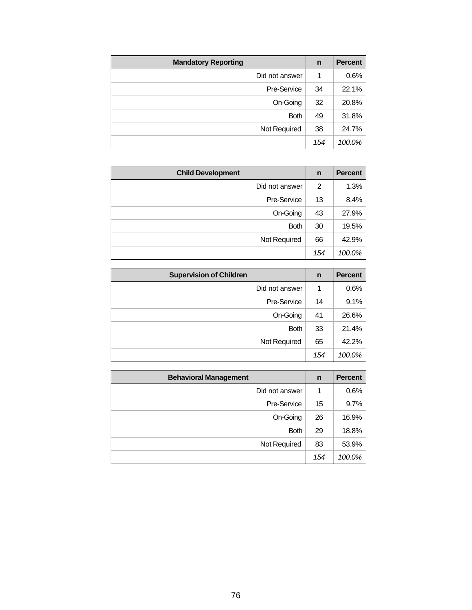| <b>Mandatory Reporting</b> | n   | <b>Percent</b> |
|----------------------------|-----|----------------|
| Did not answer             | 1   | 0.6%           |
| Pre-Service                | 34  | 22.1%          |
| On-Going                   | 32  | 20.8%          |
| <b>Both</b>                | 49  | 31.8%          |
| Not Required               | 38  | 24.7%          |
|                            | 154 | 100.0%         |

| <b>Child Development</b> | $\mathbf n$ | <b>Percent</b> |
|--------------------------|-------------|----------------|
| Did not answer           | 2           | 1.3%           |
| Pre-Service              | 13          | 8.4%           |
| On-Going                 | 43          | 27.9%          |
| <b>Both</b>              | 30          | 19.5%          |
| Not Required             | 66          | 42.9%          |
|                          | 154         | 100.0%         |

| <b>Supervision of Children</b> | n   | <b>Percent</b> |
|--------------------------------|-----|----------------|
| Did not answer                 |     | 0.6%           |
| Pre-Service                    | 14  | 9.1%           |
| On-Going                       | 41  | 26.6%          |
| <b>Both</b>                    | 33  | 21.4%          |
| Not Required                   | 65  | 42.2%          |
|                                | 154 | 100.0%         |

| <b>Behavioral Management</b> | n   | <b>Percent</b> |
|------------------------------|-----|----------------|
| Did not answer               |     | 0.6%           |
| Pre-Service                  | 15  | 9.7%           |
| On-Going                     | 26  | 16.9%          |
| <b>Both</b>                  | 29  | 18.8%          |
| Not Required                 | 83  | 53.9%          |
|                              | 154 | 100.0%         |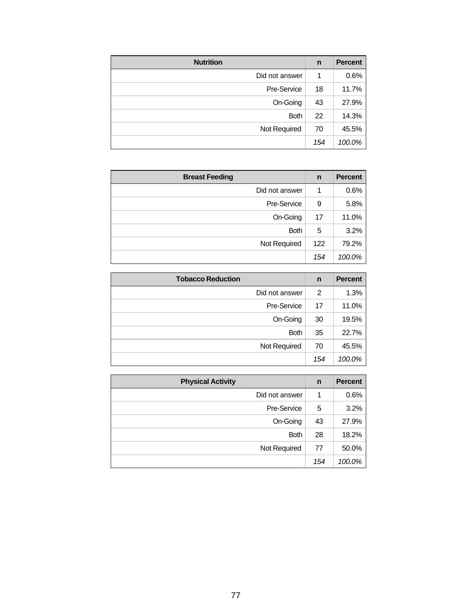| <b>Nutrition</b> | n   | <b>Percent</b> |
|------------------|-----|----------------|
| Did not answer   | 1   | 0.6%           |
| Pre-Service      | 18  | 11.7%          |
| On-Going         | 43  | 27.9%          |
| <b>Both</b>      | 22  | 14.3%          |
| Not Required     | 70  | 45.5%          |
|                  | 154 | 100.0%         |

| <b>Breast Feeding</b> | n   | <b>Percent</b> |
|-----------------------|-----|----------------|
| Did not answer        |     | 0.6%           |
| Pre-Service           | 9   | 5.8%           |
| On-Going              | 17  | 11.0%          |
| <b>Both</b>           | 5   | 3.2%           |
| Not Required          | 122 | 79.2%          |
|                       | 154 | 100.0%         |

| <b>Tobacco Reduction</b> | $\mathsf{n}$ | <b>Percent</b> |
|--------------------------|--------------|----------------|
| Did not answer           | 2            | 1.3%           |
| Pre-Service              | 17           | 11.0%          |
| On-Going                 | 30           | 19.5%          |
| <b>Both</b>              | 35           | 22.7%          |
| Not Required             | 70           | 45.5%          |
|                          | 154          | 100.0%         |

| <b>Physical Activity</b> | $\mathsf{n}$ | <b>Percent</b> |
|--------------------------|--------------|----------------|
| Did not answer           |              | 0.6%           |
| Pre-Service              | 5            | 3.2%           |
| On-Going                 | 43           | 27.9%          |
| <b>Both</b>              | 28           | 18.2%          |
| Not Required             | 77           | 50.0%          |
|                          | 154          | 100.0%         |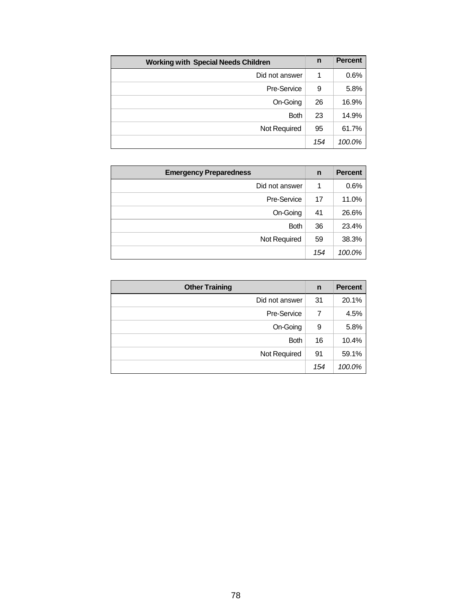| <b>Working with Special Needs Children</b> |     | <b>Percent</b> |
|--------------------------------------------|-----|----------------|
| Did not answer                             | 1   | 0.6%           |
| Pre-Service                                | 9   | 5.8%           |
| On-Going                                   | 26  | 16.9%          |
| <b>Both</b>                                | 23  | 14.9%          |
| Not Required                               | 95  | 61.7%          |
|                                            | 154 | 100.0%         |

| <b>Emergency Preparedness</b> | n   | <b>Percent</b> |
|-------------------------------|-----|----------------|
| Did not answer                |     | 0.6%           |
| Pre-Service                   | 17  | 11.0%          |
| On-Going                      | 41  | 26.6%          |
| <b>Both</b>                   | 36  | 23.4%          |
| Not Required                  | 59  | 38.3%          |
|                               | 154 | 100.0%         |

| <b>Other Training</b> | n   | <b>Percent</b> |
|-----------------------|-----|----------------|
| Did not answer        | 31  | 20.1%          |
| Pre-Service           | 7   | 4.5%           |
| On-Going              | 9   | 5.8%           |
| <b>Both</b>           | 16  | 10.4%          |
| Not Required          | 91  | 59.1%          |
|                       | 154 | 100.0%         |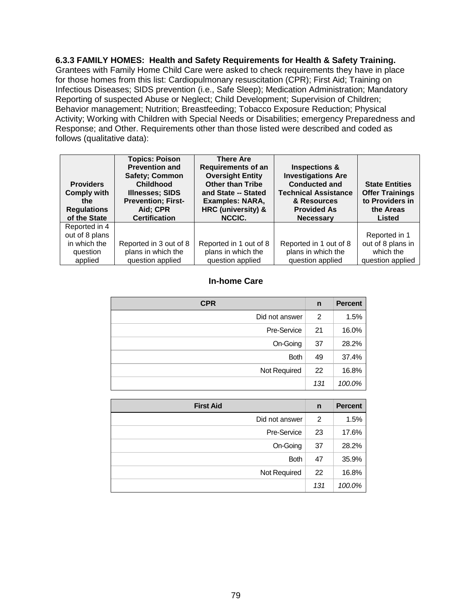**6.3.3 FAMILY HOMES: Health and Safety Requirements for Health & Safety Training.** 

Grantees with Family Home Child Care were asked to check requirements they have in place for those homes from this list: Cardiopulmonary resuscitation (CPR); First Aid; Training on Infectious Diseases; SIDS prevention (i.e., Safe Sleep); Medication Administration; Mandatory Reporting of suspected Abuse or Neglect; Child Development; Supervision of Children; Behavior management; Nutrition; Breastfeeding; Tobacco Exposure Reduction; Physical Activity; Working with Children with Special Needs or Disabilities; emergency Preparedness and Response; and Other. Requirements other than those listed were described and coded as follows (qualitative data):

| <b>Providers</b><br><b>Comply with</b><br>the.<br><b>Regulations</b><br>of the State | <b>Topics: Poison</b><br><b>Prevention and</b><br><b>Safety</b> ; Common<br><b>Childhood</b><br><b>Illnesses; SIDS</b><br><b>Prevention; First-</b><br>Aid: CPR<br><b>Certification</b> | <b>There Are</b><br><b>Requirements of an</b><br><b>Oversight Entity</b><br><b>Other than Tribe</b><br>and State -- Stated<br>Examples: NARA,<br>HRC (university) &<br>NCCIC. | <b>Inspections &amp;</b><br><b>Investigations Are</b><br><b>Conducted and</b><br><b>Technical Assistance</b><br>& Resources<br><b>Provided As</b><br><b>Necessary</b> | <b>State Entities</b><br><b>Offer Trainings</b><br>to Providers in<br>the Areas<br><b>Listed</b> |
|--------------------------------------------------------------------------------------|-----------------------------------------------------------------------------------------------------------------------------------------------------------------------------------------|-------------------------------------------------------------------------------------------------------------------------------------------------------------------------------|-----------------------------------------------------------------------------------------------------------------------------------------------------------------------|--------------------------------------------------------------------------------------------------|
| Reported in 4<br>out of 8 plans                                                      |                                                                                                                                                                                         |                                                                                                                                                                               |                                                                                                                                                                       | Reported in 1                                                                                    |
| in which the<br>question<br>applied                                                  | Reported in 3 out of 8<br>plans in which the<br>question applied                                                                                                                        | Reported in 1 out of 8<br>plans in which the<br>question applied                                                                                                              | Reported in 1 out of 8<br>plans in which the<br>question applied                                                                                                      | out of 8 plans in<br>which the<br>question applied                                               |

### **In-home Care**

| <b>CPR</b>     | n   | <b>Percent</b> |
|----------------|-----|----------------|
| Did not answer | 2   | 1.5%           |
| Pre-Service    | 21  | 16.0%          |
| On-Going       | 37  | 28.2%          |
| <b>Both</b>    | 49  | 37.4%          |
| Not Required   | 22  | 16.8%          |
|                | 131 | 100.0%         |

| <b>First Aid</b> | $\mathbf n$ | <b>Percent</b> |
|------------------|-------------|----------------|
| Did not answer   | 2           | 1.5%           |
| Pre-Service      | 23          | 17.6%          |
| On-Going         | 37          | 28.2%          |
| <b>Both</b>      | 47          | 35.9%          |
| Not Required     | 22          | 16.8%          |
|                  | 131         | 100.0%         |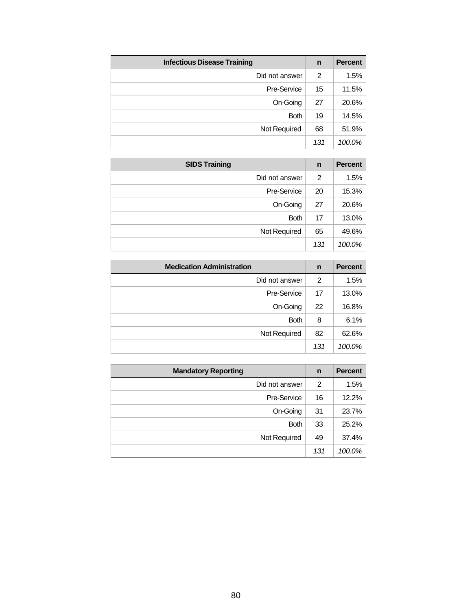| <b>Infectious Disease Training</b> | $\mathbf n$ | <b>Percent</b> |
|------------------------------------|-------------|----------------|
| Did not answer                     | 2           | 1.5%           |
| Pre-Service                        | 15          | 11.5%          |
| On-Going                           | 27          | 20.6%          |
| <b>Both</b>                        | 19          | 14.5%          |
| Not Required                       | 68          | 51.9%          |
|                                    | 131         | 100.0%         |

| <b>SIDS Training</b> | n   | <b>Percent</b> |
|----------------------|-----|----------------|
| Did not answer       | 2   | 1.5%           |
| Pre-Service          | 20  | 15.3%          |
| On-Going             | 27  | 20.6%          |
| <b>Both</b>          | 17  | 13.0%          |
| Not Required         | 65  | 49.6%          |
|                      | 131 | 100.0%         |

| <b>Medication Administration</b> | n   | <b>Percent</b> |
|----------------------------------|-----|----------------|
| Did not answer                   | 2   | 1.5%           |
| Pre-Service                      | 17  | 13.0%          |
| On-Going                         | 22  | 16.8%          |
| <b>Both</b>                      | 8   | 6.1%           |
| Not Required                     | 82  | 62.6%          |
|                                  | 131 | 100.0%         |

| <b>Mandatory Reporting</b> | n   | <b>Percent</b> |
|----------------------------|-----|----------------|
| Did not answer             | 2   | 1.5%           |
| Pre-Service                | 16  | 12.2%          |
| On-Going                   | 31  | 23.7%          |
| <b>Both</b>                | 33  | 25.2%          |
| Not Required               | 49  | 37.4%          |
|                            | 131 | 100.0%         |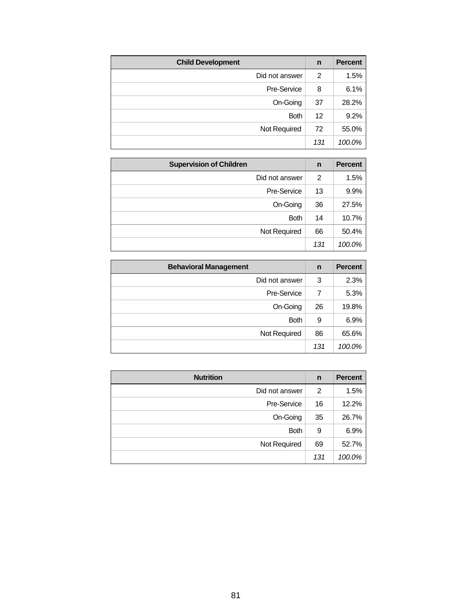| <b>Child Development</b> | n   | <b>Percent</b> |
|--------------------------|-----|----------------|
| Did not answer           | 2   | 1.5%           |
| Pre-Service              | 8   | 6.1%           |
| On-Going                 | 37  | 28.2%          |
| <b>Both</b>              | 12  | 9.2%           |
| Not Required             | 72  | 55.0%          |
|                          | 131 | 100.0%         |

| <b>Supervision of Children</b> | $\mathbf n$ | <b>Percent</b> |
|--------------------------------|-------------|----------------|
| Did not answer                 | 2           | 1.5%           |
| Pre-Service                    | 13          | 9.9%           |
| On-Going                       | 36          | 27.5%          |
| <b>Both</b>                    | 14          | 10.7%          |
| Not Required                   | 66          | 50.4%          |
|                                | 131         | 100.0%         |

| <b>Behavioral Management</b> | n   | <b>Percent</b> |
|------------------------------|-----|----------------|
| Did not answer               | 3   | 2.3%           |
| Pre-Service                  | 7   | 5.3%           |
| On-Going                     | 26  | 19.8%          |
| <b>Both</b>                  | 9   | 6.9%           |
| Not Required                 | 86  | 65.6%          |
|                              | 131 | 100.0%         |

| <b>Nutrition</b> | n   | <b>Percent</b> |
|------------------|-----|----------------|
| Did not answer   | 2   | 1.5%           |
| Pre-Service      | 16  | 12.2%          |
| On-Going         | 35  | 26.7%          |
| <b>Both</b>      | 9   | 6.9%           |
| Not Required     | 69  | 52.7%          |
|                  | 131 | 100.0%         |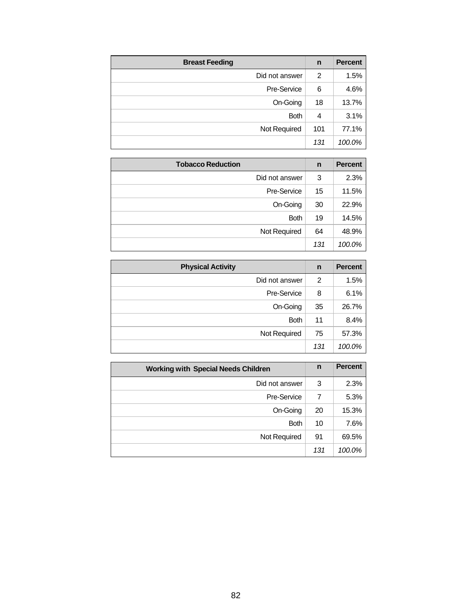| <b>Breast Feeding</b> | n   | <b>Percent</b> |
|-----------------------|-----|----------------|
| Did not answer        | 2   | 1.5%           |
| Pre-Service           | 6   | 4.6%           |
| On-Going              | 18  | 13.7%          |
| <b>Both</b>           | 4   | 3.1%           |
| Not Required          | 101 | 77.1%          |
|                       | 131 | 100.0%         |

| <b>Tobacco Reduction</b> | n   | <b>Percent</b> |
|--------------------------|-----|----------------|
| Did not answer           | 3   | 2.3%           |
| Pre-Service              | 15  | 11.5%          |
| On-Going                 | 30  | 22.9%          |
| <b>Both</b>              | 19  | 14.5%          |
| Not Required             | 64  | 48.9%          |
|                          | 131 | 100.0%         |

| <b>Physical Activity</b> | n   | <b>Percent</b> |
|--------------------------|-----|----------------|
| Did not answer           | 2   | 1.5%           |
| Pre-Service              | 8   | 6.1%           |
| On-Going                 | 35  | 26.7%          |
| <b>Both</b>              | 11  | 8.4%           |
| Not Required             | 75  | 57.3%          |
|                          | 131 | 100.0%         |

| <b>Working with Special Needs Children</b> |     | <b>Percent</b> |
|--------------------------------------------|-----|----------------|
| Did not answer                             | 3   | 2.3%           |
| Pre-Service                                |     | 5.3%           |
| On-Going                                   | 20  | 15.3%          |
| <b>Both</b>                                | 10  | 7.6%           |
| Not Required                               | 91  | 69.5%          |
|                                            | 131 | 100.0%         |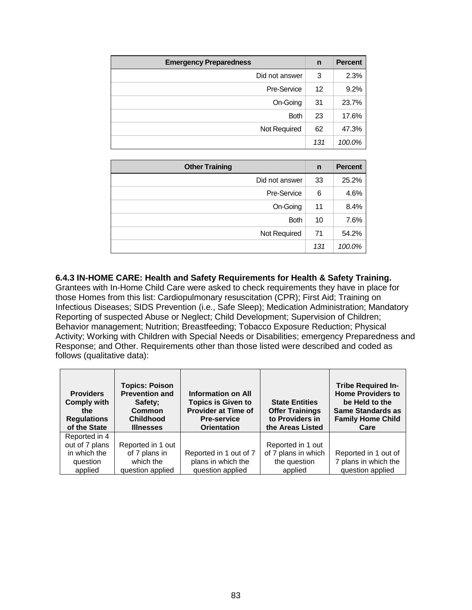| <b>Emergency Preparedness</b> | $\mathbf n$ | <b>Percent</b> |
|-------------------------------|-------------|----------------|
| Did not answer                | 3           | 2.3%           |
| Pre-Service                   | 12          | 9.2%           |
| On-Going                      | 31          | 23.7%          |
| <b>Both</b>                   | 23          | 17.6%          |
| Not Required                  | 62          | 47.3%          |
|                               | 131         | 100.0%         |

| <b>Other Training</b> | n   | <b>Percent</b> |
|-----------------------|-----|----------------|
| Did not answer        | 33  | 25.2%          |
| Pre-Service           | 6   | 4.6%           |
| On-Going              | 11  | 8.4%           |
| <b>Both</b>           | 10  | 7.6%           |
| Not Required          | 71  | 54.2%          |
|                       | 131 | 100.0%         |

**6.4.3 IN-HOME CARE: Health and Safety Requirements for Health & Safety Training.**  Grantees with In-Home Child Care were asked to check requirements they have in place for those Homes from this list: Cardiopulmonary resuscitation (CPR); First Aid; Training on Infectious Diseases; SIDS Prevention (i.e., Safe Sleep); Medication Administration; Mandatory Reporting of suspected Abuse or Neglect; Child Development; Supervision of Children; Behavior management; Nutrition; Breastfeeding; Tobacco Exposure Reduction; Physical Activity; Working with Children with Special Needs or Disabilities; emergency Preparedness and Response; and Other. Requirements other than those listed were described and coded as follows (qualitative data):

| <b>Providers</b><br><b>Comply with</b><br>the<br><b>Regulations</b><br>of the State | <b>Topics: Poison</b><br><b>Prevention and</b><br>Safety;<br><b>Common</b><br><b>Childhood</b><br><b>Illnesses</b> | Information on All<br><b>Topics is Given to</b><br><b>Provider at Time of</b><br><b>Pre-service</b><br><b>Orientation</b> | <b>State Entities</b><br><b>Offer Trainings</b><br>to Providers in<br>the Areas Listed | <b>Tribe Required In-</b><br><b>Home Providers to</b><br>be Held to the<br><b>Same Standards as</b><br><b>Family Home Child</b><br>Care |
|-------------------------------------------------------------------------------------|--------------------------------------------------------------------------------------------------------------------|---------------------------------------------------------------------------------------------------------------------------|----------------------------------------------------------------------------------------|-----------------------------------------------------------------------------------------------------------------------------------------|
| Reported in 4                                                                       |                                                                                                                    |                                                                                                                           |                                                                                        |                                                                                                                                         |
| out of 7 plans                                                                      | Reported in 1 out                                                                                                  |                                                                                                                           | Reported in 1 out                                                                      |                                                                                                                                         |
| in which the                                                                        | of 7 plans in                                                                                                      | Reported in 1 out of 7                                                                                                    | of 7 plans in which                                                                    | Reported in 1 out of                                                                                                                    |
| question                                                                            | which the                                                                                                          | plans in which the                                                                                                        | the question                                                                           | 7 plans in which the                                                                                                                    |
| applied                                                                             | question applied                                                                                                   | question applied                                                                                                          | applied                                                                                | question applied                                                                                                                        |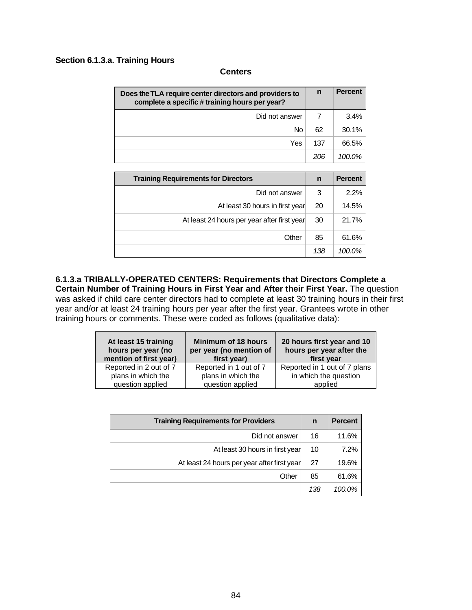#### **Section 6.1.3.a. Training Hours**

#### **Centers**

| Does the TLA require center directors and providers to<br>complete a specific # training hours per year? |     | <b>Percent</b> |
|----------------------------------------------------------------------------------------------------------|-----|----------------|
| Did not answer                                                                                           |     | 3.4%           |
| No                                                                                                       | 62  | 30.1%          |
| Yes                                                                                                      | 137 | 66.5%          |
|                                                                                                          | 206 | $100.0\%$      |

| <b>Training Requirements for Directors</b>  |     | <b>Percent</b> |
|---------------------------------------------|-----|----------------|
| Did not answer                              | 3   | 2.2%           |
| At least 30 hours in first year             | 20  | 14.5%          |
| At least 24 hours per year after first year | 30  | 21.7%          |
| Other                                       | 85  | 61.6%          |
|                                             | 138 | 100.0%         |

**6.1.3.a TRIBALLY-OPERATED CENTERS: Requirements that Directors Complete a Certain Number of Training Hours in First Year and After their First Year.** The question was asked if child care center directors had to complete at least 30 training hours in their first year and/or at least 24 training hours per year after the first year. Grantees wrote in other training hours or comments. These were coded as follows (qualitative data):

| At least 15 training<br>hours per year (no<br>mention of first year) | <b>Minimum of 18 hours</b><br>per year (no mention of<br>first year) | 20 hours first year and 10<br>hours per year after the<br>first year |
|----------------------------------------------------------------------|----------------------------------------------------------------------|----------------------------------------------------------------------|
| Reported in 2 out of 7                                               | Reported in 1 out of 7                                               | Reported in 1 out of 7 plans                                         |
| plans in which the                                                   | plans in which the                                                   | in which the question                                                |
| question applied                                                     | question applied                                                     | applied                                                              |

| <b>Training Requirements for Providers</b>  |     | <b>Percent</b> |
|---------------------------------------------|-----|----------------|
| Did not answer                              | 16  | 11.6%          |
| At least 30 hours in first year             | 10  | 7.2%           |
| At least 24 hours per year after first year | 27  | 19.6%          |
| Other                                       | 85  | 61.6%          |
|                                             | 138 | 100.0%         |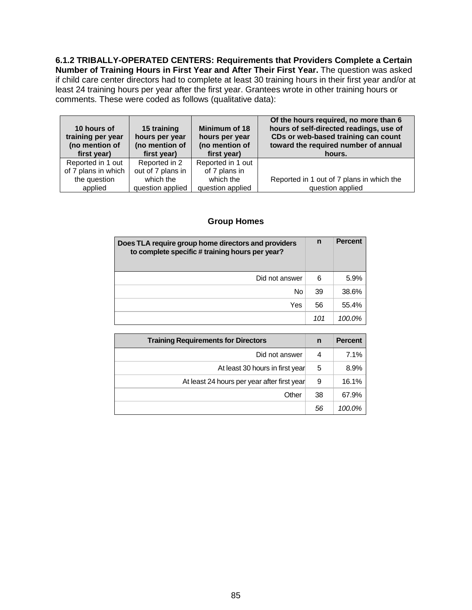**6.1.2 TRIBALLY-OPERATED CENTERS: Requirements that Providers Complete a Certain Number of Training Hours in First Year and After Their First Year.** The question was asked if child care center directors had to complete at least 30 training hours in their first year and/or at least 24 training hours per year after the first year. Grantees wrote in other training hours or comments. These were coded as follows (qualitative data):

| 10 hours of<br>training per year<br>(no mention of<br>first year) | 15 training<br>hours per year<br>(no mention of<br>first year) | Minimum of 18<br>hours per year<br>(no mention of<br>first year) | Of the hours required, no more than 6<br>hours of self-directed readings, use of<br>CDs or web-based training can count<br>toward the required number of annual<br>hours. |
|-------------------------------------------------------------------|----------------------------------------------------------------|------------------------------------------------------------------|---------------------------------------------------------------------------------------------------------------------------------------------------------------------------|
| Reported in 1 out                                                 | Reported in 2                                                  | Reported in 1 out                                                |                                                                                                                                                                           |
| of 7 plans in which                                               | out of 7 plans in                                              | of 7 plans in                                                    |                                                                                                                                                                           |
| the question                                                      | which the                                                      | which the                                                        | Reported in 1 out of 7 plans in which the                                                                                                                                 |
| applied                                                           | question applied                                               | question applied                                                 | question applied                                                                                                                                                          |

### **Group Homes**

| Does TLA require group home directors and providers<br>to complete specific # training hours per year? |     | <b>Percent</b> |
|--------------------------------------------------------------------------------------------------------|-----|----------------|
| Did not answer                                                                                         | 6   | 5.9%           |
| No                                                                                                     | 39  | 38.6%          |
| Yes                                                                                                    | 56  | 55.4%          |
|                                                                                                        | 101 | 100.0%         |

| <b>Training Requirements for Directors</b>  |    | <b>Percent</b> |
|---------------------------------------------|----|----------------|
| Did not answer                              | 4  | 7.1%           |
| At least 30 hours in first year             | 5  | 8.9%           |
| At least 24 hours per year after first year | 9  | 16.1%          |
| Other                                       | 38 | 67.9%          |
|                                             | 56 | 100.0%         |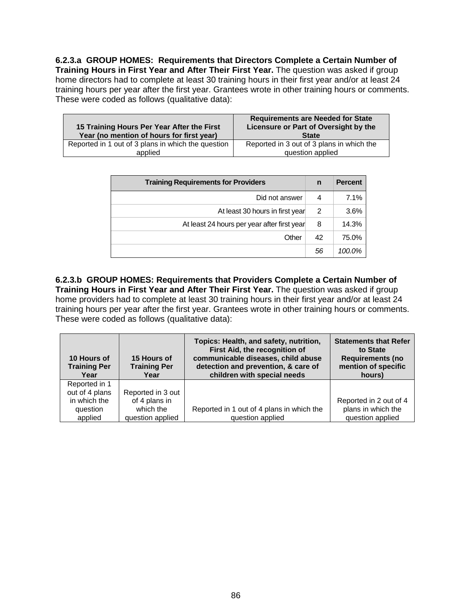**6.2.3.a GROUP HOMES: Requirements that Directors Complete a Certain Number of Training Hours in First Year and After Their First Year.** The question was asked if group home directors had to complete at least 30 training hours in their first year and/or at least 24 training hours per year after the first year. Grantees wrote in other training hours or comments. These were coded as follows (qualitative data):

| 15 Training Hours Per Year After the First<br>Year (no mention of hours for first year) | <b>Requirements are Needed for State</b><br>Licensure or Part of Oversight by the<br><b>State</b> |
|-----------------------------------------------------------------------------------------|---------------------------------------------------------------------------------------------------|
| Reported in 1 out of 3 plans in which the question                                      | Reported in 3 out of 3 plans in which the                                                         |
| applied                                                                                 | question applied                                                                                  |

| <b>Training Requirements for Providers</b>  |    | <b>Percent</b> |
|---------------------------------------------|----|----------------|
| Did not answer                              | 4  | 7.1%           |
| At least 30 hours in first year             | 2  | 3.6%           |
| At least 24 hours per year after first year | 8  | 14.3%          |
| Other                                       | 42 | 75.0%          |
|                                             | 56 | 100.0%         |

**6.2.3.b GROUP HOMES: Requirements that Providers Complete a Certain Number of Training Hours in First Year and After Their First Year.** The question was asked if group home providers had to complete at least 30 training hours in their first year and/or at least 24 training hours per year after the first year. Grantees wrote in other training hours or comments. These were coded as follows (qualitative data):

| 10 Hours of<br><b>Training Per</b><br>Year                             | 15 Hours of<br><b>Training Per</b><br>Year                          | Topics: Health, and safety, nutrition,<br>First Aid, the recognition of<br>communicable diseases, child abuse<br>detection and prevention, & care of<br>children with special needs | <b>Statements that Refer</b><br>to State<br><b>Requirements (no</b><br>mention of specific<br>hours) |
|------------------------------------------------------------------------|---------------------------------------------------------------------|-------------------------------------------------------------------------------------------------------------------------------------------------------------------------------------|------------------------------------------------------------------------------------------------------|
| Reported in 1<br>out of 4 plans<br>in which the<br>question<br>applied | Reported in 3 out<br>of 4 plans in<br>which the<br>question applied | Reported in 1 out of 4 plans in which the<br>question applied                                                                                                                       | Reported in 2 out of 4<br>plans in which the<br>question applied                                     |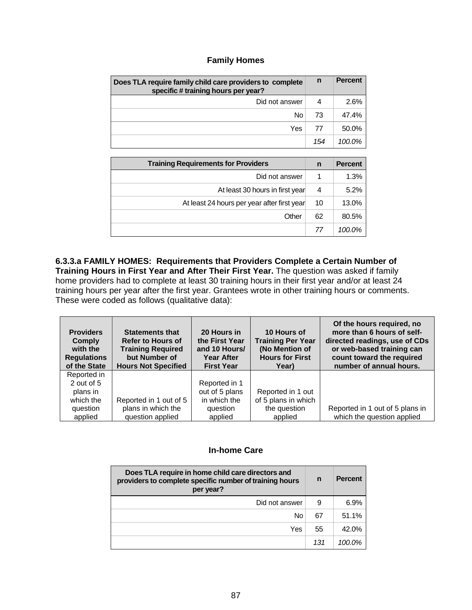### **Family Homes**

| Does TLA require family child care providers to complete<br>specific # training hours per year? | n   | <b>Percent</b> |
|-------------------------------------------------------------------------------------------------|-----|----------------|
| Did not answer                                                                                  | 4   | 2.6%           |
| No.                                                                                             | 73  | 47.4%          |
| Yes                                                                                             | 77  | 50.0%          |
|                                                                                                 | 154 | 100.0%         |

| <b>Training Requirements for Providers</b>  | n  | <b>Percent</b> |
|---------------------------------------------|----|----------------|
| Did not answer                              |    | 1.3%           |
| At least 30 hours in first year             | 4  | 5.2%           |
| At least 24 hours per year after first year | 10 | 13.0%          |
| Other                                       | 62 | 80.5%          |
|                                             | 77 | 100.0%         |

**6.3.3.a FAMILY HOMES: Requirements that Providers Complete a Certain Number of Training Hours in First Year and After Their First Year.** The question was asked if family home providers had to complete at least 30 training hours in their first year and/or at least 24 training hours per year after the first year. Grantees wrote in other training hours or comments. These were coded as follows (qualitative data):

| <b>Providers</b><br>Comply<br>with the<br><b>Regulations</b><br>of the State | <b>Statements that</b><br><b>Refer to Hours of</b><br><b>Training Required</b><br>but Number of<br><b>Hours Not Specified</b> | 20 Hours in<br>the First Year<br>and 10 Hours/<br><b>Year After</b><br><b>First Year</b> | 10 Hours of<br><b>Training Per Year</b><br>(No Mention of<br><b>Hours for First</b><br>Year) | Of the hours required, no<br>more than 6 hours of self-<br>directed readings, use of CDs<br>or web-based training can<br>count toward the required<br>number of annual hours. |
|------------------------------------------------------------------------------|-------------------------------------------------------------------------------------------------------------------------------|------------------------------------------------------------------------------------------|----------------------------------------------------------------------------------------------|-------------------------------------------------------------------------------------------------------------------------------------------------------------------------------|
| Reported in<br>2 out of 5                                                    |                                                                                                                               | Reported in 1                                                                            |                                                                                              |                                                                                                                                                                               |
| plans in                                                                     |                                                                                                                               | out of 5 plans                                                                           | Reported in 1 out                                                                            |                                                                                                                                                                               |
| which the                                                                    | Reported in 1 out of 5                                                                                                        | in which the                                                                             | of 5 plans in which                                                                          |                                                                                                                                                                               |
| question                                                                     | plans in which the                                                                                                            | question                                                                                 | the question                                                                                 | Reported in 1 out of 5 plans in                                                                                                                                               |
| applied                                                                      | question applied                                                                                                              | applied                                                                                  | applied                                                                                      | which the question applied                                                                                                                                                    |

### **In-home Care**

| Does TLA require in home child care directors and<br>providers to complete specific number of training hours<br>per year? |     | <b>Percent</b> |
|---------------------------------------------------------------------------------------------------------------------------|-----|----------------|
| Did not answer                                                                                                            | 9   | 6.9%           |
| Nc                                                                                                                        | 67  | 51.1%          |
| Yes                                                                                                                       | 55  | 42.0%          |
|                                                                                                                           | 131 | $100.0\%$      |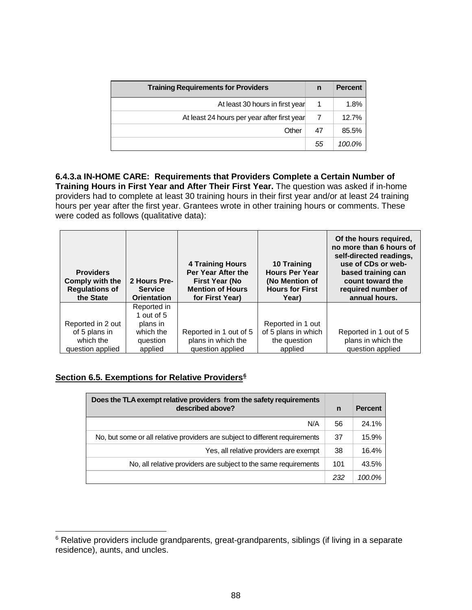| <b>Training Requirements for Providers</b>  | n  | <b>Percent</b> |
|---------------------------------------------|----|----------------|
| At least 30 hours in first year             |    | 1.8%           |
| At least 24 hours per year after first year |    | 12.7%          |
| Other                                       | 47 | 85.5%          |
|                                             | 55 | 100.0%         |

**6.4.3.a IN-HOME CARE: Requirements that Providers Complete a Certain Number of Training Hours in First Year and After Their First Year.** The question was asked if in-home providers had to complete at least 30 training hours in their first year and/or at least 24 training hours per year after the first year. Grantees wrote in other training hours or comments. These were coded as follows (qualitative data):

| <b>Providers</b><br>Comply with the<br><b>Regulations of</b><br>the State | 2 Hours Pre-<br><b>Service</b><br><b>Orientation</b> | <b>4 Training Hours</b><br>Per Year After the<br><b>First Year (No</b><br><b>Mention of Hours</b><br>for First Year) | 10 Training<br><b>Hours Per Year</b><br>(No Mention of<br><b>Hours for First</b><br>Year) | Of the hours required,<br>no more than 6 hours of<br>self-directed readings,<br>use of CDs or web-<br>based training can<br>count toward the<br>required number of<br>annual hours. |
|---------------------------------------------------------------------------|------------------------------------------------------|----------------------------------------------------------------------------------------------------------------------|-------------------------------------------------------------------------------------------|-------------------------------------------------------------------------------------------------------------------------------------------------------------------------------------|
|                                                                           | Reported in<br>1 out of $5$                          |                                                                                                                      |                                                                                           |                                                                                                                                                                                     |
| Reported in 2 out                                                         | plans in                                             |                                                                                                                      | Reported in 1 out                                                                         |                                                                                                                                                                                     |
| of 5 plans in                                                             | which the                                            | Reported in 1 out of 5                                                                                               | of 5 plans in which                                                                       | Reported in 1 out of 5                                                                                                                                                              |
| which the                                                                 | question                                             | plans in which the                                                                                                   | the question                                                                              | plans in which the                                                                                                                                                                  |
| question applied                                                          | applied                                              | question applied                                                                                                     | applied                                                                                   | question applied                                                                                                                                                                    |

# **Section 6.5. Exemptions for Relative Providers[6](#page-89-0)**

| Does the TLA exempt relative providers from the safety requirements<br>described above? | n   | <b>Percent</b> |
|-----------------------------------------------------------------------------------------|-----|----------------|
| N/A                                                                                     | 56  | 24.1%          |
| No, but some or all relative providers are subject to different requirements            | 37  | 15.9%          |
| Yes, all relative providers are exempt                                                  | 38  | 16.4%          |
| No, all relative providers are subject to the same requirements                         | 101 | 43.5%          |
|                                                                                         | 232 | 100.0%         |

<span id="page-89-0"></span><sup>&</sup>lt;sup>6</sup> Relative providers include grandparents, great-grandparents, siblings (if living in a separate residence), aunts, and uncles.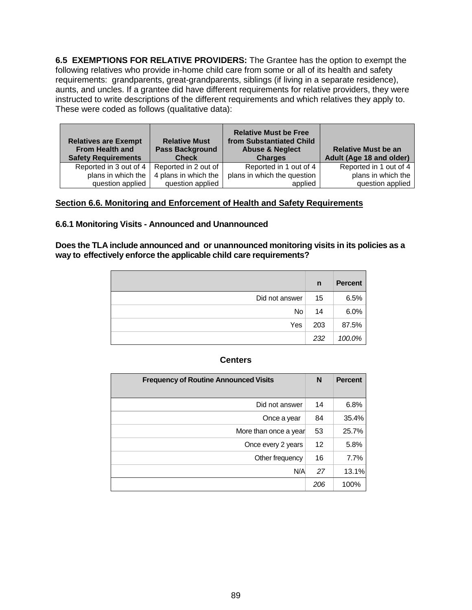**6.5 EXEMPTIONS FOR RELATIVE PROVIDERS:** The Grantee has the option to exempt the following relatives who provide in-home child care from some or all of its health and safety requirements: grandparents, great-grandparents, siblings (if living in a separate residence), aunts, and uncles. If a grantee did have different requirements for relative providers, they were instructed to write descriptions of the different requirements and which relatives they apply to. These were coded as follows (qualitative data):

| <b>Relatives are Exempt</b><br><b>From Health and</b><br><b>Safety Requirements</b> | <b>Relative Must</b><br><b>Pass Background</b><br><b>Check</b> | <b>Relative Must be Free</b><br>from Substantiated Child<br><b>Abuse &amp; Neglect</b><br><b>Charges</b> | <b>Relative Must be an</b><br>Adult (Age 18 and older) |  |
|-------------------------------------------------------------------------------------|----------------------------------------------------------------|----------------------------------------------------------------------------------------------------------|--------------------------------------------------------|--|
| Reported in 3 out of 4                                                              | Reported in 2 out of                                           | Reported in 1 out of 4                                                                                   | Reported in 1 out of 4                                 |  |
| plans in which the                                                                  | 4 plans in which the                                           | plans in which the question                                                                              | plans in which the                                     |  |
| question applied                                                                    | question applied                                               | applied                                                                                                  | question applied                                       |  |

### **Section 6.6. Monitoring and Enforcement of Health and Safety Requirements**

#### **6.6.1 Monitoring Visits - Announced and Unannounced**

**Does the TLA include announced and or unannounced monitoring visits in its policies as a way to effectively enforce the applicable child care requirements?**

|                | n   | <b>Percent</b> |
|----------------|-----|----------------|
| Did not answer | 15  | 6.5%           |
| <b>No</b>      | 14  | 6.0%           |
| Yes            | 203 | 87.5%          |
|                | 232 | 100.0%         |

#### **Centers**

| <b>Frequency of Routine Announced Visits</b> | N   | <b>Percent</b> |
|----------------------------------------------|-----|----------------|
| Did not answer                               | 14  | 6.8%           |
| Once a year                                  | 84  | 35.4%          |
| More than once a year                        | 53  | 25.7%          |
| Once every 2 years                           | 12  | 5.8%           |
| Other frequency                              | 16  | 7.7%           |
| N/A                                          | 27  | 13.1%          |
|                                              | 206 | 100%           |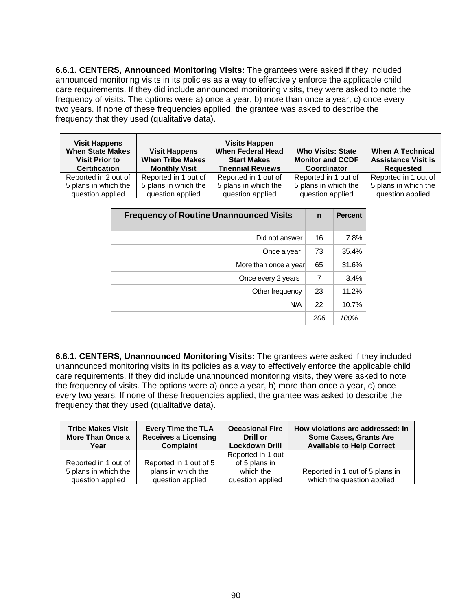**6.6.1. CENTERS, Announced Monitoring Visits:** The grantees were asked if they included announced monitoring visits in its policies as a way to effectively enforce the applicable child care requirements. If they did include announced monitoring visits, they were asked to note the frequency of visits. The options were a) once a year, b) more than once a year, c) once every two years. If none of these frequencies applied, the grantee was asked to describe the frequency that they used (qualitative data).

| <b>Visit Happens</b><br><b>When State Makes</b><br><b>Visit Prior to</b><br><b>Certification</b> | <b>Visit Happens</b><br><b>When Tribe Makes</b><br><b>Monthly Visit</b> | <b>Visits Happen</b><br><b>When Federal Head</b><br><b>Start Makes</b><br><b>Triennial Reviews</b> | <b>Who Visits: State</b><br><b>Monitor and CCDF</b><br><b>Coordinator</b> | <b>When A Technical</b><br><b>Assistance Visit is</b><br>Reauested |
|--------------------------------------------------------------------------------------------------|-------------------------------------------------------------------------|----------------------------------------------------------------------------------------------------|---------------------------------------------------------------------------|--------------------------------------------------------------------|
| Reported in 2 out of                                                                             | Reported in 1 out of                                                    | Reported in 1 out of                                                                               | Reported in 1 out of                                                      | Reported in 1 out of                                               |
| 5 plans in which the                                                                             | 5 plans in which the                                                    | 5 plans in which the                                                                               | 5 plans in which the                                                      | 5 plans in which the                                               |
| question applied                                                                                 | question applied                                                        | question applied                                                                                   | question applied                                                          | question applied                                                   |

| <b>Frequency of Routine Unannounced Visits</b> | $\mathbf n$ | <b>Percent</b> |
|------------------------------------------------|-------------|----------------|
| Did not answer                                 | 16          | 7.8%           |
| Once a year                                    | 73          | 35.4%          |
| More than once a year                          | 65          | 31.6%          |
| Once every 2 years                             | 7           | 3.4%           |
| Other frequency                                | 23          | 11.2%          |
| N/A                                            | 22          | 10.7%          |
|                                                | 206         | 100%           |

**6.6.1. CENTERS, Unannounced Monitoring Visits:** The grantees were asked if they included unannounced monitoring visits in its policies as a way to effectively enforce the applicable child care requirements. If they did include unannounced monitoring visits, they were asked to note the frequency of visits. The options were a) once a year, b) more than once a year, c) once every two years. If none of these frequencies applied, the grantee was asked to describe the frequency that they used (qualitative data).

| <b>Tribe Makes Visit</b><br>More Than Once a<br>Year | <b>Every Time the TLA</b><br><b>Receives a Licensing</b><br><b>Complaint</b> | <b>Occasional Fire</b><br>Drill or<br><b>Lockdown Drill</b> | How violations are addressed: In<br><b>Some Cases, Grants Are</b><br><b>Available to Help Correct</b> |
|------------------------------------------------------|------------------------------------------------------------------------------|-------------------------------------------------------------|-------------------------------------------------------------------------------------------------------|
|                                                      |                                                                              | Reported in 1 out                                           |                                                                                                       |
| Reported in 1 out of                                 | Reported in 1 out of 5                                                       | of 5 plans in                                               |                                                                                                       |
| 5 plans in which the                                 | plans in which the                                                           | which the                                                   | Reported in 1 out of 5 plans in                                                                       |
| question applied                                     | question applied                                                             | question applied                                            | which the question applied                                                                            |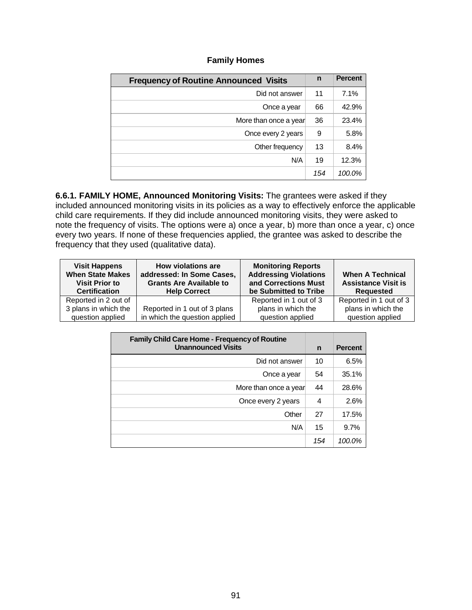### **Family Homes**

| <b>Frequency of Routine Announced Visits</b> | n   | <b>Percent</b> |
|----------------------------------------------|-----|----------------|
| Did not answer                               | 11  | 7.1%           |
| Once a year                                  | 66  | 42.9%          |
| More than once a year                        | 36  | 23.4%          |
| Once every 2 years                           | 9   | 5.8%           |
| Other frequency                              | 13  | 8.4%           |
| N/A                                          | 19  | 12.3%          |
|                                              | 154 | 100.0%         |

**6.6.1. FAMILY HOME, Announced Monitoring Visits:** The grantees were asked if they included announced monitoring visits in its policies as a way to effectively enforce the applicable child care requirements. If they did include announced monitoring visits, they were asked to note the frequency of visits. The options were a) once a year, b) more than once a year, c) once every two years. If none of these frequencies applied, the grantee was asked to describe the frequency that they used (qualitative data).

| <b>Visit Happens</b><br><b>When State Makes</b><br><b>Visit Prior to</b><br><b>Certification</b> | How violations are<br>addressed: In Some Cases,<br><b>Grants Are Available to</b><br><b>Help Correct</b> | <b>Monitoring Reports</b><br><b>Addressing Violations</b><br>and Corrections Must<br>be Submitted to Tribe | <b>When A Technical</b><br><b>Assistance Visit is</b><br>Reauested |
|--------------------------------------------------------------------------------------------------|----------------------------------------------------------------------------------------------------------|------------------------------------------------------------------------------------------------------------|--------------------------------------------------------------------|
| Reported in 2 out of                                                                             |                                                                                                          | Reported in 1 out of 3                                                                                     | Reported in 1 out of 3                                             |
| 3 plans in which the                                                                             | Reported in 1 out of 3 plans                                                                             | plans in which the                                                                                         | plans in which the                                                 |
| question applied                                                                                 | in which the question applied                                                                            | question applied                                                                                           | question applied                                                   |

| <b>Family Child Care Home - Frequency of Routine</b><br><b>Unannounced Visits</b> |     | <b>Percent</b> |
|-----------------------------------------------------------------------------------|-----|----------------|
| Did not answer                                                                    | 10  | 6.5%           |
| Once a year                                                                       | 54  | 35.1%          |
| More than once a year                                                             | 44  | 28.6%          |
| Once every 2 years                                                                | 4   | 2.6%           |
| Other                                                                             | 27  | 17.5%          |
| N/A                                                                               | 15  | 9.7%           |
|                                                                                   | 154 | 100.0%         |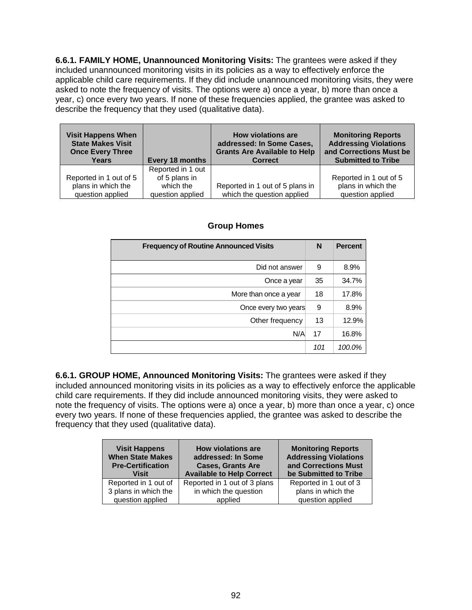**6.6.1. FAMILY HOME, Unannounced Monitoring Visits:** The grantees were asked if they included unannounced monitoring visits in its policies as a way to effectively enforce the applicable child care requirements. If they did include unannounced monitoring visits, they were asked to note the frequency of visits. The options were a) once a year, b) more than once a year, c) once every two years. If none of these frequencies applied, the grantee was asked to describe the frequency that they used (qualitative data).

| <b>Visit Happens When</b> | Every 18 months   | How violations are                  | <b>Monitoring Reports</b>    |
|---------------------------|-------------------|-------------------------------------|------------------------------|
| <b>State Makes Visit</b>  |                   | addressed: In Some Cases,           | <b>Addressing Violations</b> |
| <b>Once Every Three</b>   |                   | <b>Grants Are Available to Help</b> | and Corrections Must be      |
| Years                     |                   | <b>Correct</b>                      | <b>Submitted to Tribe</b>    |
|                           | Reported in 1 out |                                     |                              |
| Reported in 1 out of 5    | of 5 plans in     | Reported in 1 out of 5 plans in     | Reported in 1 out of 5       |
| plans in which the        | which the         |                                     | plans in which the           |
| question applied          | question applied  | which the question applied          | question applied             |

# **Group Homes**

| <b>Frequency of Routine Announced Visits</b> |     | <b>Percent</b> |
|----------------------------------------------|-----|----------------|
| Did not answer                               | 9   | 8.9%           |
| Once a year                                  | 35  | 34.7%          |
| More than once a year                        | 18  | 17.8%          |
| Once every two years                         | 9   | 8.9%           |
| Other frequency                              | 13  | 12.9%          |
| N/A                                          | 17  | 16.8%          |
|                                              | 101 | 100.0%         |

**6.6.1. GROUP HOME, Announced Monitoring Visits:** The grantees were asked if they included announced monitoring visits in its policies as a way to effectively enforce the applicable child care requirements. If they did include announced monitoring visits, they were asked to note the frequency of visits. The options were a) once a year, b) more than once a year, c) once every two years. If none of these frequencies applied, the grantee was asked to describe the frequency that they used (qualitative data).

| <b>Visit Happens</b><br><b>When State Makes</b><br><b>Pre-Certification</b><br><b>Visit</b> | <b>How violations are</b><br>addressed: In Some<br><b>Cases, Grants Are</b><br><b>Available to Help Correct</b> | <b>Monitoring Reports</b><br><b>Addressing Violations</b><br>and Corrections Must<br>be Submitted to Tribe |
|---------------------------------------------------------------------------------------------|-----------------------------------------------------------------------------------------------------------------|------------------------------------------------------------------------------------------------------------|
| Reported in 1 out of                                                                        | Reported in 1 out of 3 plans                                                                                    | Reported in 1 out of 3                                                                                     |
| 3 plans in which the                                                                        | in which the question                                                                                           | plans in which the                                                                                         |
| question applied                                                                            | applied                                                                                                         | question applied                                                                                           |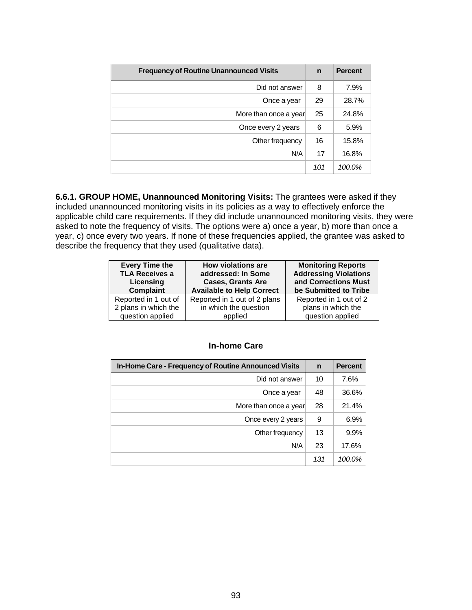| <b>Frequency of Routine Unannounced Visits</b> |     | <b>Percent</b> |
|------------------------------------------------|-----|----------------|
| Did not answer                                 | 8   | 7.9%           |
| Once a year                                    | 29  | 28.7%          |
| More than once a year                          | 25  | 24.8%          |
| Once every 2 years                             | 6   | 5.9%           |
| Other frequency                                | 16  | 15.8%          |
| N/A                                            | 17  | 16.8%          |
|                                                | 101 | 100.0%         |

**6.6.1. GROUP HOME, Unannounced Monitoring Visits:** The grantees were asked if they included unannounced monitoring visits in its policies as a way to effectively enforce the applicable child care requirements. If they did include unannounced monitoring visits, they were asked to note the frequency of visits. The options were a) once a year, b) more than once a year, c) once every two years. If none of these frequencies applied, the grantee was asked to describe the frequency that they used (qualitative data).

| <b>Every Time the</b> | <b>How violations are</b>        | <b>Monitoring Reports</b>    |
|-----------------------|----------------------------------|------------------------------|
| <b>TLA Receives a</b> | addressed: In Some               | <b>Addressing Violations</b> |
| Licensing             | <b>Cases, Grants Are</b>         | and Corrections Must         |
| <b>Complaint</b>      | <b>Available to Help Correct</b> | be Submitted to Tribe        |
| Reported in 1 out of  | Reported in 1 out of 2 plans     | Reported in 1 out of 2       |
| 2 plans in which the  | in which the question            | plans in which the           |
| question applied      | applied                          | question applied             |

### **In-home Care**

| In-Home Care - Frequency of Routine Announced Visits |     | <b>Percent</b> |
|------------------------------------------------------|-----|----------------|
| Did not answer                                       | 10  | 7.6%           |
| Once a year                                          | 48  | 36.6%          |
| More than once a year                                | 28  | 21.4%          |
| Once every 2 years                                   | 9   | 6.9%           |
| Other frequency                                      | 13  | 9.9%           |
| N/A                                                  | 23  | 17.6%          |
|                                                      | 131 | 100.0%         |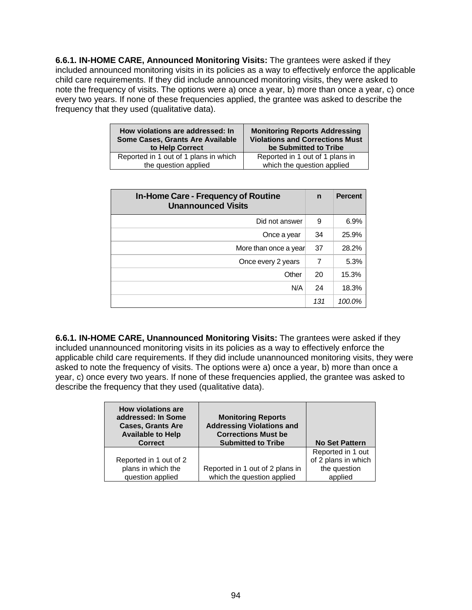**6.6.1. IN-HOME CARE, Announced Monitoring Visits:** The grantees were asked if they included announced monitoring visits in its policies as a way to effectively enforce the applicable child care requirements. If they did include announced monitoring visits, they were asked to note the frequency of visits. The options were a) once a year, b) more than once a year, c) once every two years. If none of these frequencies applied, the grantee was asked to describe the frequency that they used (qualitative data).

| How violations are addressed: In      | <b>Monitoring Reports Addressing</b>   |
|---------------------------------------|----------------------------------------|
| Some Cases, Grants Are Available      | <b>Violations and Corrections Must</b> |
| to Help Correct                       | be Submitted to Tribe                  |
| Reported in 1 out of 1 plans in which | Reported in 1 out of 1 plans in        |
| the question applied                  | which the question applied             |

| In-Home Care - Frequency of Routine<br><b>Unannounced Visits</b> |     | <b>Percent</b> |
|------------------------------------------------------------------|-----|----------------|
| Did not answer                                                   | 9   | 6.9%           |
| Once a year                                                      | 34  | 25.9%          |
| More than once a year                                            | 37  | 28.2%          |
| Once every 2 years                                               | 7   | 5.3%           |
| Other                                                            | 20  | 15.3%          |
| N/A                                                              | 24  | 18.3%          |
|                                                                  | 131 | 100.0%         |

**6.6.1. IN-HOME CARE, Unannounced Monitoring Visits:** The grantees were asked if they included unannounced monitoring visits in its policies as a way to effectively enforce the applicable child care requirements. If they did include unannounced monitoring visits, they were asked to note the frequency of visits. The options were a) once a year, b) more than once a year, c) once every two years. If none of these frequencies applied, the grantee was asked to describe the frequency that they used (qualitative data).

| <b>How violations are</b><br>addressed: In Some<br><b>Cases, Grants Are</b><br><b>Available to Help</b><br><b>Correct</b> | <b>Monitoring Reports</b><br><b>Addressing Violations and</b><br><b>Corrections Must be</b><br><b>Submitted to Tribe</b> | <b>No Set Pattern</b> |
|---------------------------------------------------------------------------------------------------------------------------|--------------------------------------------------------------------------------------------------------------------------|-----------------------|
|                                                                                                                           |                                                                                                                          | Reported in 1 out     |
| Reported in 1 out of 2                                                                                                    |                                                                                                                          | of 2 plans in which   |
| plans in which the                                                                                                        | Reported in 1 out of 2 plans in                                                                                          | the question          |
| question applied                                                                                                          | which the question applied                                                                                               | applied               |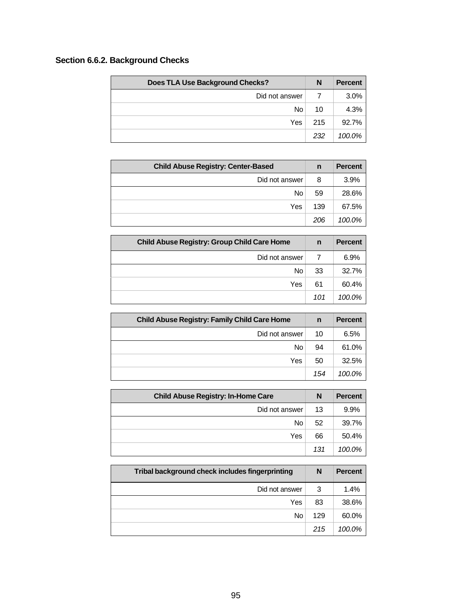# **Section 6.6.2. Background Checks**

| Does TLA Use Background Checks? | N   | <b>Percent</b> |
|---------------------------------|-----|----------------|
| Did not answer                  |     | 3.0%           |
| No <sub>1</sub>                 | 10  | 4.3%           |
| Yes                             | 215 | 92.7%          |
|                                 | 232 | 100.0%         |

| <b>Child Abuse Registry: Center-Based</b> | n   | <b>Percent</b> |
|-------------------------------------------|-----|----------------|
| Did not answer                            | 8   | 3.9%           |
| No                                        | 59  | 28.6%          |
| Yes                                       | 139 | 67.5%          |
|                                           | 206 | 100.0%         |

| <b>Child Abuse Registry: Group Child Care Home</b> | $\mathsf{n}$ | <b>Percent</b> |
|----------------------------------------------------|--------------|----------------|
| Did not answer                                     |              | 6.9%           |
| No.                                                | 33           | 32.7%          |
| Yes                                                | 61           | 60.4%          |
|                                                    | 101          | 100.0%         |

| <b>Child Abuse Registry: Family Child Care Home</b> | n   | <b>Percent</b> |
|-----------------------------------------------------|-----|----------------|
| Did not answer                                      | 10  | 6.5%           |
| No                                                  | 94  | 61.0%          |
| Yes                                                 | 50  | 32.5%          |
|                                                     | 154 | 100.0%         |

| <b>Child Abuse Registry: In-Home Care</b> | N   | <b>Percent</b> |
|-------------------------------------------|-----|----------------|
| Did not answer                            | 13  | 9.9%           |
| No                                        | 52  | 39.7%          |
| Yes                                       | 66  | 50.4%          |
|                                           | 131 | 100.0%         |

| Tribal background check includes fingerprinting | N   | <b>Percent</b> |
|-------------------------------------------------|-----|----------------|
| Did not answer                                  | 3   | 1.4%           |
| Yes                                             | 83  | 38.6%          |
| No                                              | 129 | 60.0%          |
|                                                 | 215 | 100.0%         |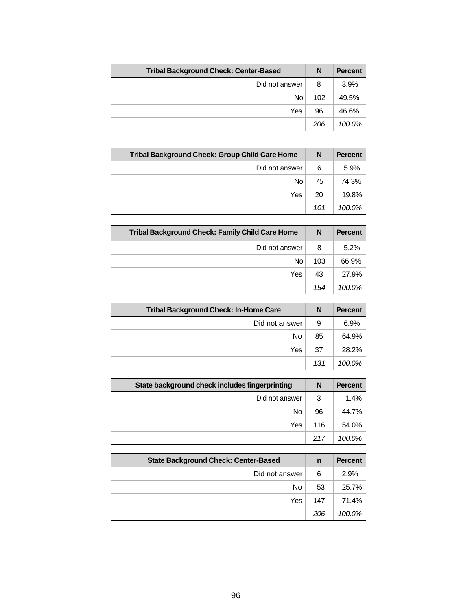| <b>Tribal Background Check: Center-Based</b> | N   | <b>Percent</b> |
|----------------------------------------------|-----|----------------|
| Did not answer                               | 8   | 3.9%           |
| No                                           | 102 | 49.5%          |
| Yes                                          | 96  | 46.6%          |
|                                              | 206 | 100.0%         |

| Tribal Background Check: Group Child Care Home | N   | <b>Percent</b> |
|------------------------------------------------|-----|----------------|
| Did not answer                                 | 6   | 5.9%           |
| No                                             | 75  | 74.3%          |
| Yes                                            | 20  | 19.8%          |
|                                                | 101 | 100.0%         |

| <b>Tribal Background Check: Family Child Care Home</b> | N   | <b>Percent</b> |
|--------------------------------------------------------|-----|----------------|
| Did not answer                                         | 8   | 5.2%           |
| No                                                     | 103 | 66.9%          |
| Yes                                                    | 43  | 27.9%          |
|                                                        | 154 | 100.0%         |

| <b>Tribal Background Check: In-Home Care</b> | N   | <b>Percent</b> |
|----------------------------------------------|-----|----------------|
| Did not answer                               | 9   | 6.9%           |
| No                                           | 85  | 64.9%          |
| Yes                                          | 37  | 28.2%          |
|                                              | 131 | 100.0%         |

| State background check includes fingerprinting | N   | <b>Percent</b> |
|------------------------------------------------|-----|----------------|
| Did not answer                                 | 3   | 1.4%           |
| No                                             | 96  | 44.7%          |
| Yes                                            | 116 | 54.0%          |
|                                                | 217 | 100.0%         |

| <b>State Background Check: Center-Based</b> | n   | <b>Percent</b> |
|---------------------------------------------|-----|----------------|
| Did not answer                              | 6   | 2.9%           |
| No                                          | 53  | 25.7%          |
| Yes                                         | 147 | 71.4%          |
|                                             | 206 | $100.0\%$      |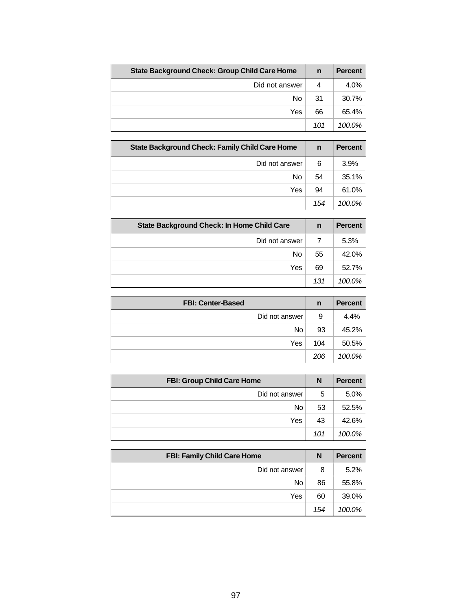| <b>State Background Check: Group Child Care Home</b> | $\mathsf{n}$ | <b>Percent</b> |
|------------------------------------------------------|--------------|----------------|
| Did not answer                                       | 4            | 4.0%           |
| No                                                   | 31           | 30.7%          |
| Yes                                                  | 66           | 65.4%          |
|                                                      | 101          | 100.0%         |

| <b>State Background Check: Family Child Care Home</b> | n   | <b>Percent</b> |
|-------------------------------------------------------|-----|----------------|
| Did not answer                                        | 6   | 3.9%           |
| No                                                    | 54  | 35.1%          |
| Yes                                                   | 94  | 61.0%          |
|                                                       | 154 | $100.0\%$      |

| <b>State Background Check: In Home Child Care</b> | n   | <b>Percent</b> |
|---------------------------------------------------|-----|----------------|
| Did not answer                                    |     | 5.3%           |
| No                                                | 55  | 42.0%          |
| Yes                                               | 69  | 52.7%          |
|                                                   | 131 | 100.0%         |

| <b>FBI: Center-Based</b> | $\mathbf n$ | <b>Percent</b> |
|--------------------------|-------------|----------------|
| Did not answer           | 9           | 4.4%           |
| No.                      | 93          | 45.2%          |
| Yes                      | 104         | 50.5%          |
|                          | 206         | 100.0%         |

| <b>FBI: Group Child Care Home</b> | N   | <b>Percent</b> |
|-----------------------------------|-----|----------------|
| Did not answer                    | 5   | 5.0%           |
| <b>No</b>                         | 53  | 52.5%          |
| Yes                               | 43  | 42.6%          |
|                                   | 101 | 100.0%         |

| <b>FBI: Family Child Care Home</b> | N   | <b>Percent</b> |
|------------------------------------|-----|----------------|
| Did not answer                     | 8   | 5.2%           |
| <b>No</b>                          | 86  | 55.8%          |
| Yes                                | 60  | 39.0%          |
|                                    | 154 | 100.0%         |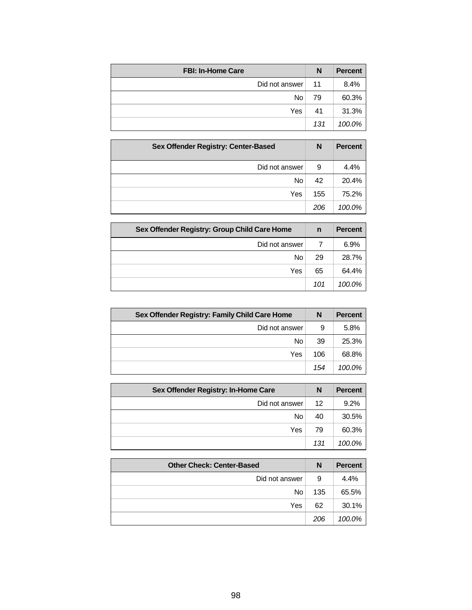| <b>FBI: In-Home Care</b> | N   | <b>Percent</b> |
|--------------------------|-----|----------------|
| Did not answer           | 11  | 8.4%           |
| No                       | 79  | 60.3%          |
| Yes                      | 41  | 31.3%          |
|                          | 131 | 100.0%         |

| Sex Offender Registry: Center-Based | N   | <b>Percent</b> |
|-------------------------------------|-----|----------------|
| Did not answer                      | 9   | 4.4%           |
| No                                  | 42  | 20.4%          |
| Yes                                 | 155 | 75.2%          |
|                                     | 206 | 100.0%         |

| Sex Offender Registry: Group Child Care Home | n   | <b>Percent</b> |
|----------------------------------------------|-----|----------------|
| Did not answer                               |     | 6.9%           |
| No                                           | 29  | 28.7%          |
| Yes                                          | 65  | 64.4%          |
|                                              | 101 | 100.0%         |

| Sex Offender Registry: Family Child Care Home | N   | <b>Percent</b> |
|-----------------------------------------------|-----|----------------|
| Did not answer                                | 9   | 5.8%           |
| No                                            | 39  | 25.3%          |
| Yes                                           | 106 | 68.8%          |
|                                               | 154 | 100.0%         |

| Sex Offender Registry: In-Home Care | N   | <b>Percent</b> |
|-------------------------------------|-----|----------------|
| Did not answer                      | 12  | 9.2%           |
| No                                  | 40  | 30.5%          |
| Yes                                 | 79  | 60.3%          |
|                                     | 131 | 100.0%         |

| <b>Other Check: Center-Based</b> | N   | <b>Percent</b> |
|----------------------------------|-----|----------------|
| Did not answer                   | 9   | 4.4%           |
| No <sub>1</sub>                  | 135 | 65.5%          |
| Yes                              | 62  | 30.1%          |
|                                  | 206 | 100.0%         |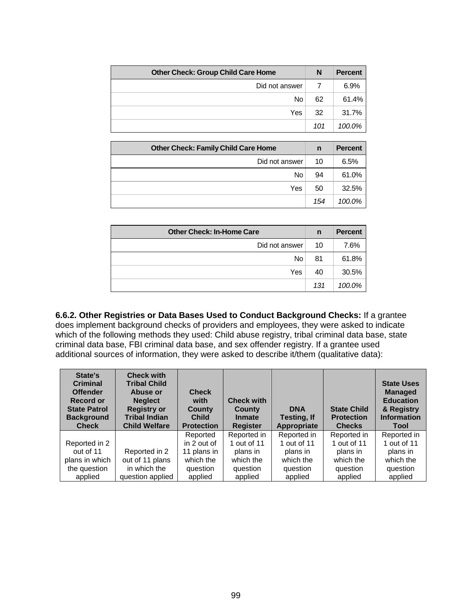| <b>Other Check: Group Child Care Home</b> | N   | <b>Percent</b> |
|-------------------------------------------|-----|----------------|
| Did not answer                            |     | 6.9%           |
| No                                        | 62  | 61.4%          |
| Yes                                       | 32  | 31.7%          |
|                                           | 101 | 100.0%         |

| <b>Other Check: Family Child Care Home</b> | n   | <b>Percent</b> |
|--------------------------------------------|-----|----------------|
| Did not answer                             | 10  | 6.5%           |
| No                                         | 94  | 61.0%          |
| Yes                                        | 50  | 32.5%          |
|                                            | 154 | 100.0%         |

| <b>Other Check: In-Home Care</b> | n   | <b>Percent</b> |
|----------------------------------|-----|----------------|
| Did not answer                   | 10  | 7.6%           |
| No.                              | 81  | 61.8%          |
| Yes                              | 40  | 30.5%          |
|                                  | 131 | 100.0%         |

**6.6.2. Other Registries or Data Bases Used to Conduct Background Checks:** If a grantee does implement background checks of providers and employees, they were asked to indicate which of the following methods they used: Child abuse registry, tribal criminal data base, state criminal data base, FBI criminal data base, and sex offender registry. If a grantee used additional sources of information, they were asked to describe it/them (qualitative data):

| State's<br><b>Criminal</b><br><b>Offender</b><br><b>Record or</b><br><b>State Patrol</b><br><b>Background</b><br><b>Check</b> | <b>Check with</b><br><b>Tribal Child</b><br>Abuse or<br><b>Neglect</b><br><b>Registry or</b><br><b>Tribal Indian</b><br><b>Child Welfare</b> | <b>Check</b><br>with<br>County<br><b>Child</b><br><b>Protection</b> | <b>Check with</b><br>County<br><b>Inmate</b><br><b>Register</b> | <b>DNA</b><br><b>Testing, If</b><br>Appropriate | <b>State Child</b><br><b>Protection</b><br><b>Checks</b> | <b>State Uses</b><br><b>Managed</b><br><b>Education</b><br>& Registry<br><b>Information</b><br>Tool |
|-------------------------------------------------------------------------------------------------------------------------------|----------------------------------------------------------------------------------------------------------------------------------------------|---------------------------------------------------------------------|-----------------------------------------------------------------|-------------------------------------------------|----------------------------------------------------------|-----------------------------------------------------------------------------------------------------|
|                                                                                                                               |                                                                                                                                              | Reported                                                            | Reported in                                                     | Reported in                                     | Reported in                                              | Reported in                                                                                         |
| Reported in 2                                                                                                                 |                                                                                                                                              | in 2 out of                                                         | 1 out of 11                                                     | 1 out of 11                                     | 1 out of 11                                              | 1 out of 11                                                                                         |
| out of 11                                                                                                                     | Reported in 2                                                                                                                                | 11 plans in                                                         | plans in                                                        | plans in                                        | plans in                                                 | plans in                                                                                            |
| plans in which                                                                                                                | out of 11 plans                                                                                                                              | which the                                                           | which the                                                       | which the                                       | which the                                                | which the                                                                                           |
| the question                                                                                                                  | in which the                                                                                                                                 | question                                                            | question                                                        | question                                        | question                                                 | question                                                                                            |
| applied                                                                                                                       | question applied                                                                                                                             | applied                                                             | applied                                                         | applied                                         | applied                                                  | applied                                                                                             |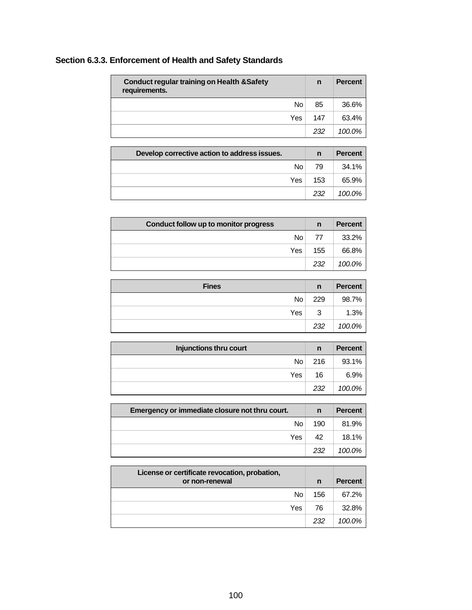| Section 6.3.3. Enforcement of Health and Safety Standards |  |
|-----------------------------------------------------------|--|
|-----------------------------------------------------------|--|

| <b>Conduct regular training on Health &amp; Safety</b><br>requirements. | n   | <b>Percent</b> |
|-------------------------------------------------------------------------|-----|----------------|
| No                                                                      | 85  | 36.6%          |
| Yes                                                                     | 147 | 63.4%          |
|                                                                         | 232 | 100.0%         |

| Develop corrective action to address issues. | n   | <b>Percent</b> |
|----------------------------------------------|-----|----------------|
| N <sub>0</sub>                               | 79  | 34.1%          |
| Yes                                          | 153 | 65.9%          |
|                                              | 232 | 100.0%         |

| Conduct follow up to monitor progress | n   | <b>Percent</b> |
|---------------------------------------|-----|----------------|
| No                                    | 77  | 33.2%          |
| Yes                                   | 155 | 66.8%          |
|                                       | 232 | 100.0%         |

| <b>Fines</b>    | n   | <b>Percent</b> |
|-----------------|-----|----------------|
| No <sub>1</sub> | 229 | 98.7%          |
| Yes             | 3   | 1.3%           |
|                 | 232 | 100.0%         |

| Injunctions thru court | n   | <b>Percent</b> |
|------------------------|-----|----------------|
| No <sub>1</sub>        | 216 | 93.1%          |
| Yes                    | 16  | 6.9%           |
|                        | 232 | 100.0%         |

| Emergency or immediate closure not thru court. |     | <b>Percent</b> |
|------------------------------------------------|-----|----------------|
| No l                                           | 190 | 81.9%          |
| Yes l                                          | 42  | 18.1%          |
|                                                | 232 | 100.0%         |

| License or certificate revocation, probation,<br>or non-renewal | n   | <b>Percent</b> |
|-----------------------------------------------------------------|-----|----------------|
| No.                                                             | 156 | 67.2%          |
| Yes                                                             | 76  | 32.8%          |
|                                                                 | 232 | 100.0%         |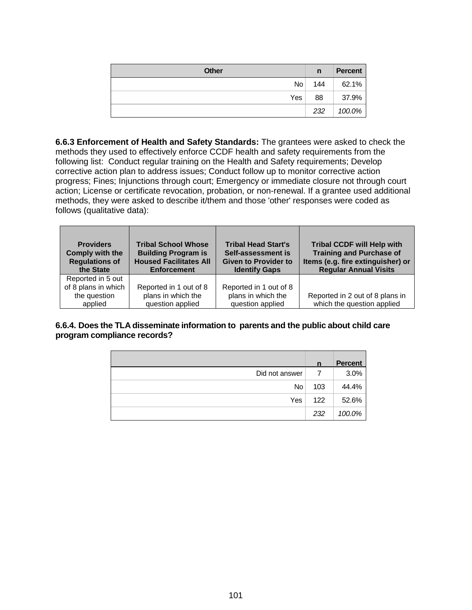| <b>Other</b> | n   | <b>Percent</b> |
|--------------|-----|----------------|
| No.          | 144 | 62.1%          |
| Yes          | 88  | 37.9%          |
|              | 232 | 100.0%         |

**6.6.3 Enforcement of Health and Safety Standards:** The grantees were asked to check the methods they used to effectively enforce CCDF health and safety requirements from the following list: Conduct regular training on the Health and Safety requirements; Develop corrective action plan to address issues; Conduct follow up to monitor corrective action progress; Fines; Injunctions through court; Emergency or immediate closure not through court action; License or certificate revocation, probation, or non-renewal. If a grantee used additional methods, they were asked to describe it/them and those 'other' responses were coded as follows (qualitative data):

| <b>Providers</b><br>Comply with the<br><b>Regulations of</b><br>the State | <b>Tribal School Whose</b><br><b>Building Program is</b><br><b>Housed Facilitates All</b><br><b>Enforcement</b> | <b>Tribal Head Start's</b><br>Self-assessment is<br><b>Given to Provider to</b><br><b>Identify Gaps</b> | <b>Tribal CCDF will Help with</b><br><b>Training and Purchase of</b><br>Items (e.g. fire extinguisher) or<br><b>Regular Annual Visits</b> |
|---------------------------------------------------------------------------|-----------------------------------------------------------------------------------------------------------------|---------------------------------------------------------------------------------------------------------|-------------------------------------------------------------------------------------------------------------------------------------------|
| Reported in 5 out                                                         |                                                                                                                 |                                                                                                         |                                                                                                                                           |
| of 8 plans in which                                                       | Reported in 1 out of 8                                                                                          | Reported in 1 out of 8                                                                                  |                                                                                                                                           |
| the question                                                              | plans in which the                                                                                              | plans in which the                                                                                      | Reported in 2 out of 8 plans in                                                                                                           |
| applied                                                                   | question applied                                                                                                | question applied                                                                                        | which the question applied                                                                                                                |

**6.6.4. Does the TLA disseminate information to parents and the public about child care program compliance records?**

|                | $\mathsf{n}$ | <b>Percent</b> |
|----------------|--------------|----------------|
| Did not answer |              | 3.0%           |
| No.            | 103          | 44.4%          |
| Yes            | 122          | 52.6%          |
|                | 232          | 100.0%         |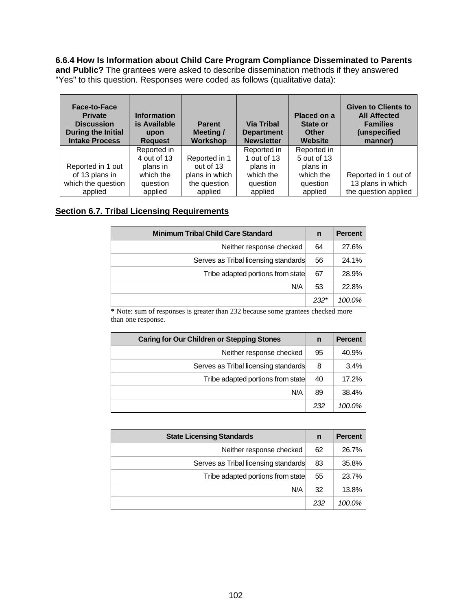**6.6.4 How Is Information about Child Care Program Compliance Disseminated to Parents** 

**and Public?** The grantees were asked to describe dissemination methods if they answered "Yes" to this question. Responses were coded as follows (qualitative data):

| Face-to-Face<br><b>Private</b><br><b>Discussion</b><br><b>During the Initial</b><br><b>Intake Process</b> | <b>Information</b><br>is Available<br>upon<br><b>Request</b> | <b>Parent</b><br>Meeting/<br>Workshop | <b>Via Tribal</b><br><b>Department</b><br><b>Newsletter</b> | Placed on a<br>State or<br><b>Other</b><br>Website | <b>Given to Clients to</b><br><b>All Affected</b><br><b>Families</b><br>(unspecified<br>manner) |
|-----------------------------------------------------------------------------------------------------------|--------------------------------------------------------------|---------------------------------------|-------------------------------------------------------------|----------------------------------------------------|-------------------------------------------------------------------------------------------------|
|                                                                                                           | Reported in                                                  |                                       | Reported in                                                 | Reported in                                        |                                                                                                 |
|                                                                                                           | 4 out of 13                                                  | Reported in 1                         | 1 out of 13                                                 | 5 out of 13                                        |                                                                                                 |
| Reported in 1 out                                                                                         | plans in                                                     | out of 13                             | plans in                                                    | plans in                                           |                                                                                                 |
| of 13 plans in                                                                                            | which the                                                    | plans in which                        | which the                                                   | which the                                          | Reported in 1 out of                                                                            |
| which the question                                                                                        | question                                                     | the question                          | question                                                    | question                                           | 13 plans in which                                                                               |
| applied                                                                                                   | applied                                                      | applied                               | applied                                                     | applied                                            | the question applied                                                                            |

### **Section 6.7. Tribal Licensing Requirements**

| <b>Minimum Tribal Child Care Standard</b> | n      | <b>Percent</b> |
|-------------------------------------------|--------|----------------|
| Neither response checked                  | 64     | 27.6%          |
| Serves as Tribal licensing standards      | 56     | 24.1%          |
| Tribe adapted portions from state         | 67     | 28.9%          |
| N/A                                       | 53     | 22.8%          |
|                                           | $232*$ | 100.0%         |

**\*** Note: sum of responses is greater than 232 because some grantees checked more than one response.

| Caring for Our Children or Stepping Stones | n   | <b>Percent</b> |
|--------------------------------------------|-----|----------------|
| Neither response checked                   | 95  | 40.9%          |
| Serves as Tribal licensing standards       | 8   | 3.4%           |
| Tribe adapted portions from state          | 40  | 17.2%          |
| N/A                                        | 89  | 38.4%          |
|                                            | 232 | 100.0%         |

| <b>State Licensing Standards</b>     | n   | <b>Percent</b> |
|--------------------------------------|-----|----------------|
| Neither response checked             | 62  | 26.7%          |
| Serves as Tribal licensing standards | 83  | 35.8%          |
| Tribe adapted portions from state    | 55  | 23.7%          |
| N/A                                  | 32  | 13.8%          |
|                                      | 232 | 100.0%         |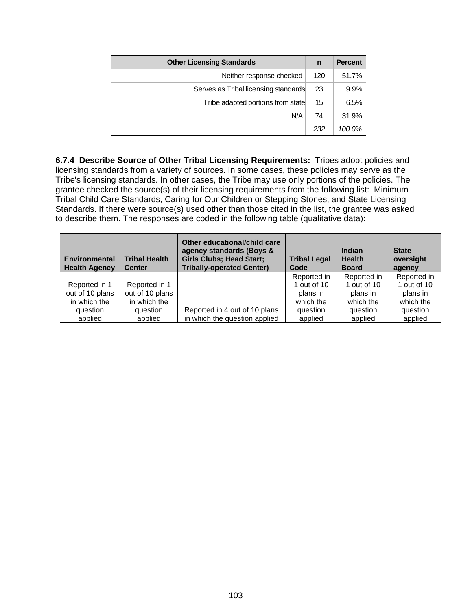| <b>Other Licensing Standards</b>     | n   | <b>Percent</b> |
|--------------------------------------|-----|----------------|
| Neither response checked             | 120 | 51.7%          |
| Serves as Tribal licensing standards | 23  | 9.9%           |
| Tribe adapted portions from state    | 15  | 6.5%           |
| N/A                                  | 74  | 31.9%          |
|                                      | 232 | 100.0%         |

**6.7.4 Describe Source of Other Tribal Licensing Requirements:** Tribes adopt policies and licensing standards from a variety of sources. In some cases, these policies may serve as the Tribe's licensing standards. In other cases, the Tribe may use only portions of the policies. The grantee checked the source(s) of their licensing requirements from the following list: Minimum Tribal Child Care Standards, Caring for Our Children or Stepping Stones, and State Licensing Standards. If there were source(s) used other than those cited in the list, the grantee was asked to describe them. The responses are coded in the following table (qualitative data):

| <b>Environmental</b><br><b>Health Agency</b> | <b>Tribal Health</b><br><b>Center</b> | Other educational/child care<br>agency standards (Boys &<br><b>Girls Clubs; Head Start;</b><br><b>Tribally-operated Center)</b> | <b>Tribal Legal</b><br>Code | Indian<br><b>Health</b><br><b>Board</b> | <b>State</b><br>oversight<br>agency |
|----------------------------------------------|---------------------------------------|---------------------------------------------------------------------------------------------------------------------------------|-----------------------------|-----------------------------------------|-------------------------------------|
|                                              |                                       |                                                                                                                                 | Reported in                 | Reported in                             | Reported in                         |
| Reported in 1                                | Reported in 1                         |                                                                                                                                 | 1 out of 10                 | 1 out of 10                             | 1 out of $10$                       |
| out of 10 plans                              | out of 10 plans                       |                                                                                                                                 | plans in                    | plans in                                | plans in                            |
| in which the                                 | in which the                          |                                                                                                                                 | which the                   | which the                               | which the                           |
| question                                     | question                              | Reported in 4 out of 10 plans                                                                                                   | question                    | question                                | question                            |
| applied                                      | applied                               | in which the question applied                                                                                                   | applied                     | applied                                 | applied                             |